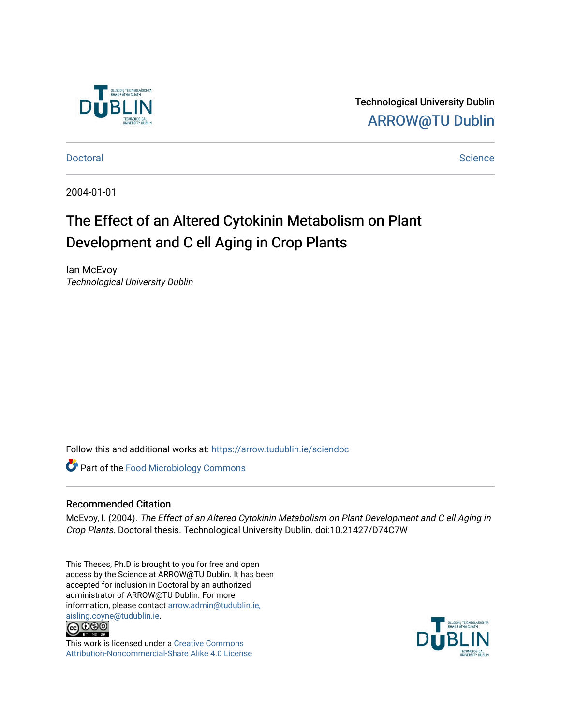

Technological University Dublin [ARROW@TU Dublin](https://arrow.tudublin.ie/) 

[Doctoral](https://arrow.tudublin.ie/sciendoc) [Science](https://arrow.tudublin.ie/scienthe) **Doctoral** Science **Science** Science **Science** Science **Science** Science

2004-01-01

## The Effect of an Altered Cytokinin Metabolism on Plant Development and C ell Aging in Crop Plants

Ian McEvoy Technological University Dublin

Follow this and additional works at: [https://arrow.tudublin.ie/sciendoc](https://arrow.tudublin.ie/sciendoc?utm_source=arrow.tudublin.ie%2Fsciendoc%2F112&utm_medium=PDF&utm_campaign=PDFCoverPages)

**Part of the [Food Microbiology Commons](http://network.bepress.com/hgg/discipline/86?utm_source=arrow.tudublin.ie%2Fsciendoc%2F112&utm_medium=PDF&utm_campaign=PDFCoverPages)** 

#### Recommended Citation

McEvoy, I. (2004). The Effect of an Altered Cytokinin Metabolism on Plant Development and C ell Aging in Crop Plants. Doctoral thesis. Technological University Dublin. doi:10.21427/D74C7W

This Theses, Ph.D is brought to you for free and open access by the Science at ARROW@TU Dublin. It has been accepted for inclusion in Doctoral by an authorized administrator of ARROW@TU Dublin. For more information, please contact [arrow.admin@tudublin.ie,](mailto:arrow.admin@tudublin.ie,%20aisling.coyne@tudublin.ie)  [aisling.coyne@tudublin.ie.](mailto:arrow.admin@tudublin.ie,%20aisling.coyne@tudublin.ie)<br>@060



This work is licensed under a [Creative Commons](http://creativecommons.org/licenses/by-nc-sa/4.0/) [Attribution-Noncommercial-Share Alike 4.0 License](http://creativecommons.org/licenses/by-nc-sa/4.0/)

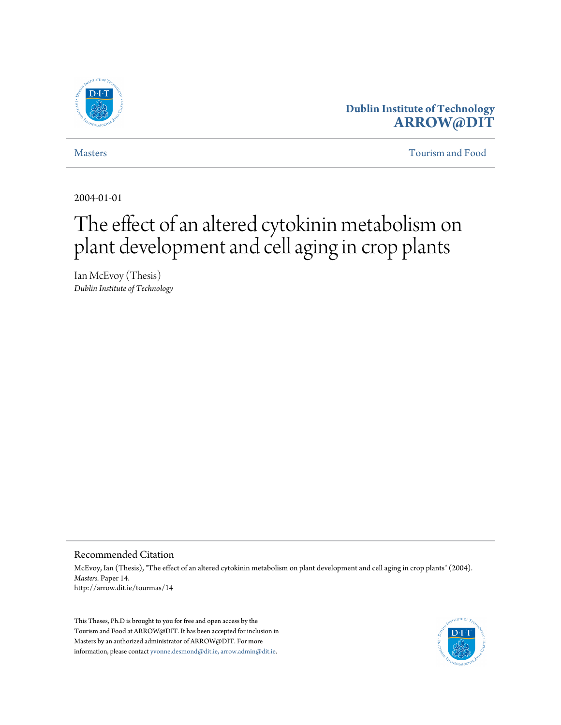

### **Dublin Institute of Technology [ARROW@DIT](http://arrow.dit.ie)**

[Masters](http://arrow.dit.ie/tourmas) [Tourism and Food](http://arrow.dit.ie/tourthe)

2004-01-01

# The effect of an altered cytokinin metabolism on plant development and cell aging in crop plants

Ian McEvoy (Thesis) *Dublin Institute of Technology*

#### Recommended Citation

McEvoy, Ian (Thesis), "The effect of an altered cytokinin metabolism on plant development and cell aging in crop plants" (2004). *Masters.* Paper 14. http://arrow.dit.ie/tourmas/14

This Theses, Ph.D is brought to you for free and open access by the Tourism and Food at ARROW@DIT. It has been accepted for inclusion in Masters by an authorized administrator of ARROW@DIT. For more information, please contact [yvonne.desmond@dit.ie, arrow.admin@dit.ie.](mailto:yvonne.desmond@dit.ie, arrow.admin@dit.ie)

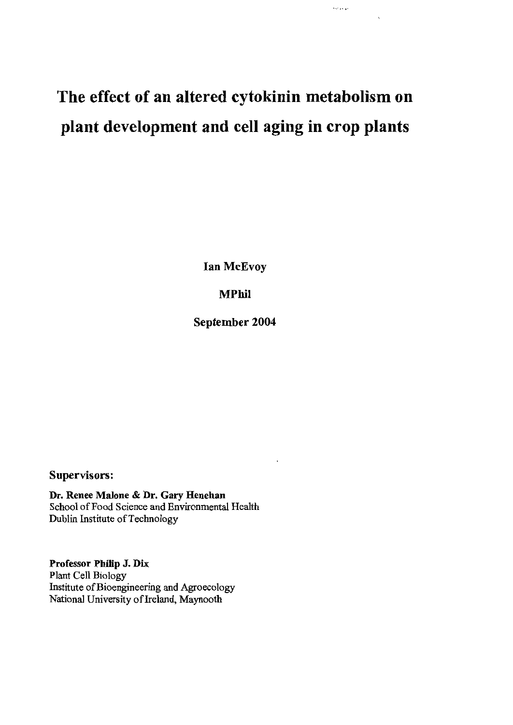# The effect of an altered cytokinin metabolism on plant development and cell aging in crop plants

real parado

Ian McEvoy

**MPhil** 

September 2004

### Supervisors:

Dr. Renee Malone & Dr. Gary Henehan School of Food Science and Environmental Health Dublin Institute of Technology

Professor Philip J. Dix Plant Cell Biology Institute of Bioengineering and Agroecology National University of Ireland, Maynooth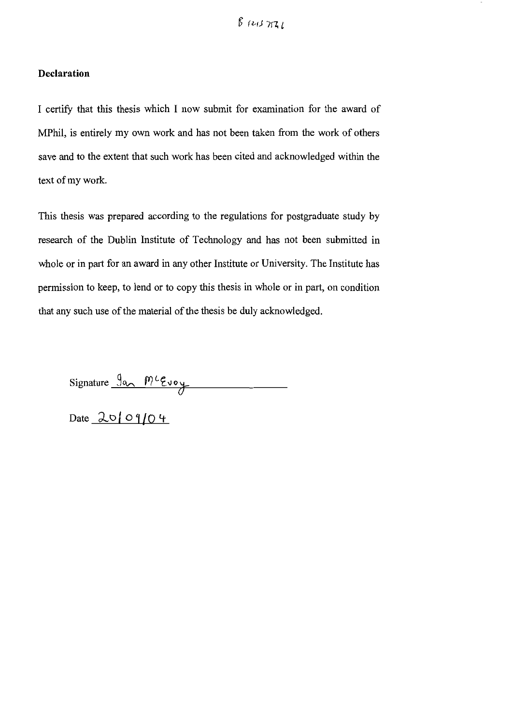#### **Declaration**

I certify that this thesis which I now submit for examination for the award of MPhil, is entirely my own work and has not been taken from the work of others save and to the extent that such work has been cited and acknowledged within the text of my work.

This thesis was prepared according to the regulations for postgraduate study by research of the Dublin Institute of Technology and has not been submitted in whole or in part for an award in any other Institute or University. The Institute has permission to keep, to lend or to copy this thesis in whole or in part, on condition that any such use of the material of the thesis be duly acknowledged.

 $Signature \, \frac{\int a_{\lambda} \, M^{c} \epsilon_{\nu} \circ \psi}{\int}$ 

Date  $20/09/04$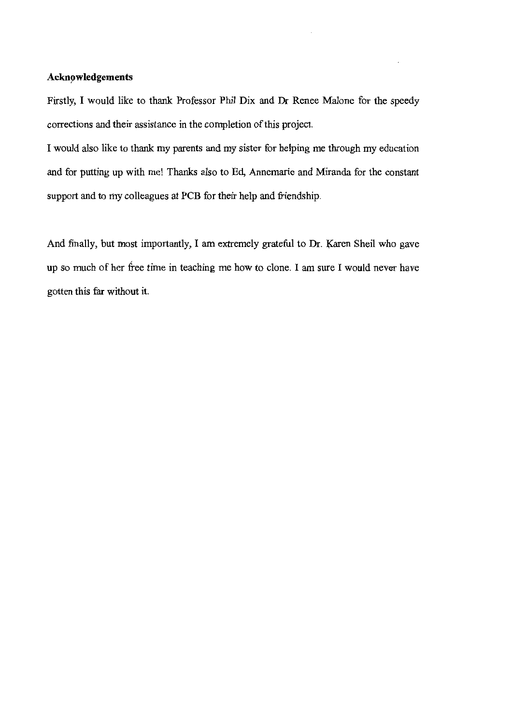#### Acknowledgements

Firstly, I would like to thank Professor Phil Dix and Dr Renee Malone for the speedy corrections and their assistance in the completion of this project.

I would also like to thank my parents and my sister for helping me through my education and for putting up with me! Thanks also to Ed, Annemarie and Miranda for the constant support and to my colleagues at PCB for their help and friendship.

And finally, but most importantly, I am extremely grateful to Dr. Karen Sheil who gave up so much of her free time in teaching me how to clone. I am sure I would never have gotten this far without it.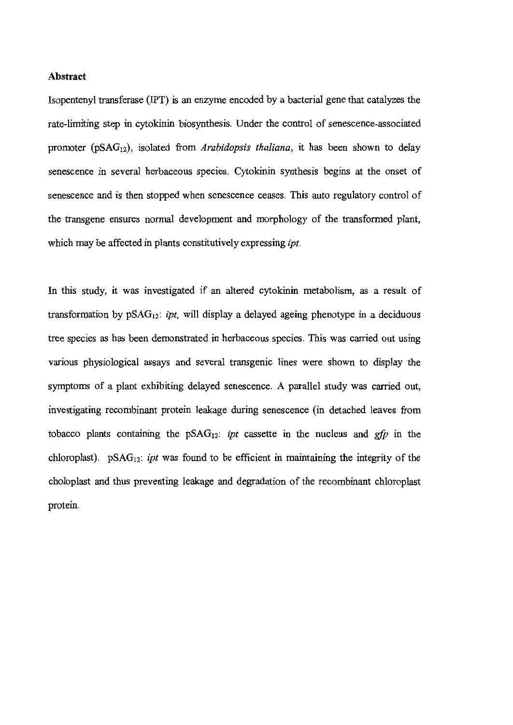#### Abstract

Isopentenyl transferase (IPT) is an enzyme encoded by a bacterial gene that catalyzes the rate-limiting step in cytokinin biosynthesis. Under the control of senescence-associated promoter ( $pSAG_{12}$ ), isolated from *Arabidopsis thaliana*, it has been shown to delay senescence in several herbaceous species. Cytokinin synthesis begins at the onset of senescence and is then stopped when senescence ceases. This auto regulatory control of the transgene ensures normal development and morphology of the transformed plant, which may be affected in plants constitutively expressing *ipt*.

In this study, it was investigated if an altered cytokinin metabolism, as a result of transformation by  $pSAG_{12}$ : *ipt*, will display a delayed ageing phenotype in a deciduous tree species as has been demonstrated in herbaceous species. This was carried out using various physiological assays and several transgenic lines were shown to display the symptoms of a plant exhibiting delayed senescence. A parallel study was carried out, investigating recombinant protein leakage during senescence (in detached leaves from tobacco plants containing the  $pSAG_{12}$ : ipt cassette in the nucleus and gfp in the chloroplast).  $pSAG_{12}$ : *ipt* was found to be efficient in maintaining the integrity of the choloplast and thus preventing leakage and degradation of the recombinant chloroplast protein.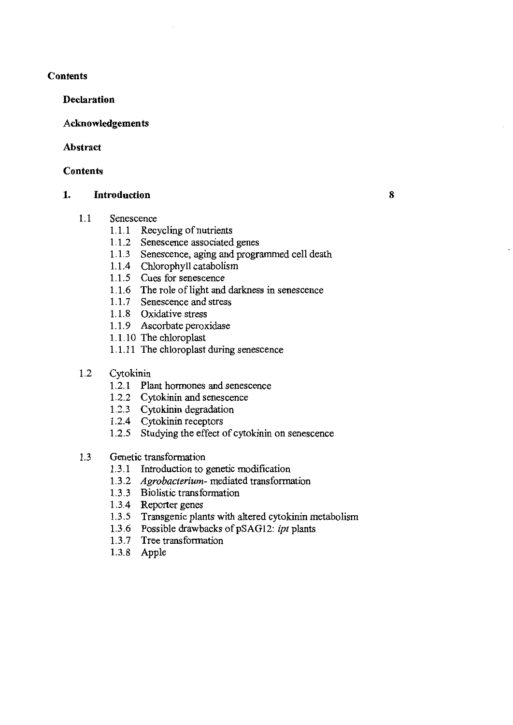#### **Contents**

#### **Declaration**

### Acknowledgements

### Abstract

### **Contents**

#### **Introduction** 1.

#### $1.1$ Senescence

- 1.1.1 Recycling of nutrients
- 1.1.2 Senescence associated genes
- 1.1.3 Senescence, aging and programmed cell death

8

- 1.1.4 Chlorophyll catabolism
- 1.1.5 Cues for senescence
- 1.1.6 The role of light and darkness in senescence
- 1.1.7 Senescence and stress
- 1.1.8 Oxidative stress
- 1.1.9 Ascorbate peroxidase
- 1.1.10 The chloroplast
- 1.1.11 The chloroplast during senescence
- $1.2$ Cytokinin
	- 1.2.1 Plant hormones and senescence
	- 1.2.2 Cytokinin and senescence
	- 1.2.3 Cytokinin degradation
	- 1.2.4 Cytokinin receptors
	- 1.2.5 Studying the effect of cytokinin on senescence

#### Genetic transformation  $1.3$

- 1.3.1 Introduction to genetic modification
- 1.3.2 Agrobacterium- mediated transformation
- 1.3.3 Biolistic transformation
- 1.3.4 Reporter genes
- 1.3.5 Transgenic plants with altered cytokinin metabolism
- 1.3.6 Possible drawbacks of pSAG12: ipt plants
- 1.3.7 Tree transformation
- 1.3.8 Apple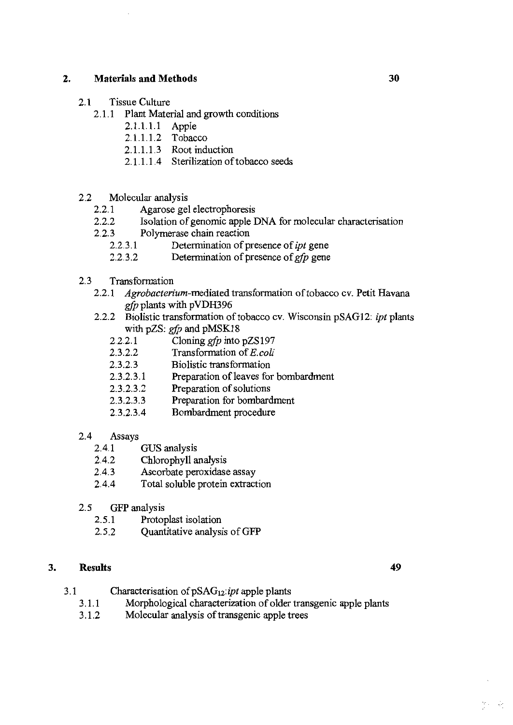#### 2. **Materials and Methods**

- Tissue Culture  $2.1$ 
	- 2.1.1 Plant Material and growth conditions
		- 2.1.1.1.1 Apple
		- 2.1.1.1.2 Tobacco
		- 2.1.1.1.3 Root induction
		- 2.1.1.1.4 Sterilization of tobacco seeds
- $2.2$ Molecular analysis
	- $2.2.1$ Agarose gel electrophoresis
	- Isolation of genomic apple DNA for molecular characterisation  $2.2.2$
	- Polymerase chain reaction  $2.2.3$ 
		- 2.2.3.1 Determination of presence of *ipt* gene
		- Determination of presence of *gfp* gene 2232
- Transformation  $2.3\phantom{0}$ 
	- Agrobacterium-mediated transformation of tobacco cv. Petit Havana  $2.2.1$ gfp plants with pVDH396
	- Biolistic transformation of tobacco cv. Wisconsin pSAG12: ipt plants  $2.2.2$ with pZS:  $gfp$  and pMSK18
		- Cloning *gfp* into pZS197 2221
		- Transformation of E.coli 2322
		- $2.3.2.3$ Biolistic transformation
		- $2.3.2.3.1$ Preparation of leaves for bombardment
		- Preparation of solutions  $2.3.2.3.2$
		- $2.3.2.3.3$ Preparation for bombardment
		- Bombardment procedure  $2.3.2.3.4$
- 2.4 Assays
	- $2.4.1$ GUS analysis
	- Chlorophyll analysis  $2.4.2$
	- $2.4.3$ Ascorbate peroxidase assay
	- $2.4.4$ Total soluble protein extraction
- $2.5$ GFP analysis
	- $2.5.1$ Protoplast isolation
	- Quantitative analysis of GFP  $2.5.2$

#### 3. **Results**

- Characterisation of pSAG<sub>12</sub>: ipt apple plants  $3.1$ 
	- Morphological characterization of older transgenic apple plants  $3.1.1$
	- Molecular analysis of transgenic apple trees  $3.1.2$

30

49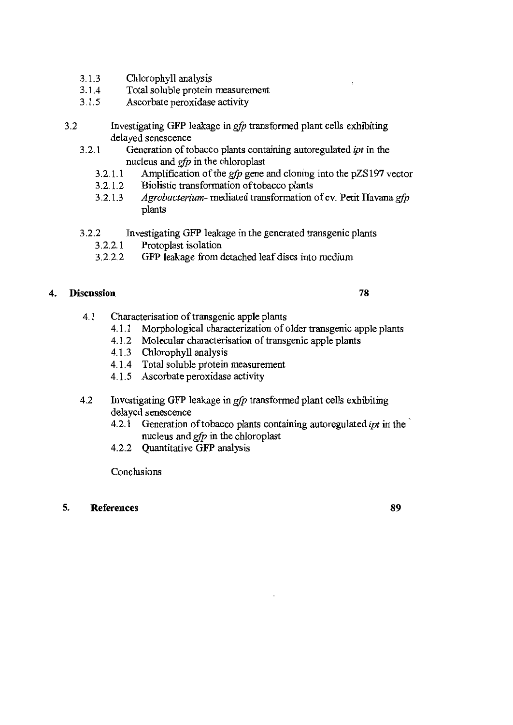- $3.1.3$ Chlorophyll analysis
- $3.1.4$ Total soluble protein measurement
- Ascorbate peroxidase activity  $3.1.5$
- $3.2$ Investigating GFP leakage in gfp transformed plant cells exhibiting delayed senescence
	- $3.2.1$ Generation of tobacco plants containing autoregulated ipt in the nucleus and  $gfp$  in the chloroplast
		- $3.2.1.1$ Amplification of the *gfp* gene and cloning into the pZS197 vector
		- Biolistic transformation of tobacco plants 3.2.1.2
		- $3.2.1.3$ Agrobacterium- mediated transformation of cv. Petit Havana gfp plants
	- $3.2.2$ Investigating GFP leakage in the generated transgenic plants
		- $3.2.2.1$ Protoplast isolation
		- $3.2.2.2$ GFP leakage from detached leaf discs into medium

#### **Discussion** 4.

#### 78

- $4.1$ Characterisation of transgenic apple plants
	- 4.1.1 Morphological characterization of older transgenic apple plants
	- 4.1.2 Molecular characterisation of transgenic apple plants
	- 4.1.3 Chlorophyll analysis
	- 4.1.4 Total soluble protein measurement
	- 4.1.5 Ascorbate peroxidase activity
- 4.2 Investigating GFP leakage in *gfp* transformed plant cells exhibiting delayed senescence
	- Generation of tobacco plants containing autoregulated *ipt* in the 4.2.1 nucleus and  $gfp$  in the chloroplast
	- 4.2.2 Quantitative GFP analysis

Conclusions

#### 5. **References**

89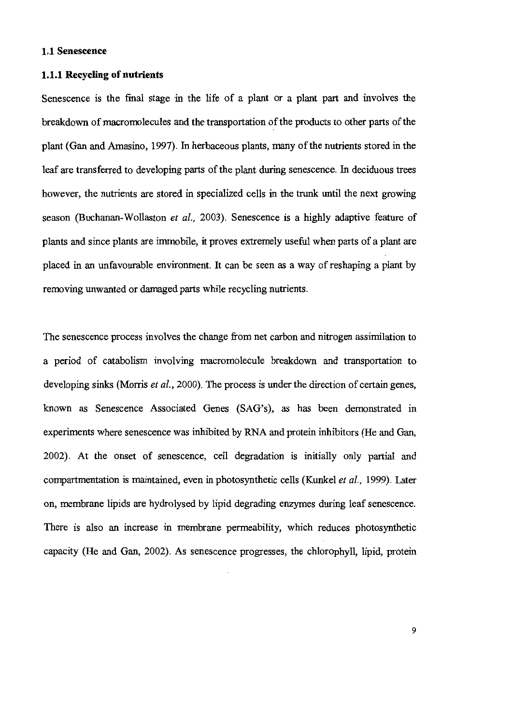#### 1.1 Senescence

#### 1.1.1 Recycling of nutrients

Senescence is the final stage in the life of a plant or a plant part and involves the breakdown of macromolecules and the transportation of the products to other parts of the plant (Gan and Amasino, 1997). In herbaceous plants, many of the nutrients stored in the leaf are transferred to developing parts of the plant during senescence. In deciduous trees however, the nutrients are stored in specialized cells in the trunk until the next growing season (Buchanan-Wollaston et al., 2003). Senescence is a highly adaptive feature of plants and since plants are immobile, it proves extremely useful when parts of a plant are placed in an unfavourable environment. It can be seen as a way of reshaping a plant by removing unwanted or damaged parts while recycling nutrients.

The senescence process involves the change from net carbon and nitrogen assimilation to a period of catabolism involving macromolecule breakdown and transportation to developing sinks (Morris et al., 2000). The process is under the direction of certain genes, known as Senescence Associated Genes (SAG's), as has been demonstrated in experiments where senescence was inhibited by RNA and protein inhibitors (He and Gan, 2002). At the onset of senescence, cell degradation is initially only partial and compartmentation is maintained, even in photosynthetic cells (Kunkel et al., 1999). Later on, membrane lipids are hydrolysed by lipid degrading enzymes during leaf senescence. There is also an increase in membrane permeability, which reduces photosynthetic capacity (He and Gan, 2002). As senescence progresses, the chlorophyll, lipid, protein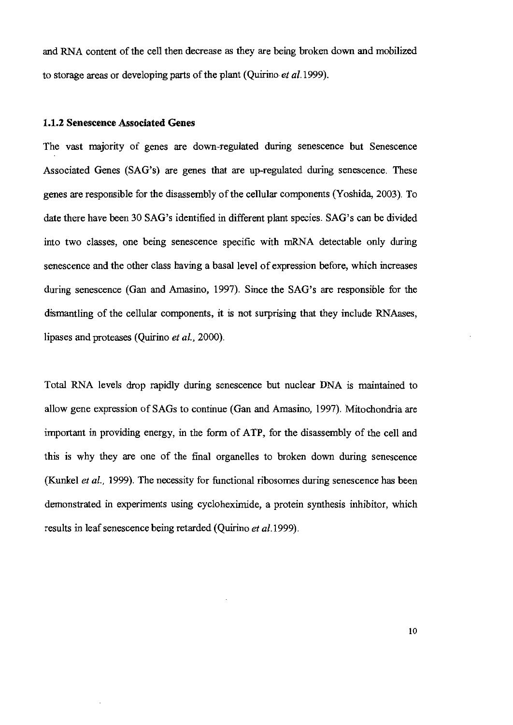and RNA content of the cell then decrease as they are being broken down and mobilized to storage areas or developing parts of the plant (Quirino et al. 1999).

#### 1.1.2 Senescence Associated Genes

The vast majority of genes are down-regulated during senescence but Senescence Associated Genes (SAG's) are genes that are up-regulated during senescence. These genes are responsible for the disassembly of the cellular components (Yoshida, 2003). To date there have been 30 SAG's identified in different plant species. SAG's can be divided into two classes, one being senescence specific with mRNA detectable only during senescence and the other class having a basal level of expression before, which increases during senescence (Gan and Amasino, 1997). Since the SAG's are responsible for the dismantling of the cellular components, it is not surprising that they include RNAases, lipases and proteases (Quirino et al., 2000).

Total RNA levels drop rapidly during senescence but nuclear DNA is maintained to allow gene expression of SAGs to continue (Gan and Amasino, 1997). Mitochondria are important in providing energy, in the form of ATP, for the disassembly of the cell and this is why they are one of the final organelles to broken down during senescence (Kunkel et al., 1999). The necessity for functional ribosomes during senescence has been demonstrated in experiments using cycloheximide, a protein synthesis inhibitor, which results in leaf senescence being retarded (Quirino et al.1999).

10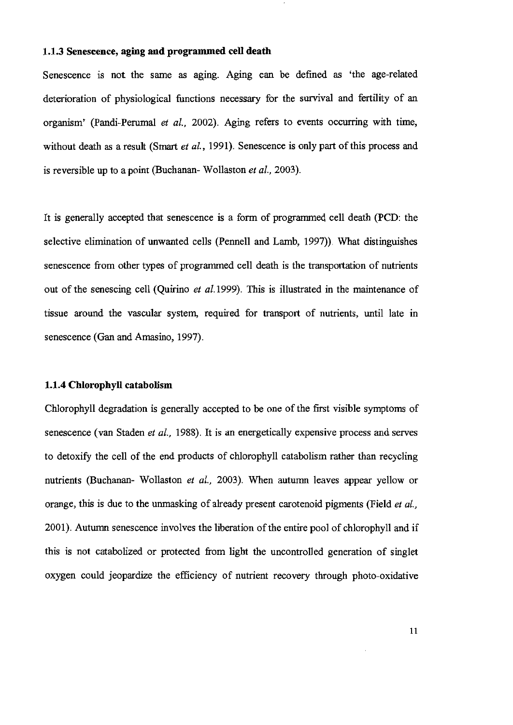#### 1.1.3 Senescence, aging and programmed cell death

Senescence is not the same as aging. Aging can be defined as 'the age-related deterioration of physiological functions necessary for the survival and fertility of an organism' (Pandi-Perumal et al., 2002). Aging refers to events occurring with time, without death as a result (Smart et al., 1991). Senescence is only part of this process and is reversible up to a point (Buchanan-Wollaston et al., 2003).

It is generally accepted that senescence is a form of programmed cell death (PCD: the selective elimination of unwanted cells (Pennell and Lamb, 1997)). What distinguishes senescence from other types of programmed cell death is the transportation of nutrients out of the senescing cell (Quirino et al. 1999). This is illustrated in the maintenance of tissue around the vascular system, required for transport of nutrients, until late in senescence (Gan and Amasino, 1997).

#### 1.1.4 Chlorophyll catabolism

Chlorophyll degradation is generally accepted to be one of the first visible symptoms of senescence (van Staden et al., 1988). It is an energetically expensive process and serves to detoxify the cell of the end products of chlorophyll catabolism rather than recycling nutrients (Buchanan- Wollaston et al., 2003). When autumn leaves appear yellow or orange, this is due to the unmasking of already present carotenoid pigments (Field et al., 2001). Autumn senescence involves the liberation of the entire pool of chlorophyll and if this is not catabolized or protected from light the uncontrolled generation of singlet oxygen could jeopardize the efficiency of nutrient recovery through photo-oxidative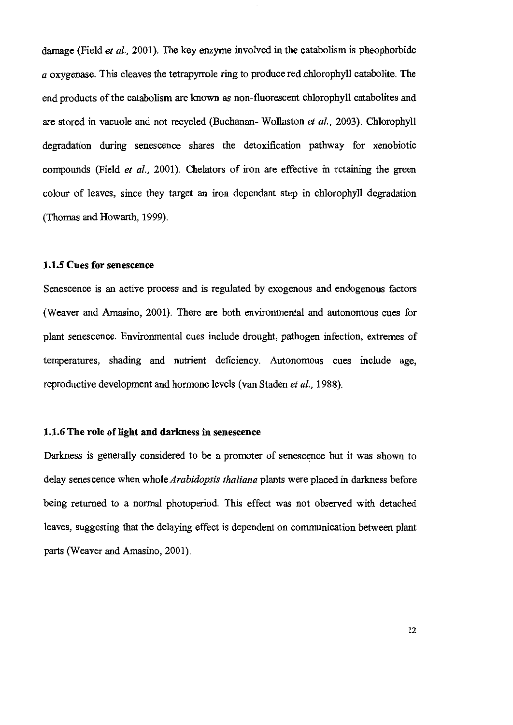damage (Field et al., 2001). The key enzyme involved in the catabolism is pheophorbide  $a$  oxygenase. This cleaves the tetrapyrrole ring to produce red chlorophyll catabolite. The end products of the catabolism are known as non-fluorescent chlorophyll catabolites and are stored in vacuole and not recycled (Buchanan-Wollaston et al., 2003). Chlorophyll degradation during senescence shares the detoxification pathway for xenobiotic compounds (Field et al., 2001). Chelators of iron are effective in retaining the green colour of leaves, since they target an iron dependant step in chlorophyll degradation (Thomas and Howarth, 1999).

#### 1.1.5 Cues for senescence

Senescence is an active process and is regulated by exogenous and endogenous factors (Weaver and Amasino, 2001). There are both environmental and autonomous cues for plant senescence. Environmental cues include drought, pathogen infection, extremes of temperatures, shading and nutrient deficiency. Autonomous cues include age, reproductive development and hormone levels (van Staden et al., 1988).

#### 1.1.6 The role of light and darkness in senescence

Darkness is generally considered to be a promoter of senescence but it was shown to delay senescence when whole Arabidopsis thaliana plants were placed in darkness before being returned to a normal photoperiod. This effect was not observed with detached leaves, suggesting that the delaying effect is dependent on communication between plant parts (Weaver and Amasino, 2001).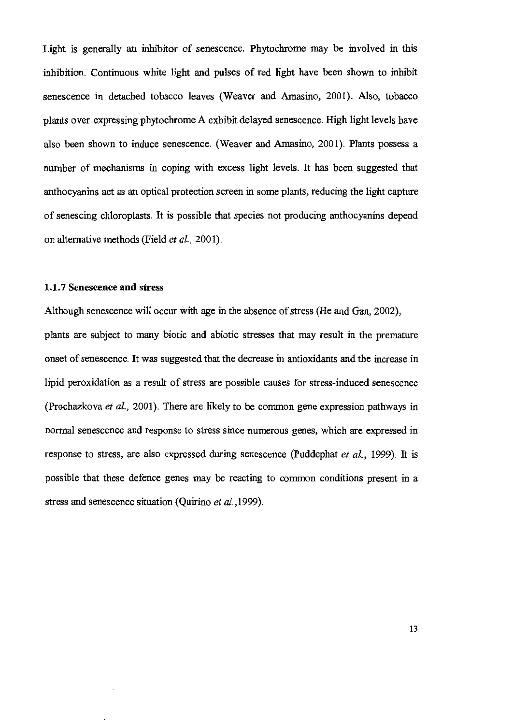Light is generally an inhibitor of senescence. Phytochrome may be involved in this inhibition. Continuous white light and pulses of red light have been shown to inhibit senescence in detached tobacco leaves (Weaver and Amasino, 2001). Also, tobacco plants over-expressing phytochrome A exhibit delayed senescence. High light levels have also been shown to induce senescence. (Weaver and Amasino, 2001). Plants possess a number of mechanisms in coping with excess light levels. It has been suggested that anthocyaning act as an optical protection screen in some plants, reducing the light capture of senescing chloroplasts. It is possible that species not producing anthocyanins depend on alternative methods (Field et al., 2001).

#### 1.1.7 Senescence and stress

Although senescence will occur with age in the absence of stress (He and Gan, 2002), plants are subject to many biotic and abiotic stresses that may result in the premature onset of senescence. It was suggested that the decrease in antioxidants and the increase in lipid peroxidation as a result of stress are possible causes for stress-induced senescence (Prochazkova et al., 2001). There are likely to be common gene expression pathways in normal senescence and response to stress since numerous genes, which are expressed in response to stress, are also expressed during senescence (Puddephat et al., 1999). It is possible that these defence genes may be reacting to common conditions present in a stress and senescence situation (Quirino et al., 1999).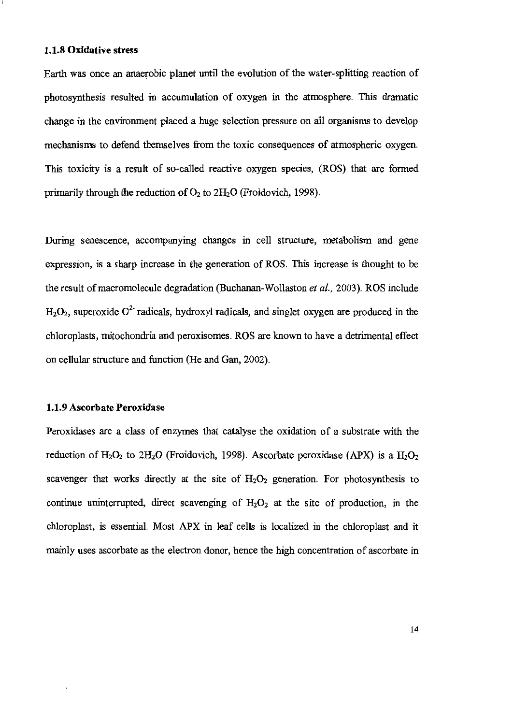#### 1.1.8 Oxidative stress

Earth was once an anaerobic planet until the evolution of the water-splitting reaction of photosynthesis resulted in accumulation of oxygen in the atmosphere. This dramatic change in the environment placed a huge selection pressure on all organisms to develop mechanisms to defend themselves from the toxic consequences of atmospheric oxygen. This toxicity is a result of so-called reactive oxygen species, (ROS) that are formed primarily through the reduction of  $O_2$  to  $2H_2O$  (Froidovich, 1998).

During senescence, accompanying changes in cell structure, metabolism and gene expression, is a sharp increase in the generation of ROS. This increase is thought to be the result of macromolecule degradation (Buchanan-Wollaston et al., 2003). ROS include  $H_2O_2$ , superoxide  $O^2$  radicals, hydroxyl radicals, and singlet oxygen are produced in the chloroplasts, mitochondria and peroxisomes. ROS are known to have a detrimental effect on cellular structure and function (He and Gan, 2002).

#### 1.1.9 Ascorbate Peroxidase

Peroxidases are a class of enzymes that catalyse the oxidation of a substrate with the reduction of  $H_2O_2$  to 2H<sub>2</sub>O (Froidovich, 1998). Ascorbate peroxidase (APX) is a  $H_2O_2$ scavenger that works directly at the site of  $H_2O_2$  generation. For photosynthesis to continue uninterrupted, direct scavenging of  $H_2O_2$  at the site of production, in the chloroplast, is essential. Most APX in leaf cells is localized in the chloroplast and it mainly uses ascorbate as the electron donor, hence the high concentration of ascorbate in

14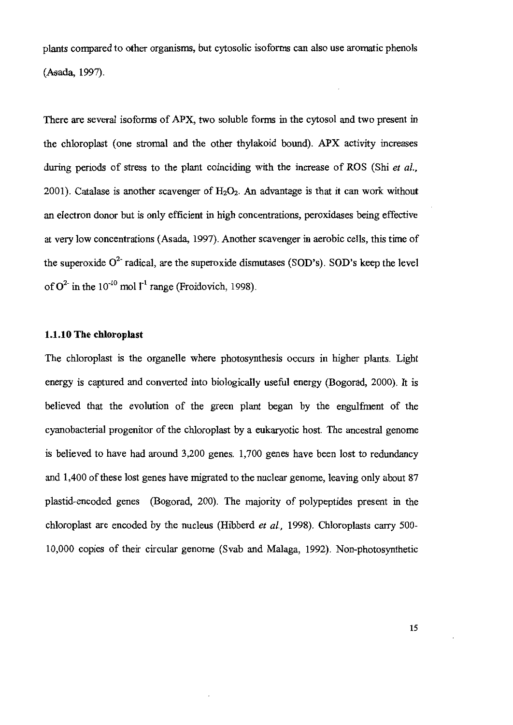plants compared to other organisms, but cytosolic isoforms can also use aromatic phenols (Asada, 1997).

There are several isoforms of APX, two soluble forms in the cytosol and two present in the chloroplast (one stromal and the other thylakoid bound). APX activity increases during periods of stress to the plant coinciding with the increase of ROS (Shi et al., 2001). Catalase is another scavenger of  $H_2O_2$ . An advantage is that it can work without an electron donor but is only efficient in high concentrations, peroxidases being effective at very low concentrations (Asada, 1997). Another scavenger in aerobic cells, this time of the superoxide O<sup>2-</sup> radical, are the superoxide dismutases (SOD's). SOD's keep the level of  $O^{2}$  in the 10<sup>-10</sup> mol 1<sup>-1</sup> range (Froidovich, 1998).

#### 1.1.10 The chloroplast

The chloroplast is the organelle where photosynthesis occurs in higher plants. Light energy is captured and converted into biologically useful energy (Bogorad, 2000). It is believed that the evolution of the green plant began by the engulfment of the cyanobacterial progenitor of the chloroplast by a eukaryotic host. The ancestral genome is believed to have had around 3,200 genes. 1,700 genes have been lost to redundancy and 1,400 of these lost genes have migrated to the nuclear genome, leaving only about 87 plastid-encoded genes (Bogorad, 200). The majority of polypeptides present in the chloroplast are encoded by the nucleus (Hibberd et al., 1998). Chloroplasts carry 500-10,000 copies of their circular genome (Svab and Malaga, 1992). Non-photosynthetic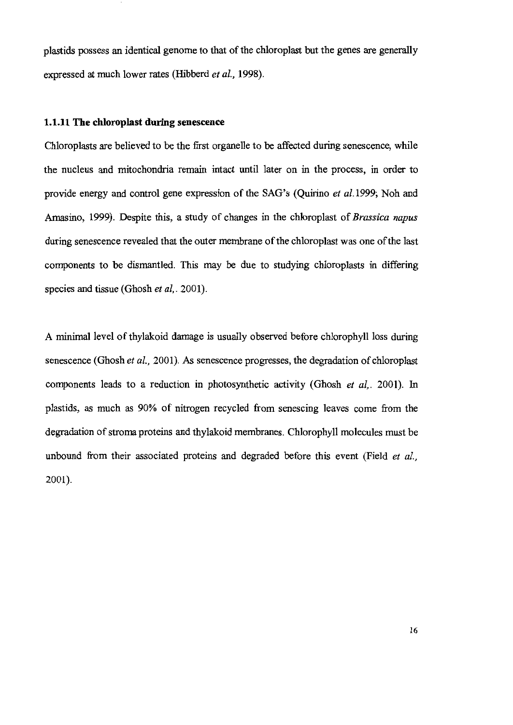plastids possess an identical genome to that of the chloroplast but the genes are generally expressed at much lower rates (Hibberd et al., 1998).

#### 1.1.11 The chloroplast during senescence

Chloroplasts are believed to be the first organelle to be affected during senescence, while the nucleus and mitochondria remain intact until later on in the process, in order to provide energy and control gene expression of the SAG's (Quirino *et al.* 1999; Noh and Amasino, 1999). Despite this, a study of changes in the chloroplast of Brassica napus during senescence revealed that the outer membrane of the chloroplast was one of the last components to be dismantled. This may be due to studying chloroplasts in differing species and tissue (Ghosh et al., 2001).

A minimal level of thylakoid damage is usually observed before chlorophyll loss during senescence (Ghosh et al., 2001). As senescence progresses, the degradation of chloroplast components leads to a reduction in photosynthetic activity (Ghosh et al., 2001). In plastids, as much as 90% of nitrogen recycled from senescing leaves come from the degradation of stroma proteins and thylakoid membranes. Chlorophyll molecules must be unbound from their associated proteins and degraded before this event (Field et al., 2001).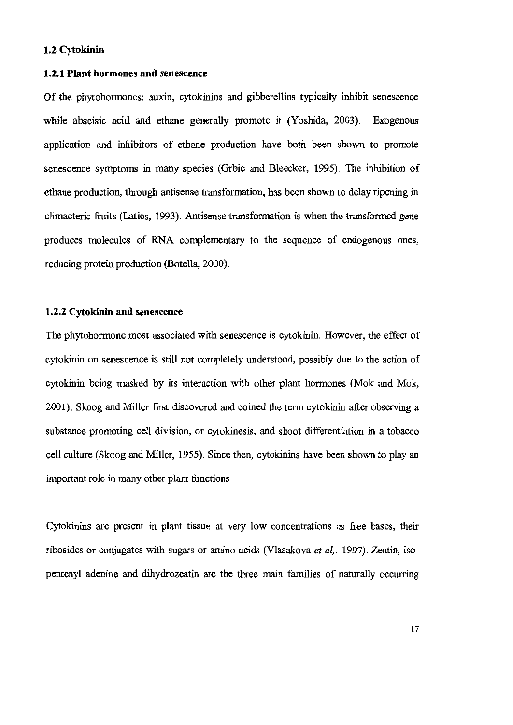#### 1.2 Cytokinin

#### 1.2.1 Plant hormones and senescence

Of the phytohormones: auxin, cytokinins and gibberellins typically inhibit senescence while abscisic acid and ethane generally promote it (Yoshida, 2003). Exogenous application and inhibitors of ethane production have both been shown to promote senescence symptoms in many species (Grbic and Bleecker, 1995). The inhibition of ethane production, through antisense transformation, has been shown to delay ripening in climacteric fruits (Laties, 1993). Antisense transformation is when the transformed gene produces molecules of RNA complementary to the sequence of endogenous ones, reducing protein production (Botella, 2000).

#### 1.2.2 Cytokinin and senescence

The phytohormone most associated with senescence is cytokinin. However, the effect of cytokinin on senescence is still not completely understood, possibly due to the action of cytokinin being masked by its interaction with other plant hormones (Mok and Mok, 2001). Skoog and Miller first discovered and coined the term cytokinin after observing a substance promoting cell division, or cytokinesis, and shoot differentiation in a tobacco cell culture (Skoog and Miller, 1955). Since then, cytokinins have been shown to play an important role in many other plant functions.

Cytokinins are present in plant tissue at very low concentrations as free bases, their ribosides or conjugates with sugars or amino acids (Vlasakova et al., 1997). Zeatin, isopentenyl adenine and dihydrozeatin are the three main families of naturally occurring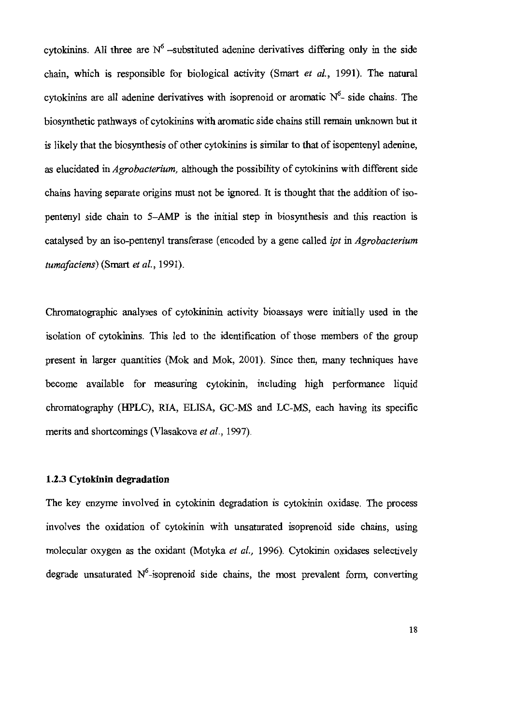cytokinins. All three are  $N^6$  -substituted adenine derivatives differing only in the side chain, which is responsible for biological activity (Smart et al., 1991). The natural cytokining are all adenine derivatives with isoprenoid or aromatic  $N^6$ - side chains. The biosynthetic pathways of cytokinins with aromatic side chains still remain unknown but it is likely that the biosynthesis of other cytokinins is similar to that of isopentenyl adenine, as elucidated in *Agrobacterium*, although the possibility of cytokinins with different side chains having separate origins must not be ignored. It is thought that the addition of isopentenyl side chain to 5–AMP is the initial step in biosynthesis and this reaction is catalysed by an iso-pentenyl transferase (encoded by a gene called *ipt* in *Agrobacterium* tumafaciens) (Smart et al., 1991).

Chromatographic analyses of cytokininin activity bioassays were initially used in the isolation of cytokinins. This led to the identification of those members of the group present in larger quantities (Mok and Mok, 2001). Since then, many techniques have become available for measuring cytokinin, including high performance liquid chromatography (HPLC), RIA, ELISA, GC-MS and LC-MS, each having its specific merits and shortcomings (Vlasakova et al., 1997).

#### 1.2.3 Cytokinin degradation

The key enzyme involved in cytokinin degradation is cytokinin oxidase. The process involves the oxidation of cytokinin with unsaturated isoprenoid side chains, using molecular oxygen as the oxidant (Motyka et al., 1996). Cytokinin oxidases selectively degrade unsaturated  $N^6$ -isoprenoid side chains, the most prevalent form, converting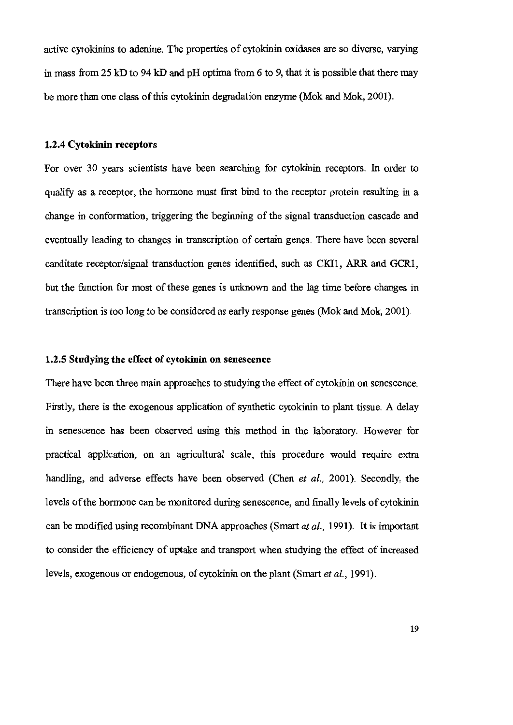active cytokinins to adenine. The properties of cytokinin oxidases are so diverse, varying in mass from 25 kD to 94 kD and pH optima from 6 to 9, that it is possible that there may be more than one class of this cytokinin degradation enzyme (Mok and Mok, 2001).

#### 1.2.4 Cytokinin receptors

For over 30 years scientists have been searching for cytokinin receptors. In order to qualify as a receptor, the hormone must first bind to the receptor protein resulting in a change in conformation, triggering the beginning of the signal transduction cascade and eventually leading to changes in transcription of certain genes. There have been several canditate receptor/signal transduction genes identified, such as CKI1, ARR and GCR1, but the function for most of these genes is unknown and the lag time before changes in transcription is too long to be considered as early response genes (Mok and Mok, 2001).

#### 1.2.5 Studying the effect of cytokinin on senescence

There have been three main approaches to studying the effect of cytokinin on senescence. Firstly, there is the exogenous application of synthetic cytokinin to plant tissue. A delay in senescence has been observed using this method in the laboratory. However for practical application, on an agricultural scale, this procedure would require extra handling, and adverse effects have been observed (Chen et al., 2001). Secondly, the levels of the hormone can be monitored during senescence, and finally levels of cytokinin can be modified using recombinant DNA approaches (Smart et al., 1991). It is important to consider the efficiency of uptake and transport when studying the effect of increased levels, exogenous or endogenous, of cytokinin on the plant (Smart et al., 1991).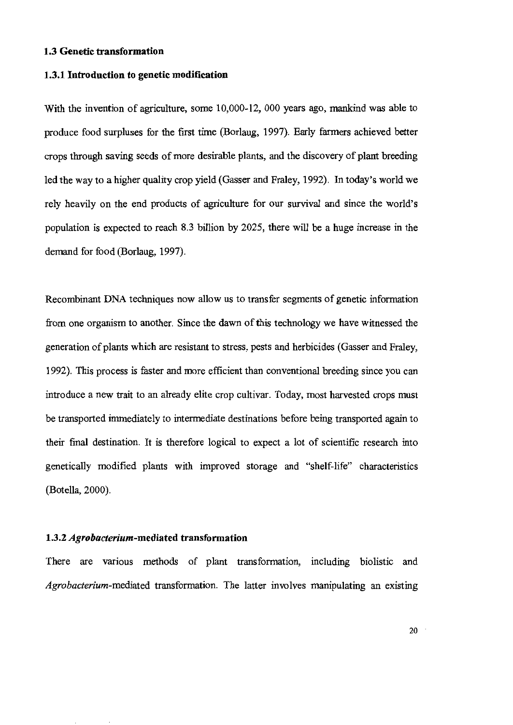#### 1.3 Genetic transformation

#### 1.3.1 Introduction to genetic modification

With the invention of agriculture, some 10,000-12, 000 years ago, mankind was able to produce food surpluses for the first time (Borlaug, 1997). Early farmers achieved better crops through saving seeds of more desirable plants, and the discovery of plant breeding led the way to a higher quality crop yield (Gasser and Fraley, 1992). In today's world we rely heavily on the end products of agriculture for our survival and since the world's population is expected to reach 8.3 billion by 2025, there will be a huge increase in the demand for food (Borlaug, 1997).

Recombinant DNA techniques now allow us to transfer segments of genetic information from one organism to another. Since the dawn of this technology we have witnessed the generation of plants which are resistant to stress, pests and herbicides (Gasser and Fraley, 1992). This process is faster and more efficient than conventional breeding since you can introduce a new trait to an already elite crop cultivar. Today, most harvested crops must be transported immediately to intermediate destinations before being transported again to their final destination. It is therefore logical to expect a lot of scientific research into genetically modified plants with improved storage and "shelf-life" characteristics (Botella, 2000).

#### 1.3.2 *Agrobacterium*-mediated transformation

There are various methods of plant transformation, including biolistic and Agrobacterium-mediated transformation. The latter involves manipulating an existing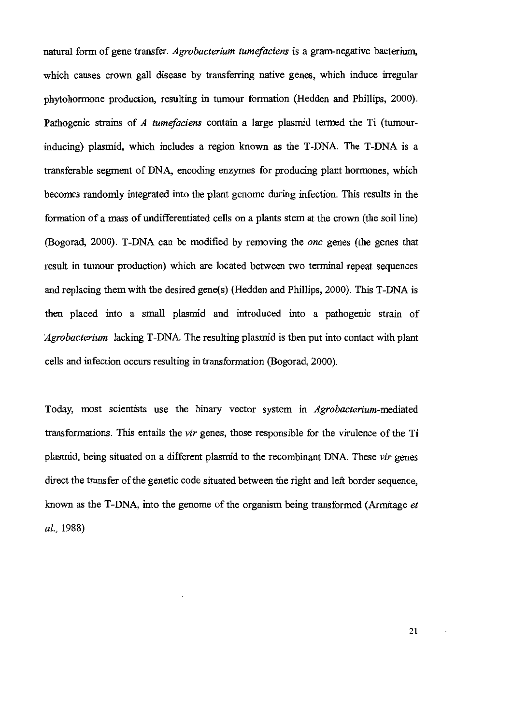natural form of gene transfer. Agrobacterium tumefaciens is a gram-negative bacterium, which causes crown gall disease by transferring native genes, which induce irregular phytohormone production, resulting in tumour formation (Hedden and Phillips, 2000). Pathogenic strains of A tumefaciens contain a large plasmid termed the Ti (tumourinducing) plasmid, which includes a region known as the T-DNA. The T-DNA is a transferable segment of DNA, encoding enzymes for producing plant hormones, which becomes randomly integrated into the plant genome during infection. This results in the formation of a mass of undifferentiated cells on a plants stem at the crown (the soil line) (Bogorad, 2000). T-DNA can be modified by removing the *onc* genes (the genes that result in tumour production) which are located between two terminal repeat sequences and replacing them with the desired gene(s) (Hedden and Phillips, 2000). This T-DNA is then placed into a small plasmid and introduced into a pathogenic strain of *Agrobacterium* lacking T-DNA. The resulting plasmid is then put into contact with plant cells and infection occurs resulting in transformation (Bogorad, 2000).

Today, most scientists use the binary vector system in Agrobacterium-mediated transformations. This entails the *vir* genes, those responsible for the virulence of the Ti plasmid, being situated on a different plasmid to the recombinant DNA. These vir genes direct the transfer of the genetic code situated between the right and left border sequence, known as the T-DNA, into the genome of the organism being transformed (Armitage et al., 1988)

21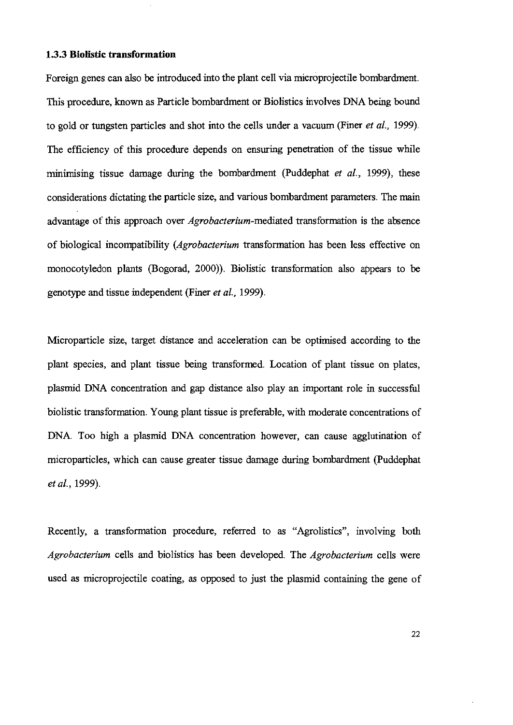#### 1.3.3 Biolistic transformation

Foreign genes can also be introduced into the plant cell via microprojectile bombardment. This procedure, known as Particle bombardment or Biolistics involves DNA being bound to gold or tungsten particles and shot into the cells under a vacuum (Finer et al., 1999). The efficiency of this procedure depends on ensuring penetration of the tissue while minimising tissue damage during the bombardment (Puddephat et al., 1999), these considerations dictating the particle size, and various bombardment parameters. The main advantage of this approach over *Agrobacterium*-mediated transformation is the absence of biological incompatibility (Agrobacterium transformation has been less effective on monocotyledon plants (Bogorad, 2000)). Biolistic transformation also appears to be genotype and tissue independent (Finer et al., 1999).

Microparticle size, target distance and acceleration can be optimised according to the plant species, and plant tissue being transformed. Location of plant tissue on plates, plasmid DNA concentration and gap distance also play an important role in successful biolistic transformation. Young plant tissue is preferable, with moderate concentrations of DNA. Too high a plasmid DNA concentration however, can cause agglutination of microparticles, which can cause greater tissue damage during bombardment (Puddephat *et al.*, 1999).

Recently, a transformation procedure, referred to as "Agrolistics", involving both Agrobacterium cells and biolistics has been developed. The Agrobacterium cells were used as microprojectile coating, as opposed to just the plasmid containing the gene of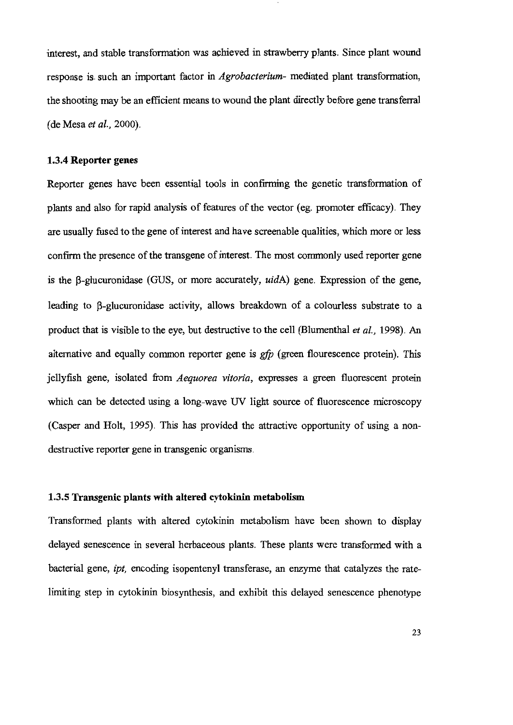interest, and stable transformation was achieved in strawberry plants. Since plant wound response is such an important factor in *Agrobacterium*- mediated plant transformation, the shooting may be an efficient means to wound the plant directly before gene transferral (de Mesa et al., 2000).

#### 1.3.4 Reporter genes

Reporter genes have been essential tools in confirming the genetic transformation of plants and also for rapid analysis of features of the vector (eg. promoter efficacy). They are usually fused to the gene of interest and have screenable qualities, which more or less confirm the presence of the transgene of interest. The most commonly used reporter gene is the  $\beta$ -glucuronidase (GUS, or more accurately,  $uidA$ ) gene. Expression of the gene, leading to  $\beta$ -glucuronidase activity, allows breakdown of a colourless substrate to a product that is visible to the eye, but destructive to the cell (Blumenthal et al., 1998). An alternative and equally common reporter gene is  $gfp$  (green flourescence protein). This jellyfish gene, isolated from *Aequorea vitoria*, expresses a green fluorescent protein which can be detected using a long-wave UV light source of fluorescence microscopy (Casper and Holt, 1995). This has provided the attractive opportunity of using a nondestructive reporter gene in transgenic organisms.

#### 1.3.5 Transgenic plants with altered cytokinin metabolism

Transformed plants with altered cytokinin metabolism have been shown to display delayed senescence in several herbaceous plants. These plants were transformed with a bacterial gene, *ipt*, encoding isopentenyl transferase, an enzyme that catalyzes the ratelimiting step in cytokinin biosynthesis, and exhibit this delayed senescence phenotype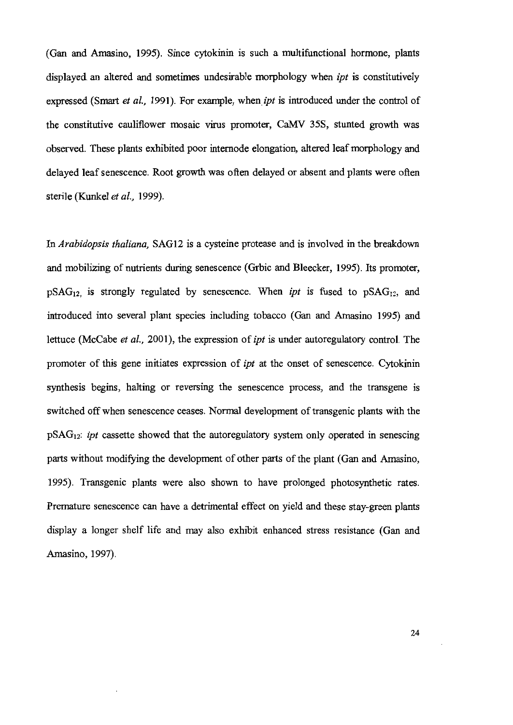(Gan and Amasino, 1995). Since cytokinin is such a multifunctional hormone, plants displayed an altered and sometimes undesirable morphology when *ipt* is constitutively expressed (Smart et al., 1991). For example, when ipt is introduced under the control of the constitutive cauliflower mosaic virus promoter, CaMV 35S, stunted growth was observed. These plants exhibited poor internode elongation, altered leaf morphology and delayed leaf senescence. Root growth was often delayed or absent and plants were often sterile (Kunkel *et al.*, 1999).

In Arabidopsis thaliana, SAG12 is a cysteine protease and is involved in the breakdown and mobilizing of nutrients during senescence (Grbic and Bleecker, 1995). Its promoter,  $pSAG_{12}$  is strongly regulated by senescence. When *ipt* is fused to  $pSAG_{12}$ , and introduced into several plant species including tobacco (Gan and Amasino 1995) and lettuce (McCabe *et al.*, 2001), the expression of *ipt* is under autoregulatory control. The promoter of this gene initiates expression of *ipt* at the onset of senescence. Cytokinin synthesis begins, halting or reversing the senescence process, and the transgene is switched off when senescence ceases. Normal development of transgenic plants with the  $pSAG_{12}$ : *ipt* cassette showed that the autoregulatory system only operated in senescing parts without modifying the development of other parts of the plant (Gan and Amasino, 1995). Transgenic plants were also shown to have prolonged photosynthetic rates. Premature senescence can have a detrimental effect on yield and these stay-green plants display a longer shelf life and may also exhibit enhanced stress resistance (Gan and Amasino, 1997).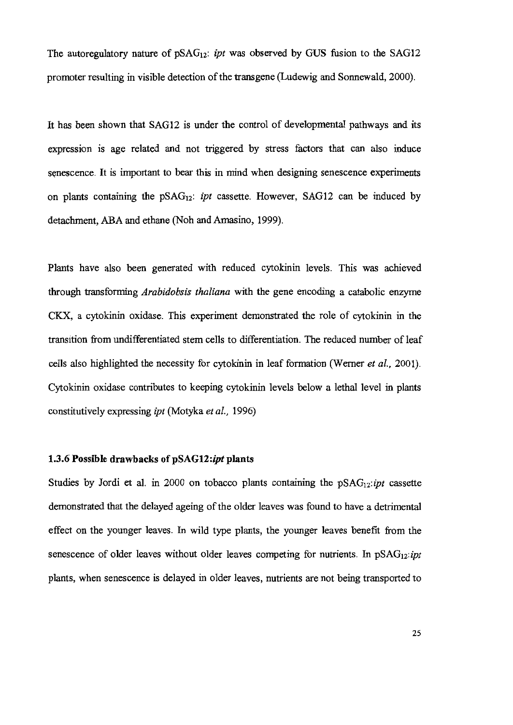The autoregulatory nature of  $pSAG_{12}$ : *ipt* was observed by GUS fusion to the SAG12 promoter resulting in visible detection of the transgene (Ludewig and Sonnewald, 2000).

It has been shown that SAG12 is under the control of developmental pathways and its expression is age related and not triggered by stress factors that can also induce senescence. It is important to bear this in mind when designing senescence experiments on plants containing the  $pSAG_{12}$ : *ipt* cassette. However, SAG12 can be induced by detachment, ABA and ethane (Noh and Amasino, 1999).

Plants have also been generated with reduced cytokinin levels. This was achieved through transforming *Arabidobsis thaliana* with the gene encoding a catabolic enzyme CKX, a cytokinin oxidase. This experiment demonstrated the role of cytokinin in the transition from undifferentiated stem cells to differentiation. The reduced number of leaf cells also highlighted the necessity for cytokinin in leaf formation (Werner et al., 2001). Cytokinin oxidase contributes to keeping cytokinin levels below a lethal level in plants constitutively expressing ipt (Motyka et al., 1996)

#### 1.3.6 Possible drawbacks of pSAG12:ipt plants

Studies by Jordi et al. in 2000 on tobacco plants containing the  $pSAG_{12}:pt$  cassette demonstrated that the delayed ageing of the older leaves was found to have a detrimental effect on the younger leaves. In wild type plants, the younger leaves benefit from the senescence of older leaves without older leaves competing for nutrients. In  $pSAG_{12}:ipt$ plants, when senescence is delayed in older leaves, nutrients are not being transported to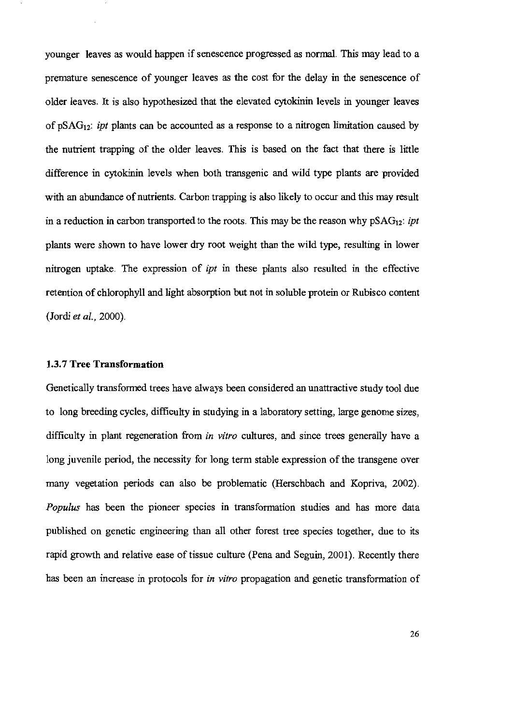younger leaves as would happen if senescence progressed as normal. This may lead to a premature senescence of younger leaves as the cost for the delay in the senescence of older leaves. It is also hypothesized that the elevated cytokinin levels in younger leaves of  $pSAG_{12}$ : *ipt* plants can be accounted as a response to a nitrogen limitation caused by the nutrient trapping of the older leaves. This is based on the fact that there is little difference in cytokinin levels when both transgenic and wild type plants are provided with an abundance of nutrients. Carbon trapping is also likely to occur and this may result in a reduction in carbon transported to the roots. This may be the reason why  $pSAG_{12}$ : ipt plants were shown to have lower dry root weight than the wild type, resulting in lower nitrogen uptake. The expression of *ipt* in these plants also resulted in the effective retention of chlorophyll and light absorption but not in soluble protein or Rubisco content (Jordi et al., 2000).

#### 1.3.7 Tree Transformation

Genetically transformed trees have always been considered an unattractive study tool due to long breeding cycles, difficulty in studying in a laboratory setting, large genome sizes, difficulty in plant regeneration from *in vitro* cultures, and since trees generally have a long juvenile period, the necessity for long term stable expression of the transgene over many vegetation periods can also be problematic (Herschbach and Kopriva, 2002). Populus has been the pioneer species in transformation studies and has more data published on genetic engineering than all other forest tree species together, due to its rapid growth and relative ease of tissue culture (Pena and Seguin, 2001). Recently there has been an increase in protocols for *in vitro* propagation and genetic transformation of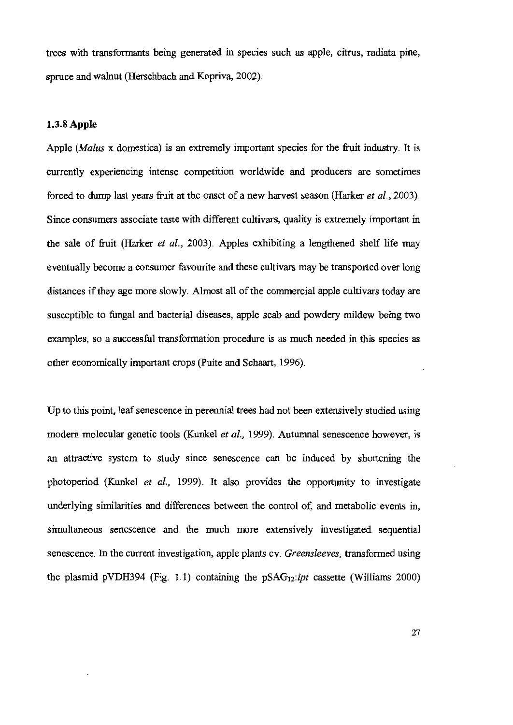trees with transformants being generated in species such as apple, citrus, radiata pine, spruce and walnut (Herschbach and Kopriva, 2002).

#### 1.3.8 Apple

Apple (Malus x domestica) is an extremely important species for the fruit industry. It is currently experiencing intense competition worldwide and producers are sometimes forced to dump last years fruit at the onset of a new harvest season (Harker et al., 2003). Since consumers associate taste with different cultivars, quality is extremely important in the sale of fruit (Harker et al., 2003). Apples exhibiting a lengthened shelf life may eventually become a consumer favourite and these cultivars may be transported over long distances if they age more slowly. Almost all of the commercial apple cultivars today are susceptible to fungal and bacterial diseases, apple scab and powdery mildew being two examples, so a successful transformation procedure is as much needed in this species as other economically important crops (Puite and Schaart, 1996).

Up to this point, leaf senescence in perennial trees had not been extensively studied using modern molecular genetic tools (Kunkel et al., 1999). Autumnal senescence however, is an attractive system to study since senescence can be induced by shortening the photoperiod (Kunkel et al., 1999). It also provides the opportunity to investigate underlying similarities and differences between the control of, and metabolic events in, simultaneous senescence and the much more extensively investigated sequential senescence. In the current investigation, apple plants cv. Greensleeves, transformed using the plasmid pVDH394 (Fig. 1.1) containing the  $pSAG_{12}:ipt$  cassette (Williams 2000)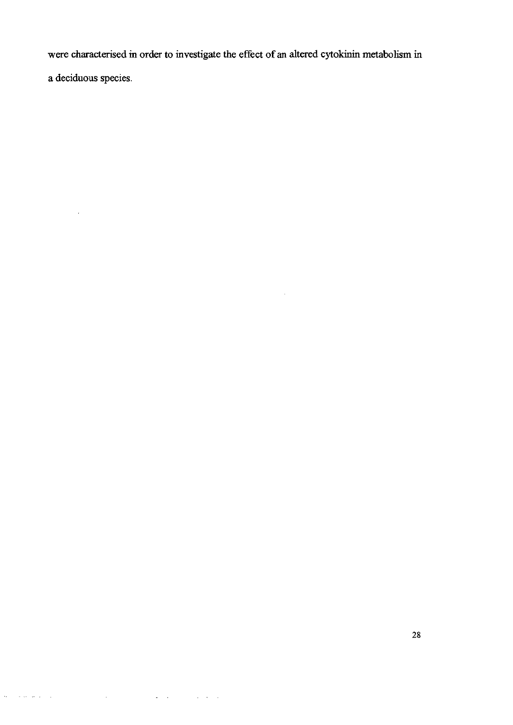were characterised in order to investigate the effect of an altered cytokinin metabolism in a deciduous species.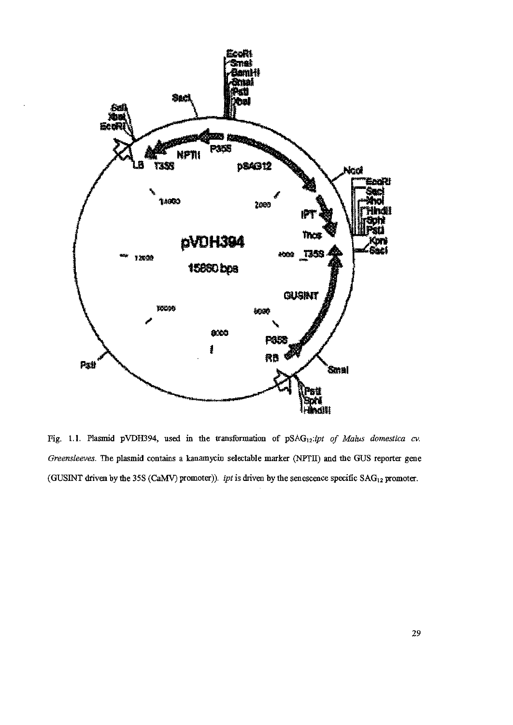

Fig. 1.1. Plasmid pVDH394, used in the transformation of pSAG<sub>12</sub>:ipt of Malus domestica cv. Greensleeves. The plasmid contains a kanamycin selectable marker (NPTII) and the GUS reporter gene (GUSINT driven by the 35S (CaMV) promoter)). ipt is driven by the senescence specific SAG<sub>12</sub> promoter.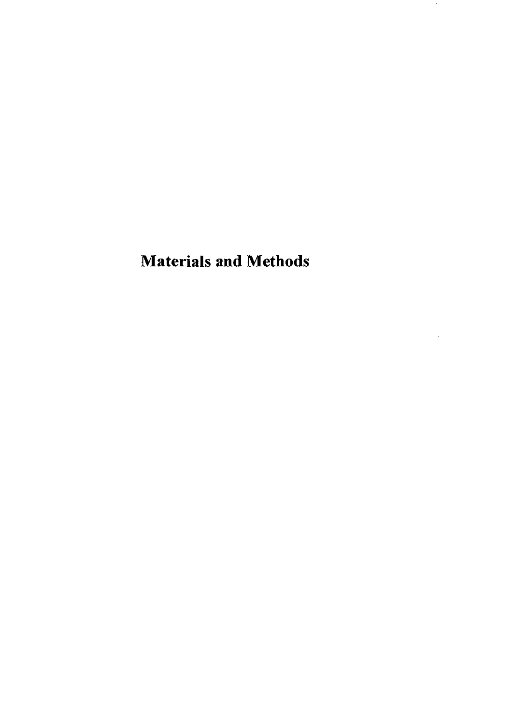## **Materials and Methods**

 $\boldsymbol{\beta}$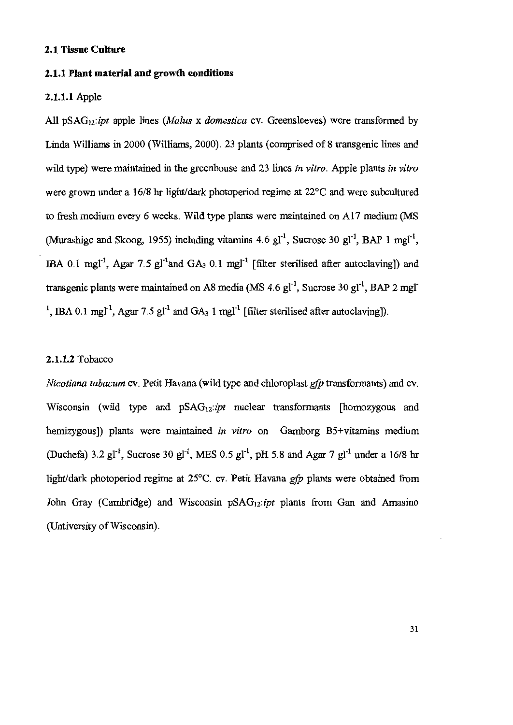#### 2.1 Tissue Culture

#### 2.1.1 Plant material and growth conditions

#### 2.1.1.1 Apple

All  $pSAG_{12}:ipt$  apple lines (*Malus x domestica* cv. Greensleeves) were transformed by Linda Williams in 2000 (Williams, 2000). 23 plants (comprised of 8 transgenic lines and wild type) were maintained in the greenhouse and 23 lines in vitro. Apple plants in vitro were grown under a 16/8 hr light/dark photoperiod regime at 22<sup>o</sup>C and were subcultured to fresh medium every 6 weeks. Wild type plants were maintained on A17 medium (MS (Murashige and Skoog, 1955) including vitamins 4.6 gl<sup>-1</sup>, Sucrose 30 gl<sup>-1</sup>, BAP 1 mgl<sup>-1</sup>, IBA 0.1 mgl<sup>-1</sup>, Agar 7.5 gl<sup>-1</sup> and GA<sub>3</sub> 0.1 mgl<sup>-1</sup> [filter sterilised after autoclaving]) and transgenic plants were maintained on A8 media (MS 4.6  $gl<sup>-1</sup>$ , Sucrose 30  $gl<sup>-1</sup>$ , BAP 2 mgl <sup>1</sup>, IBA 0.1 mgl<sup>-1</sup>, Agar 7.5 gl<sup>-1</sup> and GA<sub>3</sub> 1 mgl<sup>-1</sup> [filter sterilised after autoclaving]).

### 2.1.1.2 Tobacco

*Nicotiana tabacum* cv. Petit Havana (wild type and chloroplast *gfp* transformants) and cv. Wisconsin (wild type and  $pSAG_{12}:ipt$  nuclear transformants [homozygous and hemizygous]) plants were maintained in vitro on Gamborg B5+vitamins medium (Duchefa) 3.2 gl<sup>-1</sup>, Sucrose 30 gl<sup>-1</sup>, MES 0.5 gl<sup>-1</sup>, pH 5.8 and Agar 7 gl<sup>-1</sup> under a 16/8 hr light/dark photoperiod regime at 25°C. cv. Petit Havana gfp plants were obtained from John Gray (Cambridge) and Wisconsin pSAG<sub>12</sub>: ipt plants from Gan and Amasino (Untiversity of Wisconsin).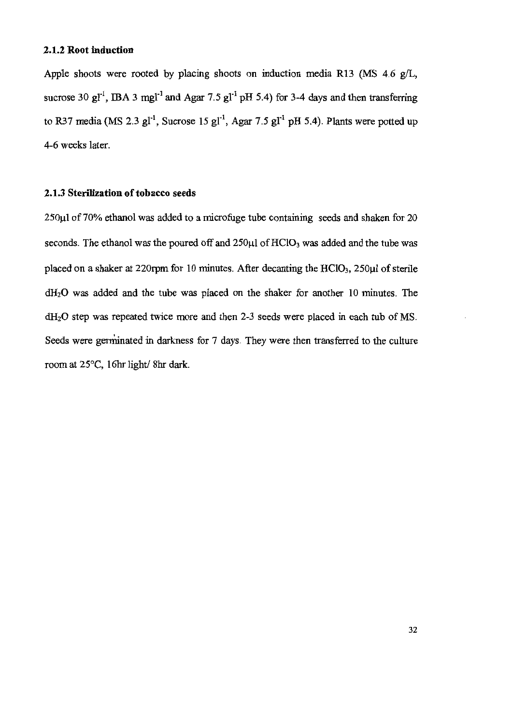#### 2.1.2 Root induction

Apple shoots were rooted by placing shoots on induction media R13 (MS 4.6 g/L, sucrose 30 g<sub>I</sub><sup>-1</sup>, IBA 3 mg<sub>I</sub><sup>-1</sup> and Agar 7.5 g<sub>I</sub><sup>-1</sup> pH 5.4) for 3-4 days and then transferring to R37 media (MS 2.3  $gl<sup>-1</sup>$ , Sucrose 15  $gl<sup>-1</sup>$ , Agar 7.5  $gl<sup>-1</sup>$  pH 5.4). Plants were potted up 4-6 weeks later.

#### 2.1.3 Sterilization of tobacco seeds

250µl of 70% ethanol was added to a microfuge tube containing seeds and shaken for 20 seconds. The ethanol was the poured off and  $250\mu$ l of  $HCIO<sub>3</sub>$  was added and the tube was placed on a shaker at 220rpm for 10 minutes. After decanting the  $HCIO<sub>3</sub>$ , 250 $\mu$ l of sterile dH<sub>2</sub>O was added and the tube was placed on the shaker for another 10 minutes. The dH<sub>2</sub>O step was repeated twice more and then 2-3 seeds were placed in each tub of MS. Seeds were germinated in darkness for 7 days. They were then transferred to the culture room at 25°C, 16hr light/8hr dark.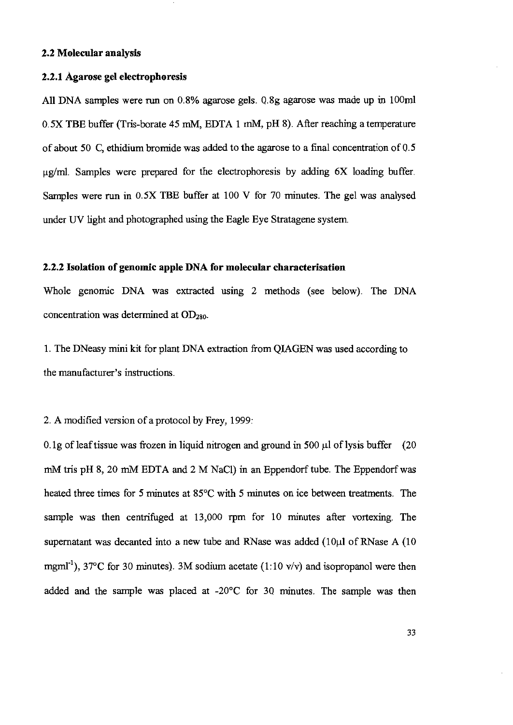#### 2.2 Molecular analysis

#### 2.2.1 Agarose gel electrophoresis

All DNA samples were run on 0.8% agarose gels. 0.8g agarose was made up in 100ml 0.5X TBE buffer (Tris-borate 45 mM, EDTA 1 mM, pH 8). After reaching a temperature of about 50 C, ethidium bromide was added to the agarose to a final concentration of 0.5  $\mu$ g/ml. Samples were prepared for the electrophoresis by adding  $6X$  loading buffer. Samples were run in 0.5X TBE buffer at 100 V for 70 minutes. The gel was analysed under UV light and photographed using the Eagle Eye Stratagene system.

#### 2.2.2 Isolation of genomic apple DNA for molecular characterisation

Whole genomic DNA was extracted using 2 methods (see below). The DNA concentration was determined at OD<sub>280</sub>.

1. The DNeasy mini kit for plant DNA extraction from QIAGEN was used according to the manufacturer's instructions.

2. A modified version of a protocol by Frey, 1999:

0.1g of leaf tissue was frozen in liquid nitrogen and ground in 500  $\mu$ l of lysis buffer (20 mM tris pH 8, 20 mM EDTA and 2 M NaCl) in an Eppendorf tube. The Eppendorf was heated three times for 5 minutes at 85°C with 5 minutes on ice between treatments. The sample was then centrifuged at 13,000 rpm for 10 minutes after vortexing. The supernatant was decanted into a new tube and RNase was added  $(10\mu l)$  of RNase A  $(10$ mgml<sup>-1</sup>), 37°C for 30 minutes). 3M sodium acetate (1:10 v/v) and isopropanol were then added and the sample was placed at -20°C for 30 minutes. The sample was then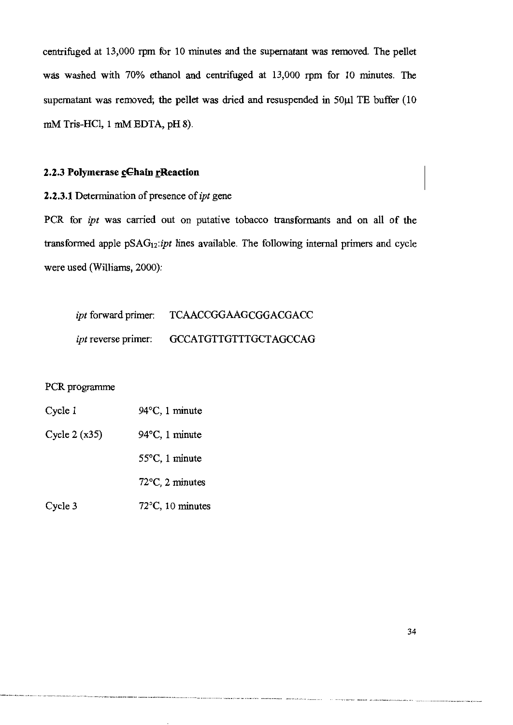centrifuged at 13,000 rpm for 10 minutes and the supernatant was removed. The pellet was washed with 70% ethanol and centrifuged at 13,000 rpm for 10 minutes. The supernatant was removed; the pellet was dried and resuspended in 50µl TE buffer (10 mM Tris-HCl, 1 mM EDTA, pH 8).

### 2.2.3 Polymerase cChain rReaction

2.2.3.1 Determination of presence of ipt gene

PCR for *ipt* was carried out on putative tobacco transformants and on all of the transformed apple pSAG<sub>12</sub>:ipt lines available. The following internal primers and cycle were used (Williams, 2000):

| <i>ipt</i> forward primer: | <b>TCAACCGGAAGCGGACGACC</b>  |
|----------------------------|------------------------------|
| <i>ipt</i> reverse primer: | <b>GCCATGTTGTTTGCTAGCCAG</b> |

### PCR programme

| Cycle 1        | 94°C, 1 minute             |
|----------------|----------------------------|
| Cycle $2(x35)$ | $94^{\circ}$ C, 1 minute   |
|                | $55^{\circ}$ C, 1 minute   |
|                | 72°C, 2 minutes            |
| Cycle 3        | $72^{\circ}$ C, 10 minutes |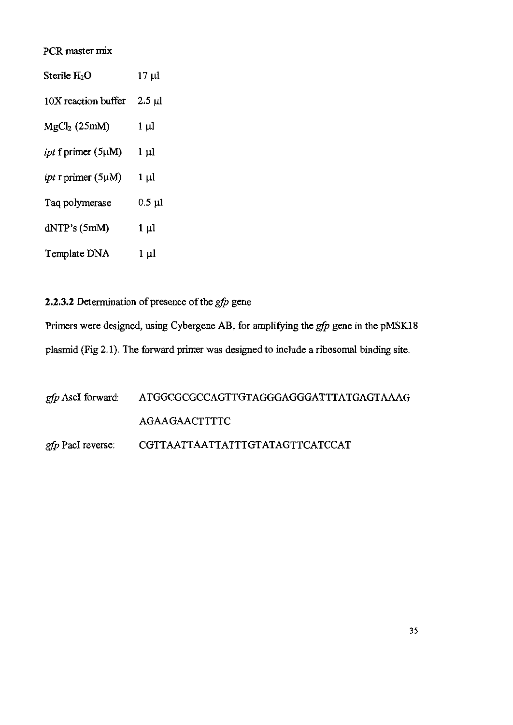### PCR master mix

| Sterile H2O                     | $17 \mu l$  |
|---------------------------------|-------------|
| 10X reaction buffer             | $2.5 \mu$   |
| MgCl <sub>2</sub> (25mM)        | $1 \mu l$   |
| <i>ipt</i> f primer $(5\mu M)$  | $1 \mu l$   |
| <i>ipt</i> r primer $(5 \mu M)$ | $1 \mu l$   |
| Taq polymerase                  | $0.5 \mu l$ |
| dNTP's(5mM)                     | $1 \mu l$   |
| Template DNA                    | $1 \mu l$   |

2.2.3.2 Determination of presence of the  $gfp$  gene

Primers were designed, using Cybergene AB, for amplifying the  $g/p$  gene in the pMSK18 plasmid (Fig 2.1). The forward primer was designed to include a ribosomal binding site.

| gfp AscI forward: ATGGCGCGCCAGTTGTAGGGAGGGATTTATGAGTAAAG |
|----------------------------------------------------------|
| AGAAGAACTTTTC                                            |
| gfp PacI reverse: CGTTAATTAATTATTTGTATAGTTCATCCAT        |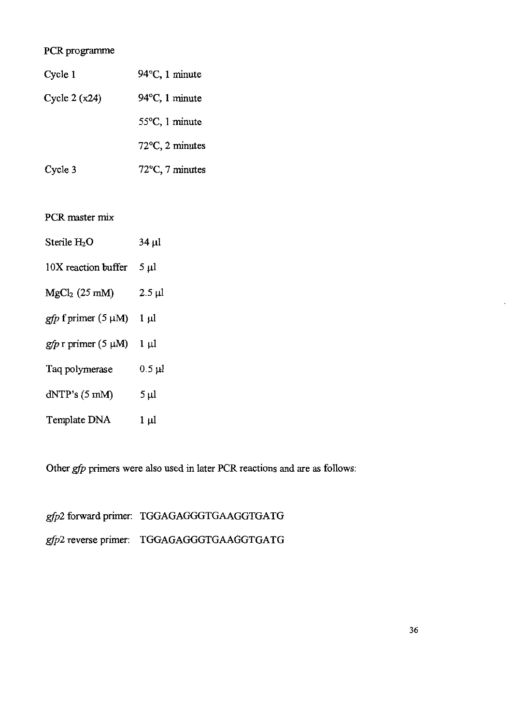# PCR programme

| Cycle 1        | $94^{\circ}$ C, 1 minute  |
|----------------|---------------------------|
| Cycle $2(x24)$ | $94^{\circ}$ C, 1 minute  |
|                | $55^{\circ}$ C, 1 minute  |
|                | $72^{\circ}$ C, 2 minutes |
| Cycle 3        | $72^{\circ}$ C, 7 minutes |

PCR master mix

| Sterile $H_2O$           | 34 ul                  |
|--------------------------|------------------------|
| 10X reaction buffer      | 5 µl                   |
| $MgCl2$ (25 mM)          | $2.5 \mu l$            |
| gfp f primer $(5 \mu M)$ | $1 \mu l$              |
| $gfp$ r primer (5 µM)    | 1 µl                   |
| Taq polymerase           | $0.5 \,\mathrm{\mu l}$ |
| dNTP's (5 mM)            | 5 µl                   |

Template DNA  $1 \mu l$ 

Other gfp primers were also used in later PCR reactions and are as follows:

gfp2 forward primer: TGGAGAGGGTGAAGGTGATG gfp2 reverse primer: TGGAGAGGGTGAAGGTGATG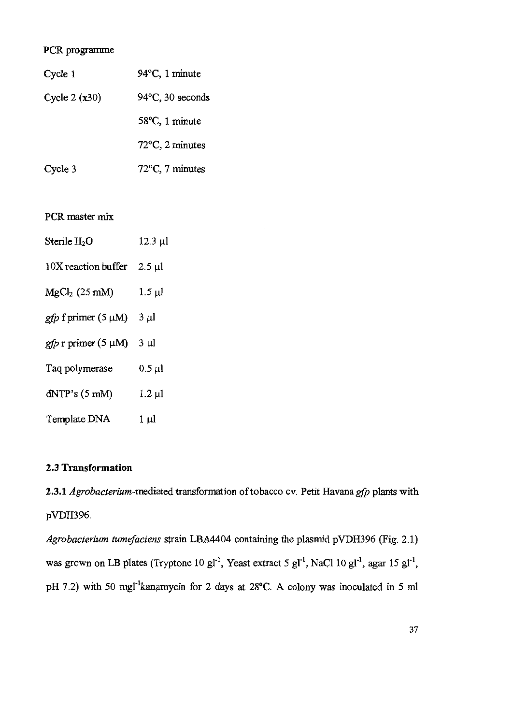# PCR programme

| Cycle 1         | $94^{\circ}$ C, 1 minute   |
|-----------------|----------------------------|
| Cycle 2 $(x30)$ | $94^{\circ}$ C, 30 seconds |
|                 | $58^{\circ}$ C, 1 minute   |
|                 | $72^{\circ}$ C, 2 minutes  |
| Cycle 3         | $72^{\circ}$ C, 7 minutes  |

PCR master mix

| Sterile $H_2O$             | $12.3 \mu l$ |
|----------------------------|--------------|
| 10X reaction buffer        | $2.5 \mu l$  |
| $MgCl2$ (25 mM)            | $1.5 \mu l$  |
| $gfp$ f primer (5 $\mu$ M) | $3 \mu l$    |
| $gfp$ r primer (5 µM)      | $3 \mu$      |
| Taq polymerase             | $0.5 \mu l$  |
| dNTP's (5 mM)              | $1.2 \mu l$  |
| Template DNA               | 1 µl         |

# 2.3 Transformation

2.3.1 Agrobacterium-mediated transformation of tobacco cv. Petit Havana gfp plants with pVDH396.

Agrobacterium tumefaciens strain LBA4404 containing the plasmid pVDH396 (Fig. 2.1) was grown on LB plates (Tryptone 10 gl<sup>-1</sup>, Yeast extract 5 gl<sup>-1</sup>, NaCl 10 gl<sup>-1</sup>, agar 15 gl<sup>-1</sup>, pH 7.2) with 50 mgl<sup>-1</sup>kanamycin for 2 days at 28°C. A colony was inoculated in 5 ml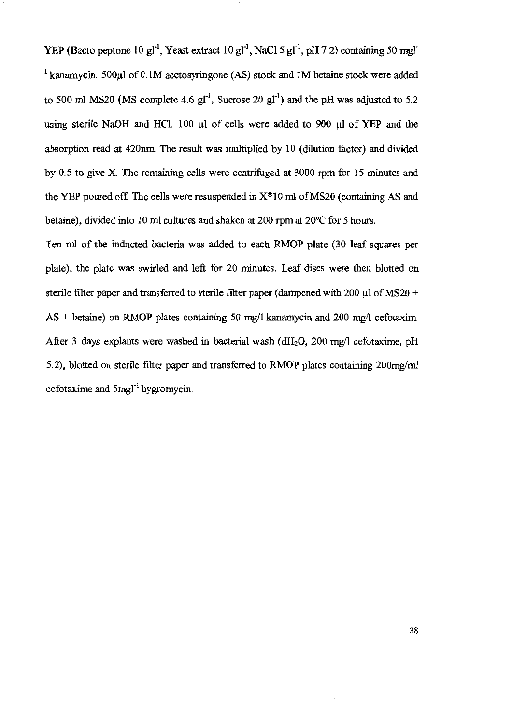YEP (Bacto peptone 10 gl<sup>-1</sup>, Yeast extract 10 gl<sup>-1</sup>, NaCl 5 gl<sup>-1</sup>, pH 7.2) containing 50 mgl<sup>-</sup> <sup>1</sup> kanamycin. 500 $\mu$ l of 0.1M acetosyringone (AS) stock and 1M betaine stock were added to 500 ml MS20 (MS complete 4.6  $gl^{-1}$ , Sucrose 20  $gl^{-1}$ ) and the pH was adjusted to 5.2 using sterile NaOH and HCl. 100 µl of cells were added to 900 µl of YEP and the absorption read at 420nm. The result was multiplied by 10 (dilution factor) and divided by 0.5 to give X. The remaining cells were centrifuged at 3000 rpm for 15 minutes and the YEP poured off. The cells were resuspended in  $X^*10$  ml of MS20 (containing AS and betaine), divided into 10 ml cultures and shaken at 200 rpm at 20 °C for 5 hours.

Ten ml of the inducted bacteria was added to each RMOP plate (30 leaf squares per plate), the plate was swirled and left for 20 minutes. Leaf discs were then blotted on sterile filter paper and transferred to sterile filter paper (dampened with 200  $\mu$ l of MS20 +  $AS + \text{beta}$  on RMOP plates containing 50 mg/l kanamycin and 200 mg/l cefotaxim. After 3 days explants were washed in bacterial wash ( $dH_2O$ , 200 mg/l cefotaxime, pH 5.2), blotted on sterile filter paper and transferred to RMOP plates containing 200mg/ml cefotaxime and  $5$ mgl<sup>-1</sup> hygromycin.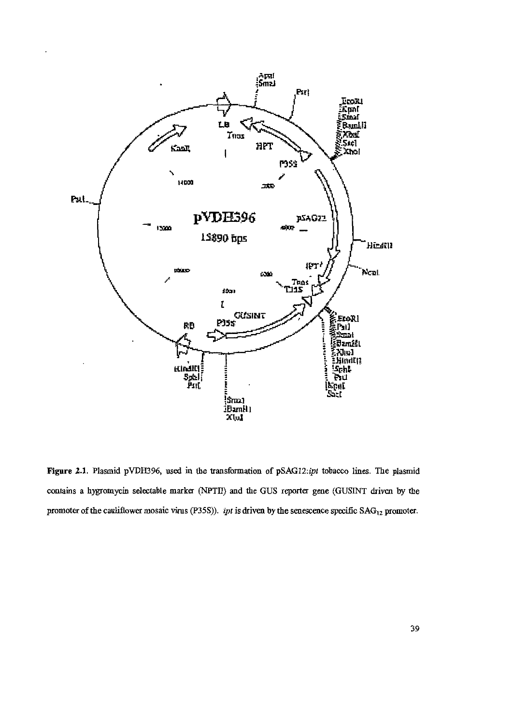

Figure 2.1. Plasmid pVDH396, used in the transformation of pSAG12:ipt tobacco lines. The plasmid contains a hygromycin selectable marker (NPTII) and the GUS reporter gene (GUSINT driven by the promoter of the cauliflower mosaic virus (P35S)). *ipt* is driven by the senescence specific  $SAG_{12}$  promoter.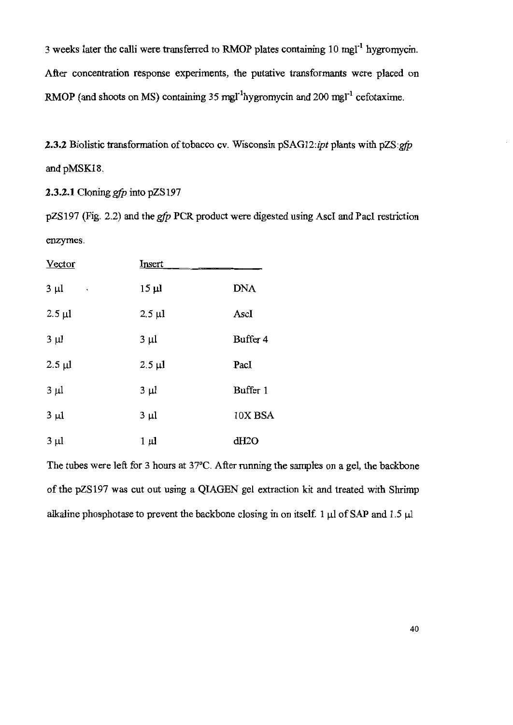3 weeks later the calli were transferred to RMOP plates containing 10 mgl<sup>-1</sup> hygromycin. After concentration response experiments, the putative transformants were placed on RMOP (and shoots on MS) containing 35 mgl<sup>-1</sup>hygromycin and 200 mgl<sup>-1</sup> cefotaxime.

2.3.2 Biolistic transformation of tobacco cv. Wisconsin pSAG12:ipt plants with pZS:gfp and pMSK18.

**2.3.2.1** Cloning  $gfp$  into  $pZS197$ 

pZS197 (Fig. 2.2) and the gfp PCR product were digested using AscI and PacI restriction enzymes.

| <u>Vector</u>  | <u>Insert</u> |            |
|----------------|---------------|------------|
| $3 \mu l$<br>۰ | $15 \mu l$    | <b>DNA</b> |
| $2.5 \mu l$    | $2.5 \mu l$   | AscI       |
| $3 \mu l$      | $3 \mu l$     | Buffer 4   |
| $2.5 \mu l$    | $2.5 \mu l$   | PacI       |
| $3 \mu l$      | $3 \mu l$     | Buffer 1   |
| $3 \mu l$      | $3 \mu l$     | 10X BSA    |
| $3 \mu l$      | $1 \mu l$     | dH2O       |

The tubes were left for 3 hours at 37°C. After running the samples on a gel, the backbone of the pZS197 was cut out using a QIAGEN gel extraction kit and treated with Shrimp alkaline phosphotase to prevent the backbone closing in on itself. 1  $\mu$ l of SAP and 1.5  $\mu$ l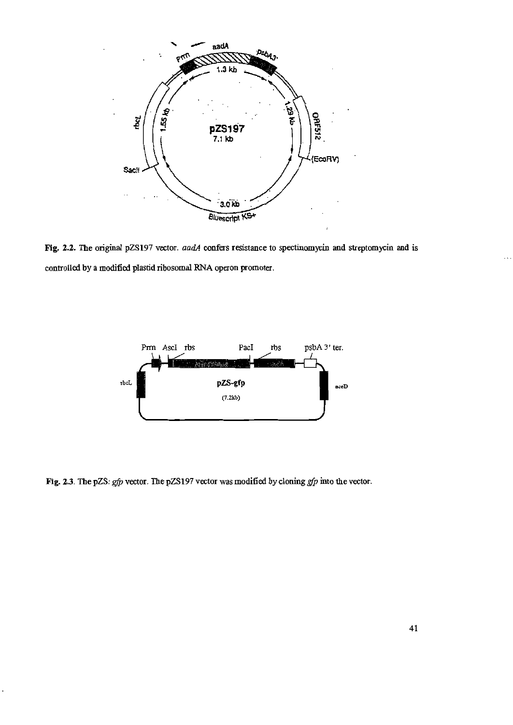

Fig. 2.2. The original pZS197 vector. aadA confers resistance to spectinomycin and streptomycin and is controlled by a modified plastid ribosomal RNA operon promoter.



Fig. 2.3. The pZS: gfp vector. The pZS197 vector was modified by cloning gfp into the vector.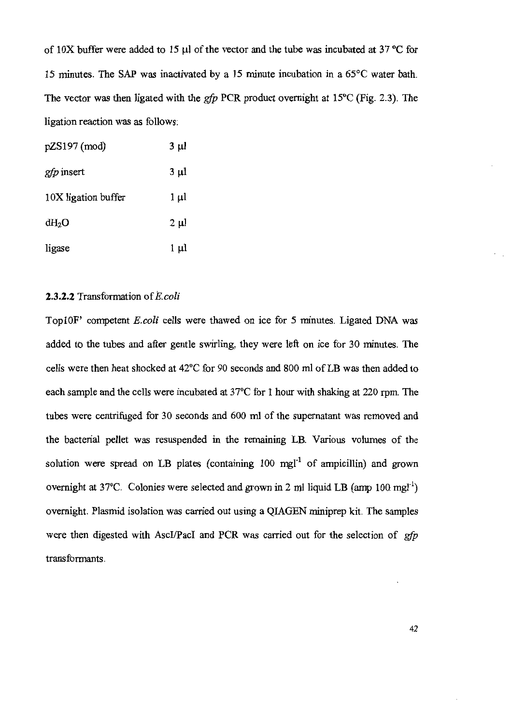of 10X buffer were added to 15  $\mu$ l of the vector and the tube was incubated at 37 °C for 15 minutes. The SAP was inactivated by a 15 minute incubation in a 65°C water bath. The vector was then ligated with the  $gfp$  PCR product overnight at 15°C (Fig. 2.3). The ligation reaction was as follows:

| pZS197 (mod)        | $3 \mu l$ |
|---------------------|-----------|
| <i>gfp</i> insert   | $3 \mu l$ |
| 10X ligation buffer | 1 µl      |
| $dH_2O$             | $2 \mu$   |
| ligase              | 1 µl      |

## 2.3.2.2 Transformation of E.coli

Top10F' competent E.coli cells were thawed on ice for 5 minutes. Ligated DNA was added to the tubes and after gentle swirling, they were left on ice for 30 minutes. The cells were then heat shocked at 42°C for 90 seconds and 800 ml of LB was then added to each sample and the cells were incubated at 37°C for 1 hour with shaking at 220 rpm. The tubes were centrifuged for 30 seconds and 600 ml of the supernatant was removed and the bacterial pellet was resuspended in the remaining LB. Various volumes of the solution were spread on LB plates (containing 100 mgl<sup>-1</sup> of ampicillin) and grown overnight at 37<sup>o</sup>C. Colonies were selected and grown in 2 ml liquid LB (amp 100 mgl<sup>-1</sup>) overnight. Plasmid isolation was carried out using a QIAGEN miniprep kit. The samples were then digested with AscI/PacI and PCR was carried out for the selection of gfp transformants.

42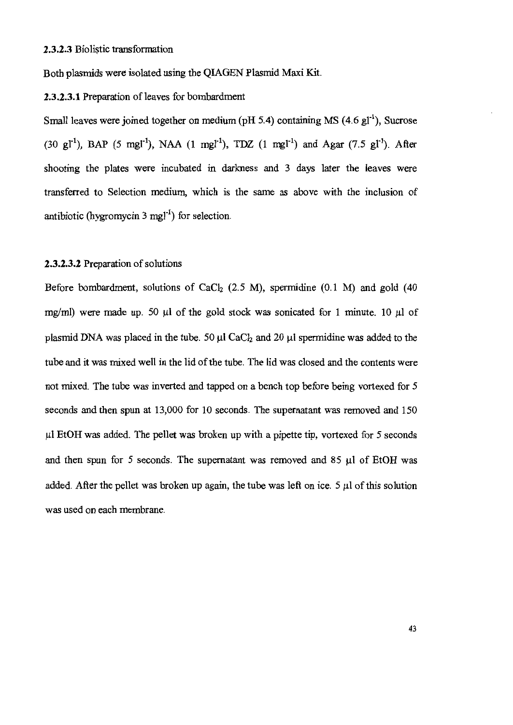Both plasmids were isolated using the QIAGEN Plasmid Maxi Kit.

## 2.3.2.3.1 Preparation of leaves for bombardment

Small leaves were joined together on medium (pH 5.4) containing MS  $(4.6 \text{ gl}^{-1})$ , Sucrose (30 gl<sup>-1</sup>), BAP (5 mgl<sup>-1</sup>), NAA (1 mgl<sup>-1</sup>), TDZ (1 mgl<sup>-1</sup>) and Agar (7.5 gl<sup>-1</sup>). After shooting the plates were incubated in darkness and 3 days later the leaves were transferred to Selection medium, which is the same as above with the inclusion of antibiotic (hygromycin  $3 \text{ mgl}^{-1}$ ) for selection.

# 2.3.2.3.2 Preparation of solutions

Before bombardment, solutions of CaCl<sub>2</sub> (2.5 M), spermidine (0.1 M) and gold (40 mg/ml) were made up. 50  $\mu$ l of the gold stock was sonicated for 1 minute. 10  $\mu$ l of plasmid DNA was placed in the tube. 50  $\mu$ l CaCl<sub>2</sub> and 20  $\mu$ l spermidine was added to the tube and it was mixed well in the lid of the tube. The lid was closed and the contents were not mixed. The tube was inverted and tapped on a bench top before being vortexed for 5 seconds and then spun at 13,000 for 10 seconds. The supernatant was removed and 150 µl EtOH was added. The pellet was broken up with a pipette tip, vortexed for 5 seconds and then spun for 5 seconds. The supernatant was removed and 85  $\mu$ l of EtOH was added. After the pellet was broken up again, the tube was left on ice. 5 µl of this solution was used on each membrane.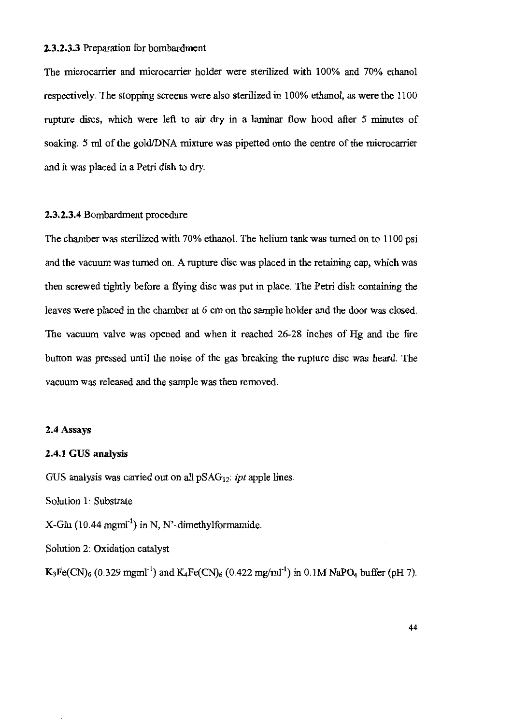### 2.3.2.3.3 Preparation for bombardment

The microcarrier and microcarrier holder were sterilized with 100% and 70% ethanol respectively. The stopping screens were also sterilized in 100% ethanol, as were the 1100 rupture discs, which were left to air dry in a laminar flow hood after 5 minutes of soaking. 5 ml of the gold/DNA mixture was pipetted onto the centre of the microcarrier and it was placed in a Petri dish to dry.

## 2.3.2.3.4 Bombardment procedure

The chamber was sterilized with 70% ethanol. The helium tank was turned on to 1100 psi and the vacuum was turned on. A rupture disc was placed in the retaining cap, which was then screwed tightly before a flying disc was put in place. The Petri dish containing the leaves were placed in the chamber at 6 cm on the sample holder and the door was closed. The vacuum valve was opened and when it reached 26-28 inches of Hg and the fire button was pressed until the noise of the gas breaking the rupture disc was heard. The vacuum was released and the sample was then removed.

### 2.4 Assays

## 2.4.1 GUS analysis

GUS analysis was carried out on all  $pSAG_{12}$ : *ipt* apple lines.

Solution 1: Substrate

 $X-Glu$  (10.44 mgml<sup>-1</sup>) in N, N'-dimethylformamide.

Solution 2. Oxidation catalyst

 $K_3Fe(CN)_6$  (0.329 mgml<sup>-1</sup>) and  $K_4Fe(CN)_6$  (0.422 mg/ml<sup>-1</sup>) in 0.1M NaPO<sub>4</sub> buffer (pH 7).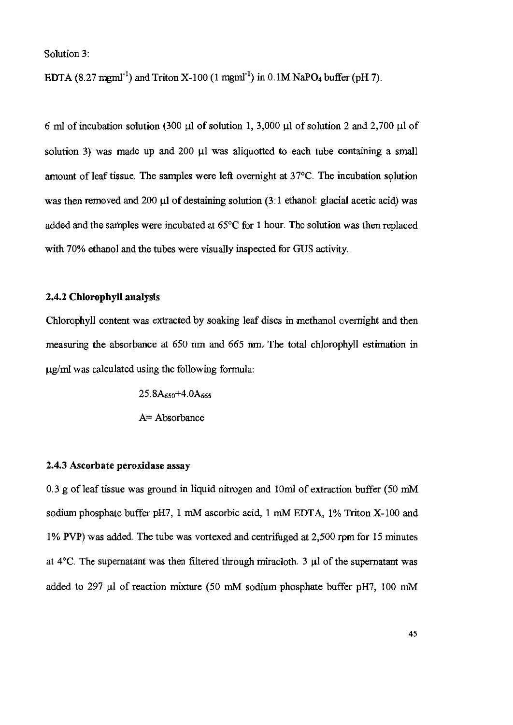Solution 3:

EDTA  $(8.27 \text{ mm}^{-1})$  and Triton X-100  $(1 \text{ mm}^{-1})$  in 0.1M NaPO<sub>4</sub> buffer (pH 7).

6 ml of incubation solution (300  $\mu$ l of solution 1, 3,000  $\mu$ l of solution 2 and 2,700  $\mu$ l of solution 3) was made up and 200  $\mu$ l was aliquotted to each tube containing a small amount of leaf tissue. The samples were left overnight at 37°C. The incubation solution was then removed and 200 µl of destaining solution (3:1 ethanol: glacial acetic acid) was added and the samples were incubated at 65°C for 1 hour. The solution was then replaced with 70% ethanol and the tubes were visually inspected for GUS activity.

# 2.4.2 Chlorophyll analysis

Chlorophyll content was extracted by soaking leaf discs in methanol overnight and then measuring the absorbance at 650 nm and 665 nm. The total chlorophyll estimation in ug/ml was calculated using the following formula:

> $25.8A_{650}+4.0A_{665}$ A= Absorbance

## 2.4.3 Ascorbate peroxidase assay

0.3 g of leaf tissue was ground in liquid nitrogen and 10ml of extraction buffer (50 mM sodium phosphate buffer pH7, 1 mM ascorbic acid, 1 mM EDTA, 1% Triton X-100 and 1% PVP) was added. The tube was vortexed and centrifuged at 2,500 rpm for 15 minutes at  $4^{\circ}$ C. The supernatant was then filtered through miracloth. 3 µl of the supernatant was added to 297 µl of reaction mixture (50 mM sodium phosphate buffer pH7, 100 mM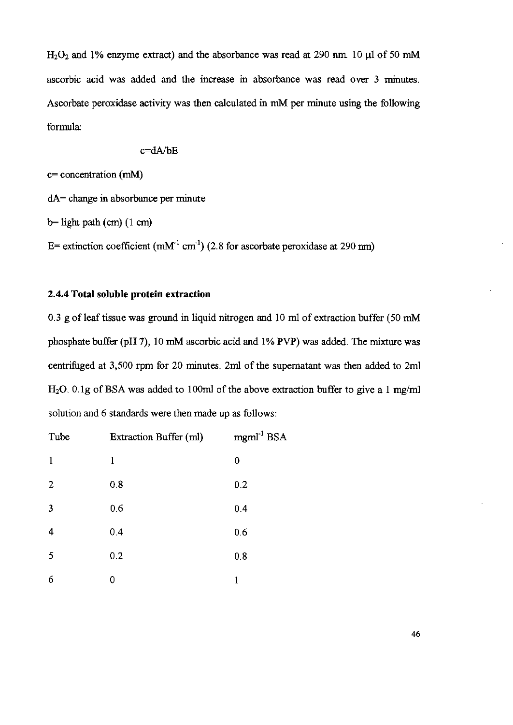$H<sub>2</sub>O<sub>2</sub>$  and 1% enzyme extract) and the absorbance was read at 290 nm. 10 µl of 50 mM ascorbic acid was added and the increase in absorbance was read over 3 minutes. Ascorbate peroxidase activity was then calculated in mM per minute using the following formula:

$$
c = dA/bE
$$

 $c=$  concentration (mM)

 $dA$  = change in absorbance per minute

 $b=$  light path (cm) (1 cm)

E= extinction coefficient ( $mM<sup>-1</sup>$  cm<sup>-1</sup>) (2.8 for ascorbate peroxidase at 290 nm)

# 2.4.4 Total soluble protein extraction

0.3 g of leaf tissue was ground in liquid nitrogen and 10 ml of extraction buffer (50 mM phosphate buffer (pH 7), 10 mM ascorbic acid and 1% PVP) was added. The mixture was centrifuged at 3,500 rpm for 20 minutes. 2ml of the supernatant was then added to 2ml  $H<sub>2</sub>O$ . 0.1g of BSA was added to 100ml of the above extraction buffer to give a 1 mg/ml solution and 6 standards were then made up as follows:

| Tube           | Extraction Buffer (ml) | $mgml-1 BSA$ |
|----------------|------------------------|--------------|
| 1              | 1                      | 0            |
| $\overline{2}$ | 0.8                    | 0.2          |
| 3              | 0.6                    | 0.4          |
| 4              | 0.4                    | 0.6          |
| 5              | 0.2                    | 0.8          |
| 6              | 0                      | 1            |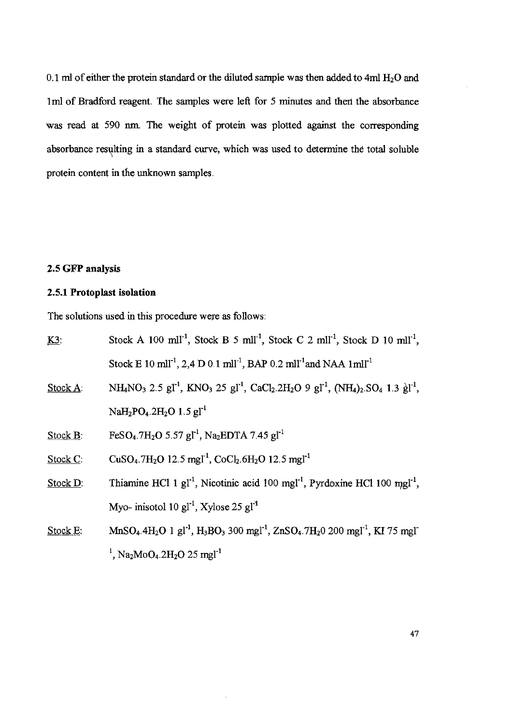0.1 ml of either the protein standard or the diluted sample was then added to 4ml  $H_2O$  and 1ml of Bradford reagent. The samples were left for 5 minutes and then the absorbance was read at 590 nm. The weight of protein was plotted against the corresponding absorbance resulting in a standard curve, which was used to determine the total soluble protein content in the unknown samples.

## 2.5 GFP analysis

# 2.5.1 Protoplast isolation

The solutions used in this procedure were as follows:

| <u>K3</u> | Stock A 100 ml <sup>11</sup> , Stock B 5 ml <sup>11</sup> , Stock C 2 ml <sup>11</sup> , Stock D 10 ml <sup>11</sup> ,                                                                                                          |  |  |
|-----------|---------------------------------------------------------------------------------------------------------------------------------------------------------------------------------------------------------------------------------|--|--|
|           | Stock E 10 ml <sup>-1</sup> , 2,4 D 0.1 ml <sup>-1</sup> , BAP 0.2 ml <sup>-1</sup> and NAA 1ml <sup>-1</sup>                                                                                                                   |  |  |
| Stock A:  | NH <sub>4</sub> NO <sub>3</sub> 2.5 gl <sup>-1</sup> , KNO <sub>3</sub> 25 gl <sup>-1</sup> , CaCl <sub>2</sub> .2H <sub>2</sub> O 9 gl <sup>-1</sup> , (NH <sub>4</sub> ) <sub>2</sub> .SO <sub>4</sub> 1.3 gl <sup>-1</sup> , |  |  |
|           | NaH <sub>2</sub> PO <sub>4</sub> .2H <sub>2</sub> O 1.5 gl <sup>-1</sup>                                                                                                                                                        |  |  |
| Stock B:  | FeSO <sub>4</sub> .7H <sub>2</sub> O 5.57 gl <sup>-1</sup> , Na <sub>2</sub> EDTA 7.45 gl <sup>-1</sup>                                                                                                                         |  |  |
| Stock C:  | $CuSO_4$ .7H <sub>2</sub> O 12.5 mgl <sup>-1</sup> , CoCl <sub>2</sub> .6H <sub>2</sub> O 12.5 mgl <sup>-1</sup>                                                                                                                |  |  |
| Stock D:  | Thiamine HCl 1 $gl-1$ , Nicotinic acid 100 mgl <sup>-1</sup> , Pyrdoxine HCl 100 mgl <sup>-1</sup> ,                                                                                                                            |  |  |
|           | Myo- inisotol 10 $gl-1$ , Xylose 25 $gl-1$                                                                                                                                                                                      |  |  |
| Stock E:  | $MnSO_4.4H_2O$ 1 gl <sup>-1</sup> , $H_3BO_3$ 300 mgl <sup>-1</sup> , ZnSO <sub>4</sub> .7H <sub>2</sub> 0 200 mgl <sup>-1</sup> , KI 75 mgl <sup>-</sup>                                                                       |  |  |
|           | <sup>1</sup> , Na <sub>2</sub> MoO <sub>4</sub> .2H <sub>2</sub> O 25 mgl <sup>-1</sup>                                                                                                                                         |  |  |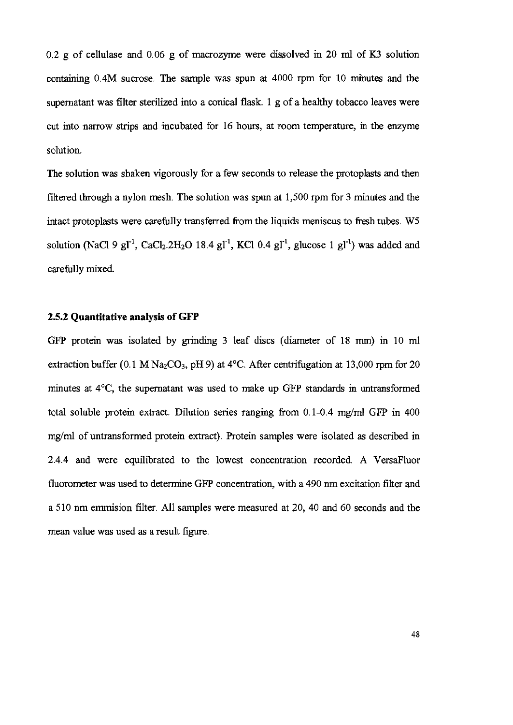$0.2$  g of cellulase and  $0.06$  g of macrozyme were dissolved in 20 ml of K3 solution containing 0.4M sucrose. The sample was spun at 4000 rpm for 10 minutes and the supernatant was filter sterilized into a conical flask. 1 g of a healthy tobacco leaves were cut into narrow strips and incubated for 16 hours, at room temperature, in the enzyme solution.

The solution was shaken vigorously for a few seconds to release the protoplasts and then filtered through a nylon mesh. The solution was spun at 1,500 rpm for 3 minutes and the intact protoplasts were carefully transferred from the liquids meniscus to fresh tubes. W5 solution (NaCl 9 gl<sup>-1</sup>, CaCl<sub>2</sub>.2H<sub>2</sub>O 18.4 gl<sup>-1</sup>, KCl 0.4 gl<sup>-1</sup>, glucose 1 gl<sup>-1</sup>) was added and carefully mixed.

# 2.5.2 Quantitative analysis of GFP

GFP protein was isolated by grinding 3 leaf discs (diameter of 18 mm) in 10 ml extraction buffer (0.1 M Na<sub>2</sub>CO<sub>3</sub>, pH 9) at 4<sup>o</sup>C. After centrifugation at 13,000 rpm for 20 minutes at 4°C, the supernatant was used to make up GFP standards in untransformed total soluble protein extract. Dilution series ranging from 0.1-0.4 mg/ml GFP in 400 mg/ml of untransformed protein extract). Protein samples were isolated as described in 2.4.4 and were equilibrated to the lowest concentration recorded. A VersaFluor fluorometer was used to determine GFP concentration, with a 490 nm excitation filter and a 510 nm emmision filter. All samples were measured at 20, 40 and 60 seconds and the mean value was used as a result figure.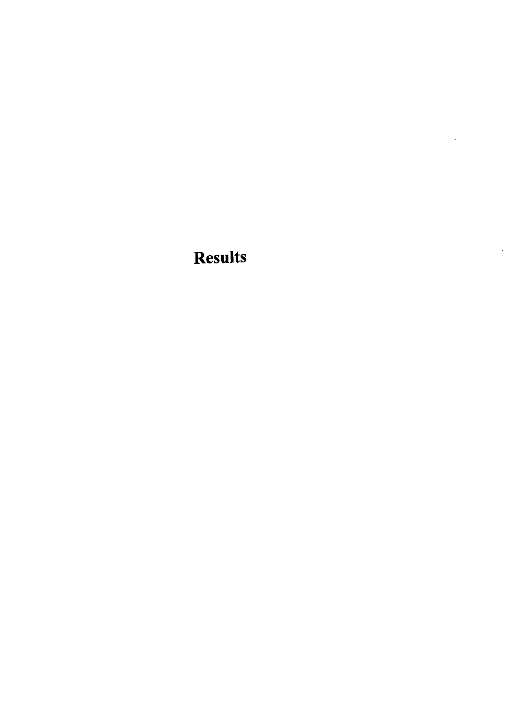**Results** 

 $\ddot{\phantom{a}}$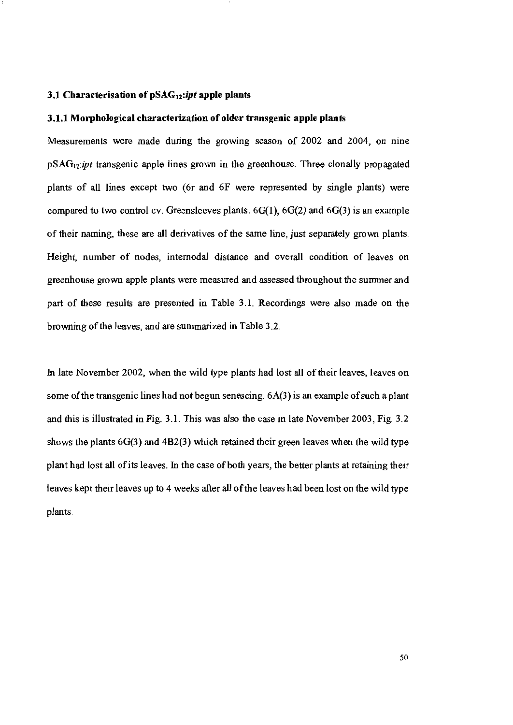#### 3.1 Characterisation of pSAG<sub>12</sub>:ipt apple plants

#### 3.1.1 Morphological characterization of older transgenic apple plants

Measurements were made during the growing season of 2002 and 2004, on nine  $pSAG_{12}$ :*ipt* transgenic apple lines grown in the greenhouse. Three clonally propagated plants of all lines except two (6r and 6F were represented by single plants) were compared to two control cv. Greensleeves plants.  $6G(1)$ ,  $6G(2)$  and  $6G(3)$  is an example of their naming, these are all derivatives of the same line, just separately grown plants. Height, number of nodes, internodal distance and overall condition of leaves on greenhouse grown apple plants were measured and assessed throughout the summer and part of these results are presented in Table 3.1. Recordings were also made on the browning of the leaves, and are summarized in Table 3.2.

In late November 2002, when the wild type plants had lost all of their leaves, leaves on some of the transgenic lines had not begun senescing. 6A(3) is an example of such a plant and this is illustrated in Fig. 3.1. This was also the case in late November 2003, Fig. 3.2 shows the plants  $6G(3)$  and  $4B2(3)$  which retained their green leaves when the wild type plant had lost all of its leaves. In the case of both years, the better plants at retaining their leaves kept their leaves up to 4 weeks after all of the leaves had been lost on the wild type plants.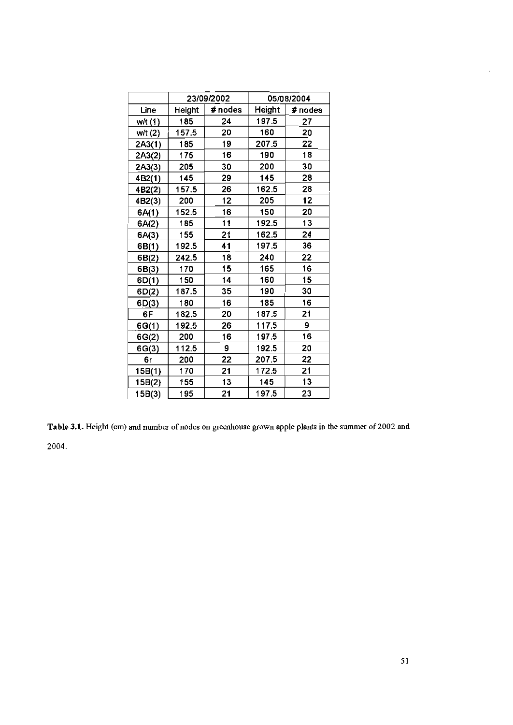|                     | 23/09/2002 |         |               | 05/08/2004 |
|---------------------|------------|---------|---------------|------------|
| Line                | Height     | # nodes | <b>Height</b> | # nodes    |
| w/t (1)             | 185        | 24      | 197.5         | 27         |
| w/t (2)             | 157.5      | 20      | 160           | 20         |
| 2A3(1)              | 185        | 19      | 207.5         | 22         |
| 2A3(2)              | 175        | 16      | 190           | 18         |
| 2A3(3)              | 205        | 30      | 200           | 30         |
| 4B2(1)              | 145        | 29      | 145           | 28         |
| 4B2(2)              | 157.5      | 26      | 162.5         | 28         |
| 4B <sub>2</sub> (3) | 200        | 12      | 205           | 12         |
| 6A(1)               | 152.5      | 16      | 150           | 20         |
| 6A(2)               | 185        | 11      | 192.5         | 13         |
| 6A(3)               | 155        | 21      | 162.5         | 24         |
| 6B(1)               | 192.5      | 41      | 197.5         | 36         |
| 6B(2)               | 242.5      | 18      | 240           | 22         |
| 6B(3)               | 170        | 15      | 165           | 16         |
| 6D(1)               | 150        | 14      | 160           | 15         |
| 6D(2)               | 187.5      | 35      | 190           | 30         |
| 6D(3)               | 180        | 16      | 185           | 16         |
| 6F                  | 182.5      | 20      | 187.5         | 21         |
| 6G(1)               | 192.5      | 26      | 117.5         | 9          |
| 6G(2)               | 200        | 16      | 197.5         | 16         |
| 6G(3)               | 112.5      | 9       | 192.5         | 20         |
| 6r                  | 200        | 22      | 207.5         | 22         |
| 15B(1)              | 170        | 21      | 172.5         | 21         |
| 15B(2)              | 155        | 13      | 145           | 13         |
| 15B(3)              | 195        | 21      | 197.5         | 23         |

Table 3.1. Height (cm) and number of nodes on greenhouse grown apple plants in the summer of 2002 and

2004.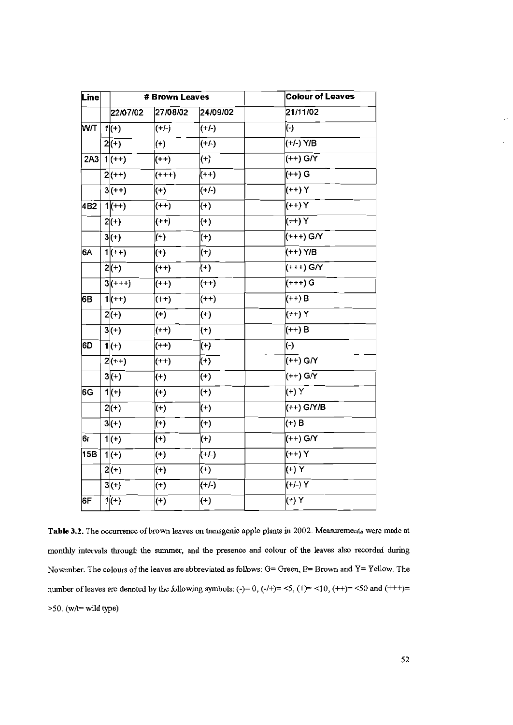| Line |  | # Brown Leaves |          |          | <b>Colour of Leaves</b> |
|------|--|----------------|----------|----------|-------------------------|
|      |  | 22/07/02       | 27/08/02 | 24/09/02 | 21/11/02                |
| MЛ   |  | $1(+)$         | $(+/-)$  | (+/-)    | $(\cdot)$               |
|      |  | $2(+)$         | $(+)$    | $(+/-)$  | (+/-) Y/B               |
| 2A3  |  | $1(++)$        | $(++)$   | $(+)$    | $(++)$ G/Y              |
|      |  | $2(+)$         | $(+++)$  | $(++)$   | (++) G                  |
|      |  | $3(+)$         | $(+)$    | $(+/-)$  | (++) Y                  |
| 4B2  |  | $1(++)$        | $(++)$   | $(+)$    | $(++)$ Y                |
|      |  | $2(+)$         | $(++)$   | $(+)$    | $(++)$ Y                |
|      |  | $3(+)$         | $(+)$    | $(+)$    | (+++) G/Y               |
| 6A   |  | $1(++)$        | $(+)$    | $(+)$    | $(++)$ Y/B              |
|      |  | $2(+)$         | $(++)$   | $(+)$    | (+++) G/Y               |
|      |  | $3(++)$        | $(++)$   | $(++)$   | (+++) G                 |
| 6B   |  | $1(++)$        | $(++)$   | $(++)$   | $(++)$ B                |
|      |  | $2(+)$         | $(+)$    | $(+)$    | $(+)Y$                  |
|      |  | $3(+)$         | $(++)$   | $(+)$    | $(++)$ B                |
| 6D   |  | $1(+)$         | $(++)$   | $(+)$    | $(\cdot)$               |
|      |  | $2(++)$        | $(++)$   | $(+)$    | (++) G/Y                |
|      |  | $3(+)$         | $(+)$    | $(+)$    | $(++)$ G/Y              |
| 6G   |  | $1(+)$         | $(+)$    | $(+)$    | (+) Y                   |
|      |  | $2(+)$         | $(+)$    | $(+)$    | (++) G/Y/B              |
|      |  | $3(+)$         | $(+)$    | $^{(+)}$ | $(+)$ B                 |
| 6r   |  | $1(+)$         | $(+)$    | $(+)$    | $(++)$ G/Y              |
| 15B  |  | $1(+)$         | $(+)$    | $(+/-)$  | $(++)$ Y                |
|      |  | $2(+)$         | $(+)$    | $(+)$    | (Y(f))                  |
|      |  | $3(+)$         | $^{(+)}$ | $(+/-)$  | $(+/-)$ Y               |
| 6F   |  | $1(+)$         | $(+)$    | $(+)$    | $(+)Y$                  |
|      |  |                |          |          |                         |

Table 3.2. The occurrence of brown leaves on transgenic apple plants in 2002. Measurements were made at monthly intervals through the summer, and the presence and colour of the leaves also recorded during November. The colours of the leaves are abbreviated as follows:  $G=$  Green,  $B=$  Brown and  $Y=$  Yellow. The number of leaves are denoted by the following symbols: (-)= 0, (-/+)= <5, (+)= <10, (++)= <50 and (+++)= >50. (w/t= wild type)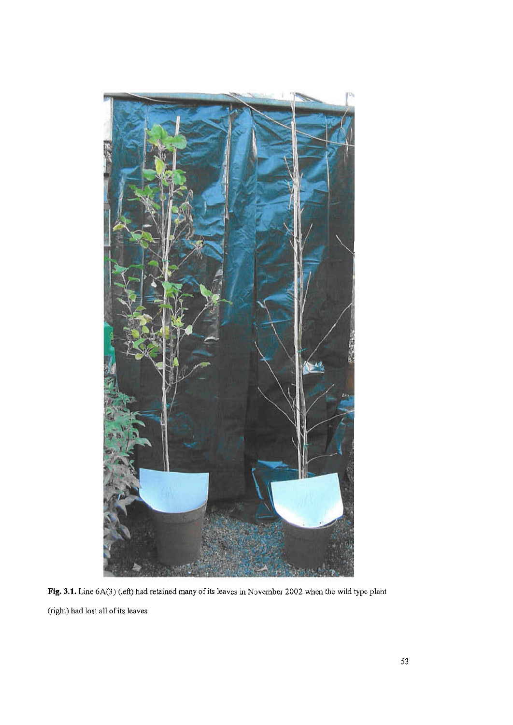

Fig. 3.1. Line 6A(3) (left) had retained many of its leaves in November 2002 when the wild type plant (right) had lost all of its leaves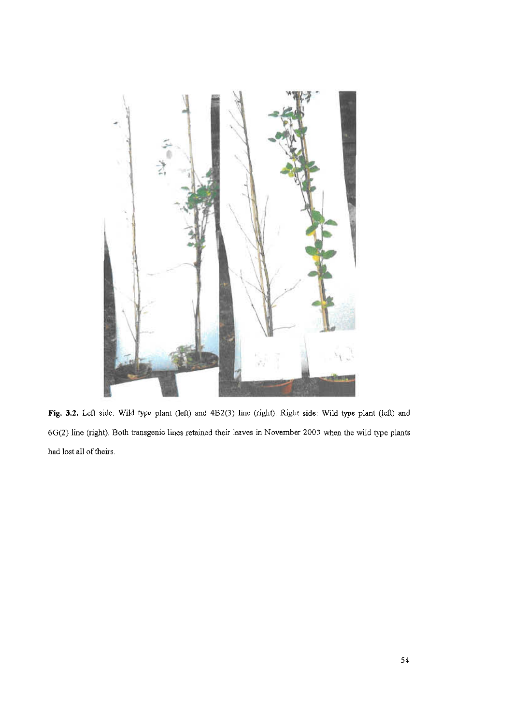

Fig. 3.2. Left side: Wild type plant (left) and 4B2(3) line (right). Right side: Wild type plant (left) and 6G(2) line (right). Both transgenic lines retained their leaves in November 2003 when the wild type plants had lost all of theirs.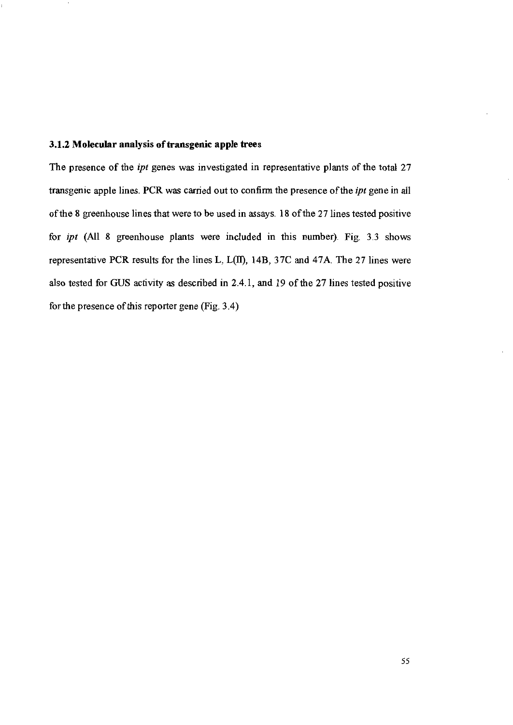## 3.1.2 Molecular analysis of transgenic apple trees

The presence of the *ipt* genes was investigated in representative plants of the total 27 transgenic apple lines. PCR was carried out to confirm the presence of the ipt gene in all of the 8 greenhouse lines that were to be used in assays. 18 of the 27 lines tested positive for *ipt* (All 8 greenhouse plants were included in this number). Fig. 3.3 shows representative PCR results for the lines L, L(II), 14B, 37C and 47A. The 27 lines were also tested for GUS activity as described in 2.4.1, and 19 of the 27 lines tested positive for the presence of this reporter gene (Fig. 3.4)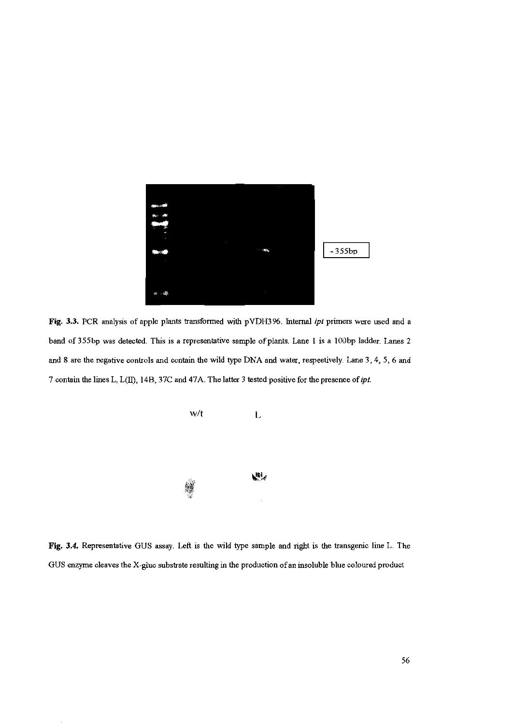

Fig. 3.3. PCR analysis of apple plants transformed with pVDH396. Internal ipt primers were used and a band of 355bp was detected. This is a representative sample of plants. Lane 1 is a 100bp ladder. Lanes 2 and 8 are the negative controls and contain the wild type DNA and water, respectively. Lane 3, 4, 5, 6 and 7 contain the lines L, L(II), 14B, 37C and 47A. The latter 3 tested positive for the presence of ipt.



Fig. 3.4. Representative GUS assay. Left is the wild type sample and right is the transgenic line L. The GUS enzyme cleaves the X-gluc substrate resulting in the production of an insoluble blue coloured product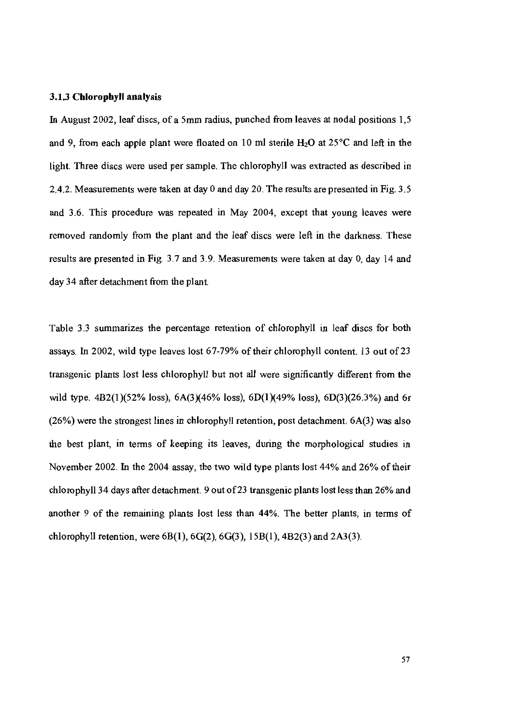## 3.1.3 Chlorophyll analysis

In August 2002, leaf discs, of a 5mm radius, punched from leaves at nodal positions 1,5 and 9, from each apple plant were floated on 10 ml sterile  $H_2O$  at 25 °C and left in the light. Three discs were used per sample. The chlorophyll was extracted as described in 2.4.2. Measurements were taken at day 0 and day 20. The results are presented in Fig. 3.5 and 3.6. This procedure was repeated in May 2004, except that young leaves were removed randomly from the plant and the leaf discs were left in the darkness. These results are presented in Fig. 3.7 and 3.9. Measurements were taken at day 0, day 14 and day 34 after detachment from the plant.

Table 3.3 summarizes the percentage retention of chlorophyll in leaf discs for both assays. In 2002, wild type leaves lost 67-79% of their chlorophyll content. 13 out of 23 transgenic plants lost less chlorophyll but not all were significantly different from the wild type.  $4B2(1)(52\% \text{ loss})$ ,  $6A(3)(46\% \text{ loss})$ ,  $6D(1)(49\% \text{ loss})$ ,  $6D(3)(26.3\%)$  and 6r  $(26%)$  were the strongest lines in chlorophyll retention, post detachment.  $6A(3)$  was also the best plant, in terms of keeping its leaves, during the morphological studies in November 2002. In the 2004 assay, the two wild type plants lost 44% and 26% of their chlorophyll 34 days after detachment. 9 out of 23 transgenic plants lost less than 26% and another 9 of the remaining plants lost less than 44%. The better plants, in terms of chlorophyll retention, were  $6B(1)$ ,  $6G(2)$ ,  $6G(3)$ ,  $15B(1)$ ,  $4B2(3)$  and  $2A3(3)$ .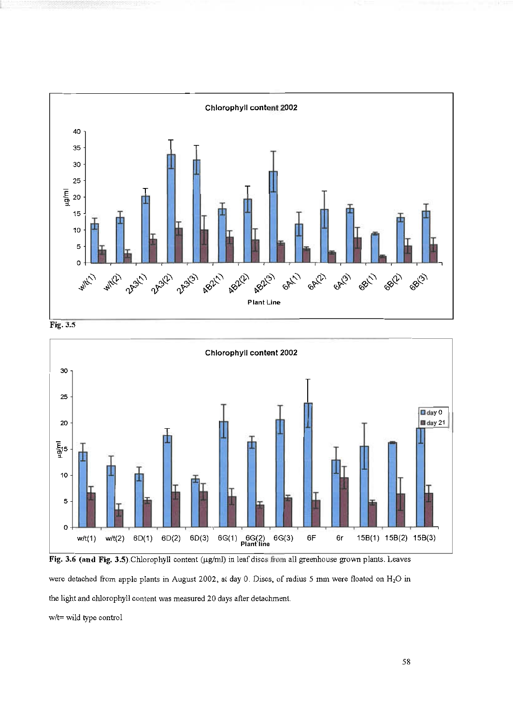







w/t= wild type control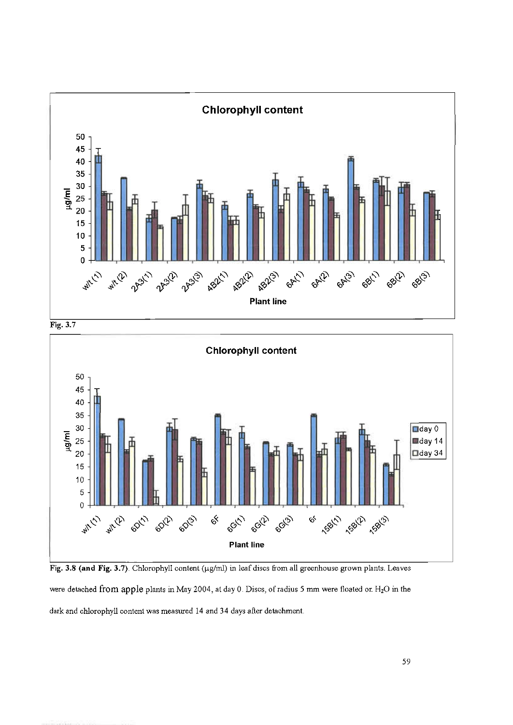





Fig. 3.8 (and Fig. 3.7). Chlorophyll content (µg/ml) in leaf discs from all greenhouse grown plants. Leaves were detached from apple plants in May 2004, at day 0. Discs, of radius 5 mm were floated on H<sub>2</sub>O in the dark and chlorophyll content was measured 14 and 34 days after detachment.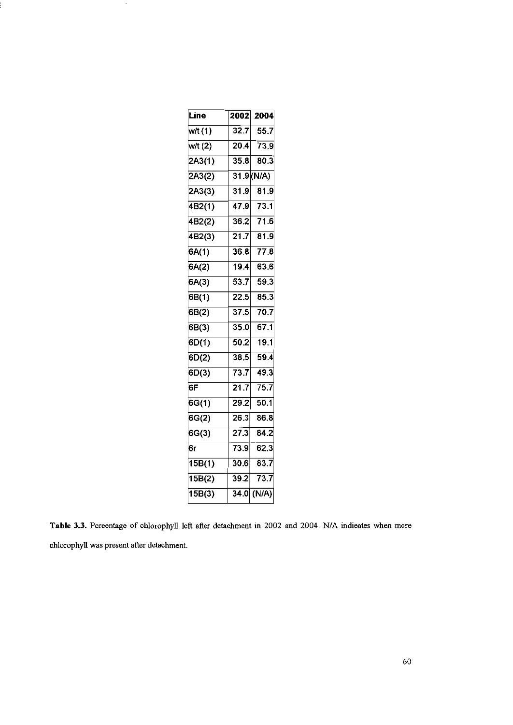| Line                | 2002              | 2004           |
|---------------------|-------------------|----------------|
| w/t(1)              | 32.7              | 55.7           |
| w/t(2)              | 20.4              | 73.9           |
| 2A3(1)              | 35.8              | 80.3           |
| 2A3(2)              |                   | 31.9(N/A)      |
| 2A3(3)              | 31.9              | 81.9           |
| $\sqrt{4B2(1)}$     | 47.9              | 73.1           |
| $\overline{4B2}(2)$ | 36.2              | 71.6           |
| 4B2(3)              | $\overline{21.7}$ | 81.9           |
| $\overline{SA(1)}$  | 36.8              | 77.8           |
| $\overline{6A(2)}$  | 19.4              | 63.6           |
| 5A(3)               | 53.7              | 59.3           |
| 5B(1)               | 22.5              | 85.3           |
| 5B(2)               | 37.5              | 70.7           |
| $\overline{5B(3)}$  | 35.0              | 67.1           |
| $\overline{SD(1)}$  | 50.2              | 19.1           |
| 5D(2)               | 38.5              | 59.4           |
| 5D(3)               | 73.7              | 49.3           |
| ŝΕ                  | $\overline{21.7}$ | 75.7           |
| 6G(1)               | 29.2              | 50.1           |
| 6G(2)               | 26.3              | 86.8           |
| $\overline{SG(3)}$  | 27.3              | 84.2           |
| Ŝг                  | 73.9              | 62.3           |
| $\overline{15B(1)}$ | 30.6              | 83.7           |
| 15B(2)              | 39.2              | 73.7           |
| 15B(3)              |                   | $34.0 \,(N/A)$ |
|                     |                   |                |

:

Table 3.3. Pereentage of chlorophyll left after detachment in 2002 and 2004. N/A indicates when more chlorophyll was present after detachment.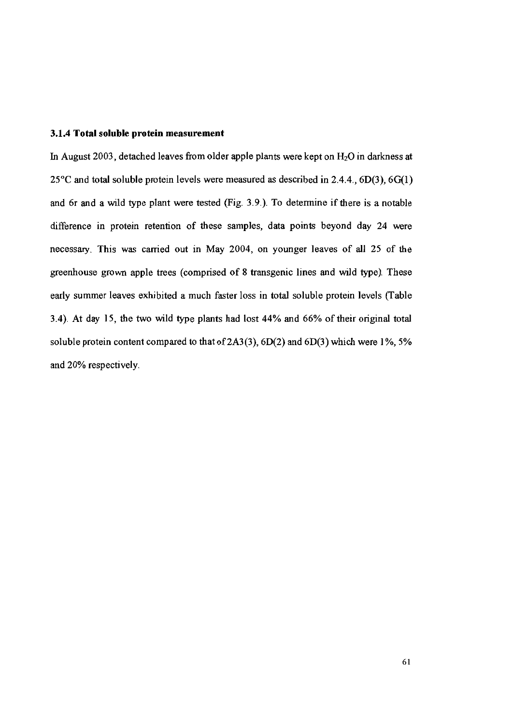#### 3.1.4 Total soluble protein measurement

In August 2003, detached leaves from older apple plants were kept on  $H_2O$  in darkness at  $25^{\circ}$ C and total soluble protein levels were measured as described in 2.4.4., 6D(3), 6G(1) and 6r and a wild type plant were tested (Fig. 3.9.). To determine if there is a notable difference in protein retention of these samples, data points beyond day 24 were necessary. This was carried out in May 2004, on younger leaves of all 25 of the greenhouse grown apple trees (comprised of 8 transgenic lines and wild type). These early summer leaves exhibited a much faster loss in total soluble protein levels (Table 3.4). At day 15, the two wild type plants had lost 44% and 66% of their original total soluble protein content compared to that of  $2A3(3)$ ,  $6D(2)$  and  $6D(3)$  which were 1%, 5% and 20% respectively.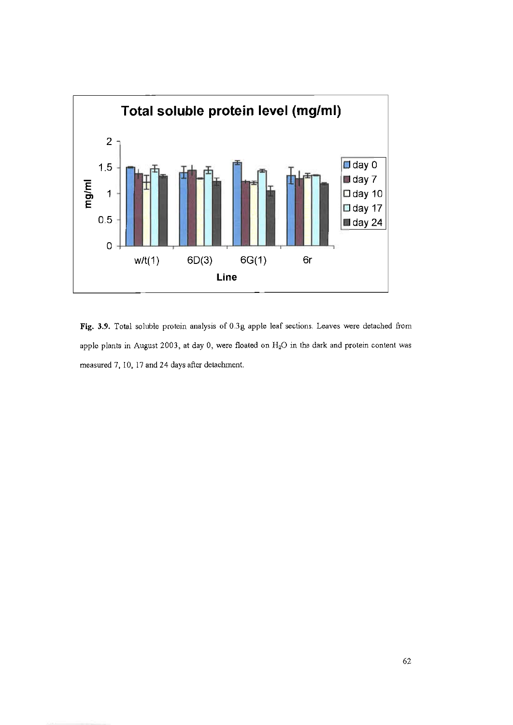

Fig. 3.9. Total soluble protein analysis of 0.3g apple leaf sections. Leaves were detached from apple plants in August 2003, at day 0, were floated on  $H_2O$  in the dark and protein content was measured 7, 10, 17 and 24 days after detachment.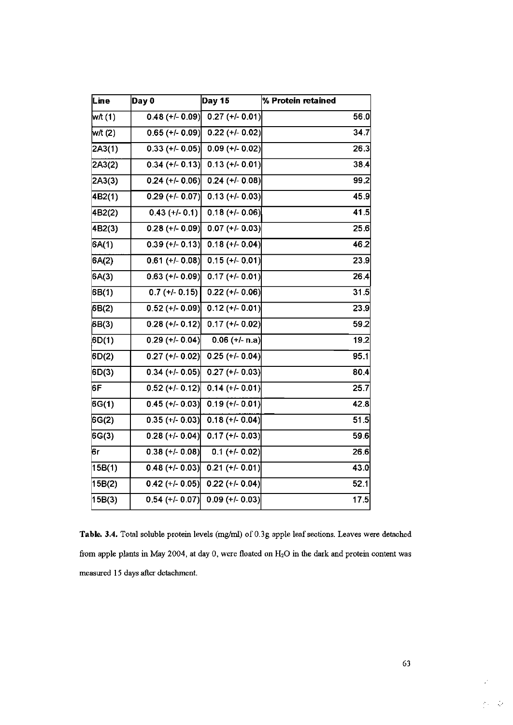| Line    | Day 0             | Day 15                       | % Protein retained |
|---------|-------------------|------------------------------|--------------------|
| w/t (1) | $0.48 (+/- 0.09)$ | $0.27 (+/- 0.01)$            | 56.0               |
| w/t (2) | $0.65$ (+/- 0.09) | $0.22 (+/- 0.02)$            | 34.7               |
| 2A3(1)  | $0.33 (+/- 0.05)$ | $0.09 (+/- 0.02)$            | 26.3               |
| 2A3(2)  | $0.34 (+/- 0.13)$ | $0.13 (+/- 0.01)$            | 38.4               |
| 2A3(3)  | $0.24 (+/- 0.06)$ | $0.24 (+/- 0.08)$            | 99.2               |
| 4B2(1)  | $0.29 (+/- 0.07)$ | $0.13 (+/- 0.03)$            | 45.9               |
| 4B2(2)  | $0.43 (+/- 0.1)$  | $0.18 (+/- 0.06)$            | 41.5               |
| 4B2(3)  | $0.28 (+/- 0.09)$ | $0.07 (+/- 0.03)$            | 25.6               |
| 6A(1)   | $0.39 (+/- 0.13)$ | $\overline{0.18}$ (+/- 0.04) | 46.2               |
| 6A(2)   | $0.61 (+/- 0.08)$ | $0.15 (+/- 0.01)$            | 23.9               |
| 6A(3)   | $0.63$ (+/- 0.09) | $0.17 (+/- 0.01)$            | 26.4               |
| 6B(1)   | $0.7 (+/- 0.15)$  | $\overline{0.22}$ (+/- 0.06) | 31.5               |
| 6B(2)   | $0.52 (+/- 0.09)$ | $0.12 (+/- 0.01)$            | 23.9               |
| 6B(3)   | $0.28 (+/- 0.12)$ | $\overline{0.17}$ (+/- 0.02) | 59.2               |
| 6D(1)   | $0.29 (+/- 0.04)$ | $0.06 (+/- n.a)$             | 19.2               |
| 6D(2)   | $0.27 (+1 0.02)$  | $0.25 (+/- 0.04)$            | 95.1               |
| 6D(3)   | $0.34 (+/- 0.05)$ | $0.27 (+/- 0.03)$            | 80.4               |
| 6F      | $0.52 (+/- 0.12)$ | $0.14 (+/- 0.01)$            | 25.7               |
| 6G(1)   | $0.45 (+/- 0.03)$ | $0.19 (+/- 0.01)$            | 42.8               |
| 6G(2)   | $0.35 (+/- 0.03)$ | $0.18 (+/- 0.04)$            | 51.5               |
| 6G(3)   | $0.28 (+/- 0.04)$ | $0.17 (+/- 0.03)$            | 59.6               |
| 6г      | $0.38 (+/- 0.08)$ | $0.1 (+/- 0.02)$             | 26.6               |
| 15B(1)  | $0.48 (+/- 0.03)$ | $0.21 (+/- 0.01)$            | 43.0               |
| 15B(2)  | $0.42 (+/- 0.05)$ | $0.22 (+/- 0.04)$            | 52.1               |
| 15B(3)  | $0.54 (+/- 0.07)$ | $\overline{0.09}$ (+/- 0.03) | 17.5               |

Table. 3.4. Total soluble protein levels (mg/ml) of 0.3g apple leaf sections. Leaves were detached from apple plants in May 2004, at day 0, were floated on H<sub>2</sub>O in the dark and protein content was measured 15 days after detachment.

 $\frac{1}{2} \frac{1}{2} \frac{d^2}{dx^2}$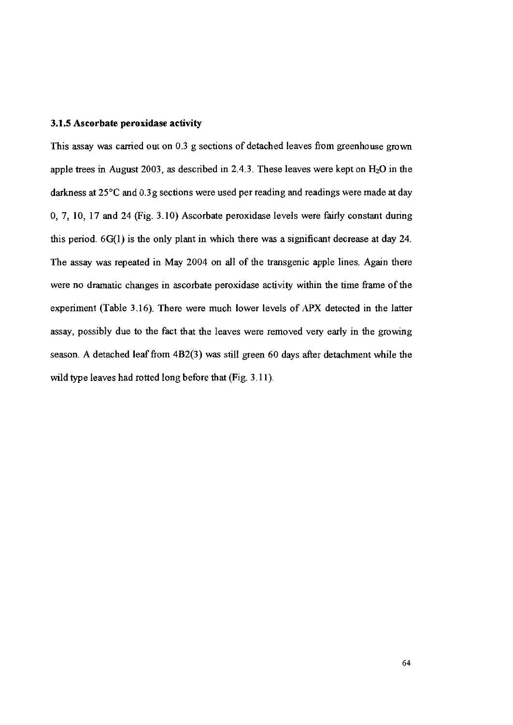## 3.1.5 Ascorbate peroxidase activity

This assay was carried out on 0.3 g sections of detached leaves from greenhouse grown apple trees in August 2003, as described in 2.4.3. These leaves were kept on  $H_2O$  in the darkness at 25°C and 0.3g sections were used per reading and readings were made at day 0, 7, 10, 17 and 24 (Fig. 3.10) Ascorbate peroxidase levels were fairly constant during this period.  $6G(1)$  is the only plant in which there was a significant decrease at day 24. The assay was repeated in May 2004 on all of the transgenic apple lines. Again there were no dramatic changes in ascorbate peroxidase activity within the time frame of the experiment (Table 3.16). There were much lower levels of APX detected in the latter assay, possibly due to the fact that the leaves were removed very early in the growing season. A detached leaf from 4B2(3) was still green 60 days after detachment while the wild type leaves had rotted long before that (Fig. 3.11).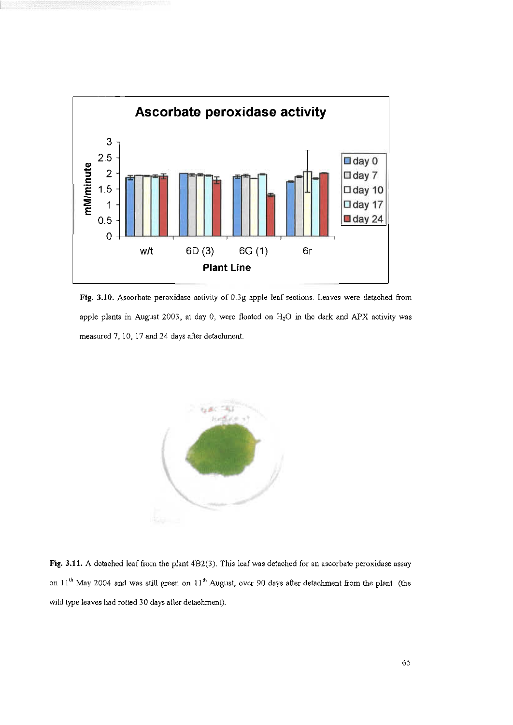

Fig. 3.10. Ascorbate peroxidasc activity of 0.3g apple leaf sections. Leaves were detached from apple plants in August 2003, at day 0, were floated on H<sub>2</sub>O in the dark and APX activity was measured 7, 10, 17 and 24 days after detachment.



Fig. 3.11. A detached leaf from the plant 4B2(3). This leaf was detached for an ascorbate peroxidase assay on 11<sup>th</sup> May 2004 and was still green on 11<sup>th</sup> August, over 90 days after detachment from the plant (the wild type leaves had rotted 30 days after detaehment).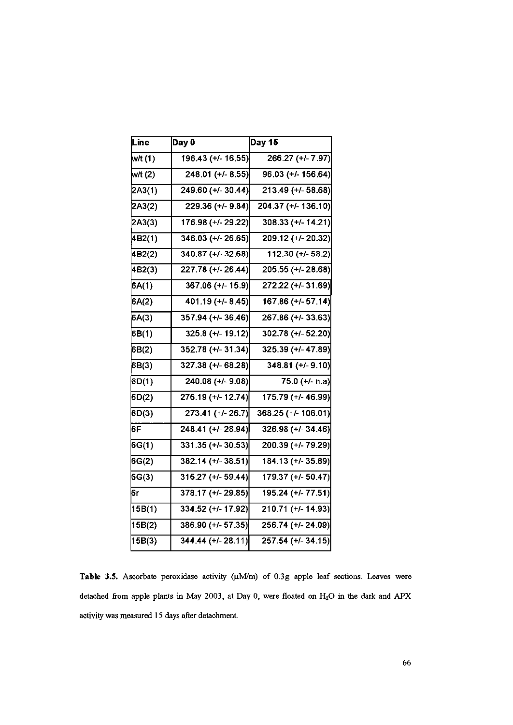| Day 0              | Day 15              |
|--------------------|---------------------|
| 196.43 (+/- 16.55) | 266.27 (+/- 7.97)   |
| 248.01 (+/-8.55)   | 96.03 (+/- 156.64)  |
| 249.60 (+/- 30.44) | 213.49 (+/- 58.68)  |
| 229.36 (+/- 9.84)  | 204.37 (+/- 136.10) |
| 176.98 (+/- 29.22) | 308.33 (+/- 14.21)  |
| 346.03 (+/-26.65)  | 209.12 (+/- 20.32)  |
| 340.87 (+/-32.68)  | 112.30 (+/- 58.2)   |
| 227.78 (+/-26.44)  | 205.55 (+/-28.68)   |
| 367.06 (+/- 15.9)  | 272.22 (+/-31.69)   |
| 401.19 (+/- 8.45)  | 167.86 (+/- 57.14)  |
| 357.94 (+/- 36.46) | 267.86 (+/- 33.63)  |
| 325.8 (+/- 19.12)  | 302.78 (+/-52.20)   |
| 352.78 (+/- 31.34) | 325.39 (+/-47.89)   |
| 327.38 (+/- 68.28) | 348.81 (+/-9.10)    |
| 240.08 (+/- 9.08)  | 75.0 (+/- n.a)      |
| 276.19 (+/- 12.74) | 175.79 (+/- 46.99)  |
| 273.41 (+/- 26.7)  | 368.25 (+/- 106.01) |
| 248.41 (+/-28.94)  | 326.98 (+/- 34.46)  |
| 331.35 (+/- 30.53) | 200.39 (+/-79.29)   |
| 382.14 (+/- 38.51) | 184.13 (+/- 35.89)  |
| 316.27 (+/- 59.44) | 179.37 (+/- 50.47)  |
| 378.17 (+/- 29.85) | 195.24 (+/- 77.51)  |
| 334.52 (+/- 17.92) | 210.71 (+/- 14.93)  |
| 386.90 (+/- 57.35) | 256.74 (+/- 24.09)  |
| 344.44 (+/-28.11)  | 257.54 (+/- 34.15)  |
|                    |                     |

Table 3.5. Ascorbate peroxidase activity ( $\mu$ M/m) of 0.3g apple leaf sections. Leaves were detached from apple plants in May 2003, at Day 0, were floated on H<sub>2</sub>O in the dark and APX activity was measured 15 days after detachment.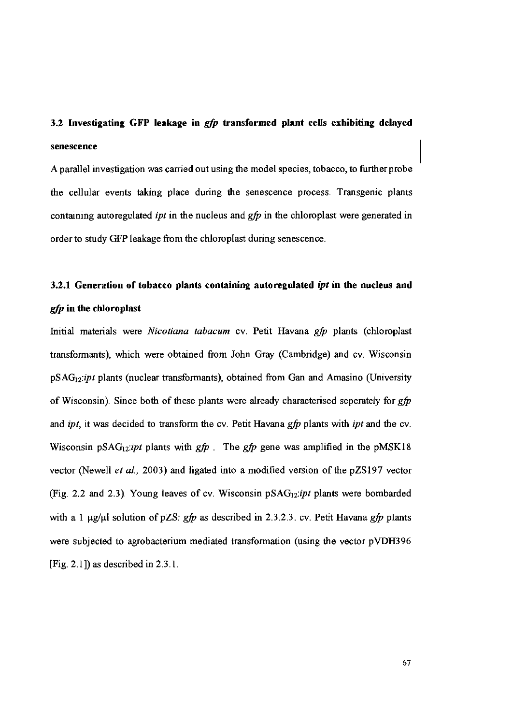# 3.2 Investigating GFP leakage in *gfp* transformed plant cells exhibiting delayed senescence

A parallel investigation was carried out using the model species, tobacco, to further probe the cellular events taking place during the senescence process. Transgenic plants containing autoregulated *ipt* in the nucleus and  $gfp$  in the chloroplast were generated in order to study GFP leakage from the chloroplast during senescence.

# 3.2.1 Generation of tobacco plants containing autoregulated *ipt* in the nucleus and gfp in the chloroplast

Initial materials were Nicotiana tabacum cv. Petit Havana gfp plants (chloroplast transformants), which were obtained from John Gray (Cambridge) and cv. Wisconsin  $pSAG_{12}$ :*ipt* plants (nuclear transformants), obtained from Gan and Amasino (University of Wisconsin). Since both of these plants were already characterised seperately for gfp and ipt, it was decided to transform the cv. Petit Havana gfp plants with ipt and the cv. Wisconsin pSAG<sub>12</sub>:*ipt* plants with  $gfp$ . The  $gfp$  gene was amplified in the pMSK18 vector (Newell *et al.*, 2003) and ligated into a modified version of the pZS197 vector (Fig. 2.2 and 2.3). Young leaves of cv. Wisconsin  $pSAG_{12}$ :*ipt* plants were bombarded with a 1  $\mu$ g/ $\mu$ l solution of pZS: gfp as described in 2.3.2.3. cv. Petit Havana gfp plants were subjected to agrobacterium mediated transformation (using the vector pVDH396 [Fig. 2.1]) as described in  $2.3.1$ .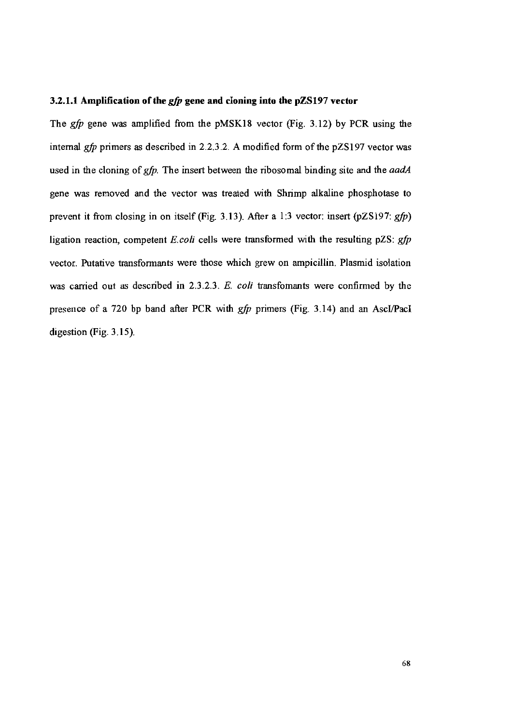#### 3.2.1.1 Amplification of the *gfp* gene and cloning into the pZS197 vector

The *gfp* gene was amplified from the pMSK18 vector (Fig. 3.12) by PCR using the internal gfp primers as described in 2.2.3.2. A modified form of the pZS197 vector was used in the cloning of gfp. The insert between the ribosomal binding site and the aadA gene was removed and the vector was treated with Shrimp alkaline phosphotase to prevent it from closing in on itself (Fig. 3.13). After a 1:3 vector: insert (pZS197:  $gfp$ ) ligation reaction, competent E.coli cells were transformed with the resulting  $pZS$ : gfp vector. Putative transformants were those which grew on ampicillin. Plasmid isolation was carried out as described in 2.3.2.3. E. coli transformants were confirmed by the presence of a 720 bp band after PCR with gfp primers (Fig. 3.14) and an AscI/PacI digestion (Fig.  $3.15$ ).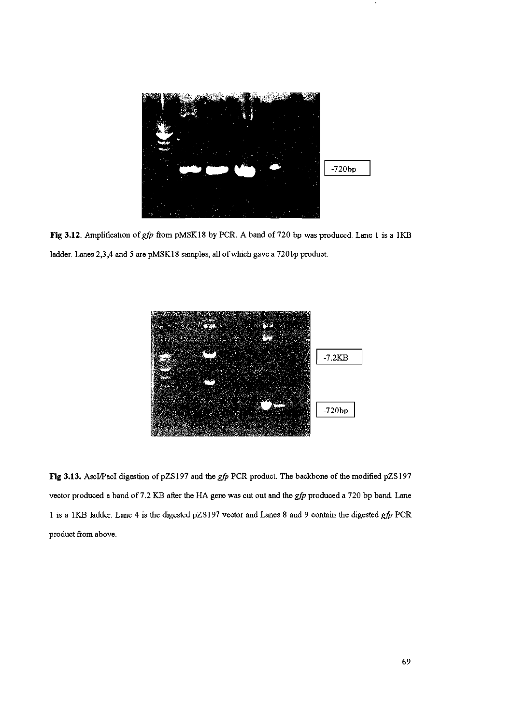

Fig 3.12. Amplification of gfp from pMSK18 by PCR. A band of 720 bp was produced. Lane 1 is a 1KB ladder. Lanes 2,3,4 and 5 are pMSK18 samples, all of which gave a 720bp product.



Fig 3.13. AscI/PacI digestion of pZS197 and the gfp PCR product. The backbone of the modified pZS197 vector produced a band of 7.2 KB after the HA gene was cut out and the gfp produced a 720 bp band. Lane 1 is a 1KB ladder. Lane 4 is the digested pZS197 vector and Lanes 8 and 9 contain the digested gfp PCR product from above.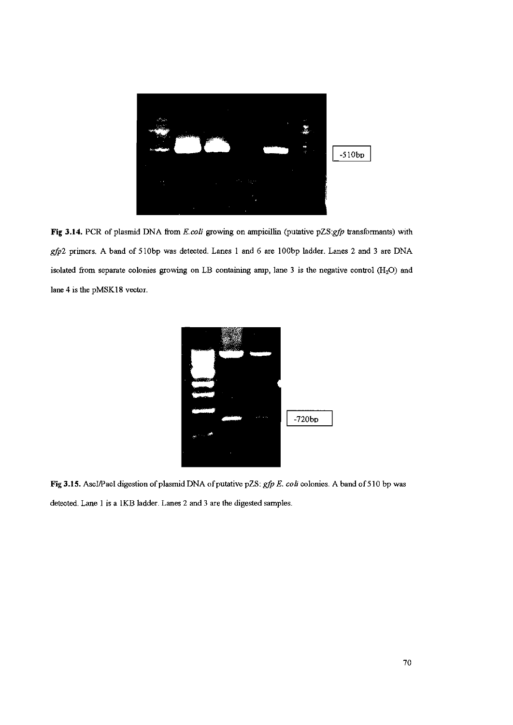

Fig 3.14. PCR of plasmid DNA from E.coli growing on ampicillin (putative pZS:gfp transformants) with gfp2 primers. A band of 510bp was detected. Lanes 1 and 6 are 100bp ladder. Lanes 2 and 3 are DNA isolated from separate colonies growing on LB containing anip, lane 3 is the negative control (H<sub>2</sub>O) and lane 4 is the pMSK18 vector.



Fig 3.15. Ascl/PacI digestion of plasmid DNA of putative pZS: gfp E. coli colonies. A band of 510 bp was detected. Lane 1 is a 1KB ladder. Lanes 2 and 3 are the digested samples.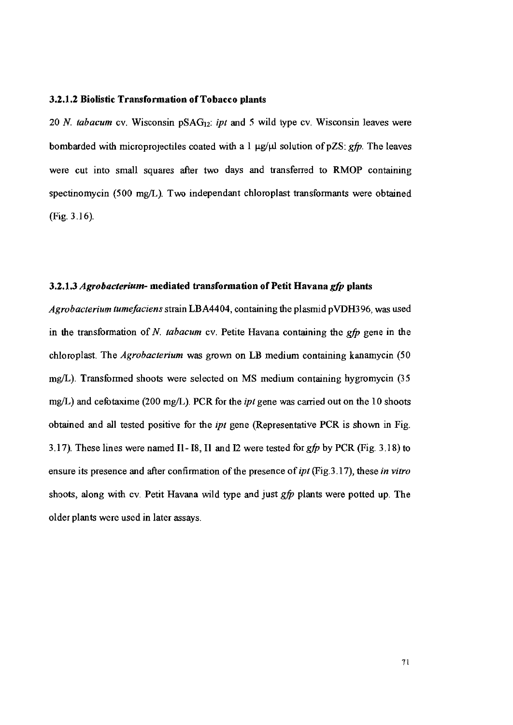## 3.2.1.2 Biolistic Transformation of Tobacco plants

20 N. tabacum cv. Wisconsin pSAG<sub>12</sub>: ipt and 5 wild type cv. Wisconsin leaves were bombarded with microprojectiles coated with a 1  $\mu$ g/ $\mu$ l solution of pZS: gfp. The leaves were cut into small squares after two days and transferred to RMOP containing spectinomycin (500 mg/L). Two independant chloroplast transformants were obtained  $(Fig. 3.16)$ .

### 3.2.1.3 Agrobacterium- mediated transformation of Petit Havana gfp plants

Agrobacterium tumefaciens strain LBA4404, containing the plasmid pVDH396, was used in the transformation of N. tabacum cv. Petite Havana containing the  $gfp$  gene in the chloroplast. The Agrobacterium was grown on LB medium containing kanamycin (50 mg/L). Transformed shoots were selected on MS medium containing hygromycin (35 mg/L) and cefotaxime (200 mg/L). PCR for the *ipt* gene was carried out on the 10 shoots obtained and all tested positive for the ipt gene (Representative PCR is shown in Fig. 3.17). These lines were named I1-I8, I1 and I2 were tested for  $gfp$  by PCR (Fig. 3.18) to ensure its presence and after confirmation of the presence of *ipt* (Fig. 3.17), these *in vitro* shoots, along with cv. Petit Havana wild type and just *gfp* plants were potted up. The older plants were used in later assays.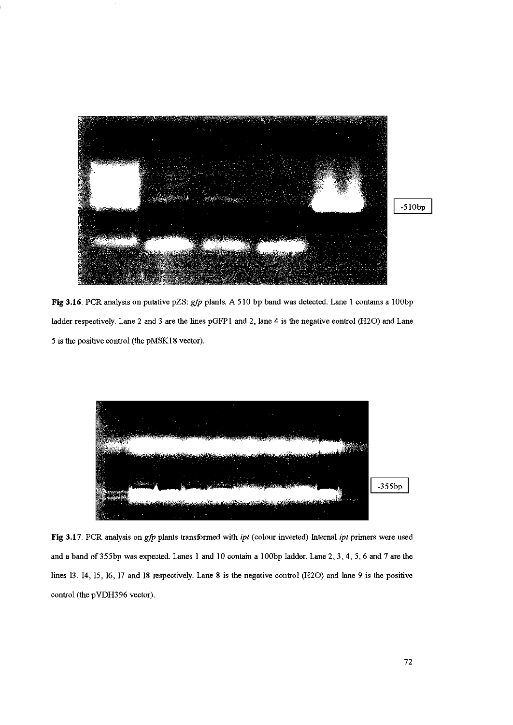

 $-510bp$ 

Fig 3.16. PCR analysis on putative pZS: gfp plants. A 510 bp band was detected. Lane 1 contains a 100bp ladder respectively. Lane 2 and 3 are the lines pGFP1 and 2, lane 4 is the negative control (H2O) and Lane 5 is the positive control (the pMSK18 vector).



Fig 3.17. PCR analysis on gfp plants transformed with ipt (colour inverted) Internal ipt primers were used and a band of 355bp was expected. Lanes 1 and 10 contain a 100bp Iadder. Lane 2, 3, 4, 5, 6 and 7 are the lines 13. I4, 15, 16, 17 and 18 respectively. Lane 8 is the negative control (H2O) and lane 9 is the positive control (the pVDH396 vector).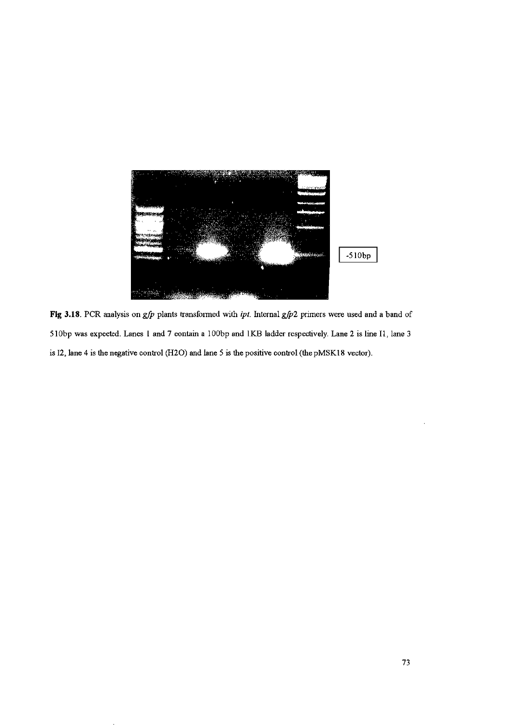

Fig 3.18. PCR analysis on  $g/p$  plants transformed with *ipt*. Internal  $g/p2$  primers were used and a band of 510bp was expected. Lanes 1 and 7 eontain a 100bp and 1KB ladder respectively. Lane 2 is line I1, lane 3 is  $I2$ , lane 4 is the negative control (H2O) and lane 5 is the positive control (the pMSK18 vector).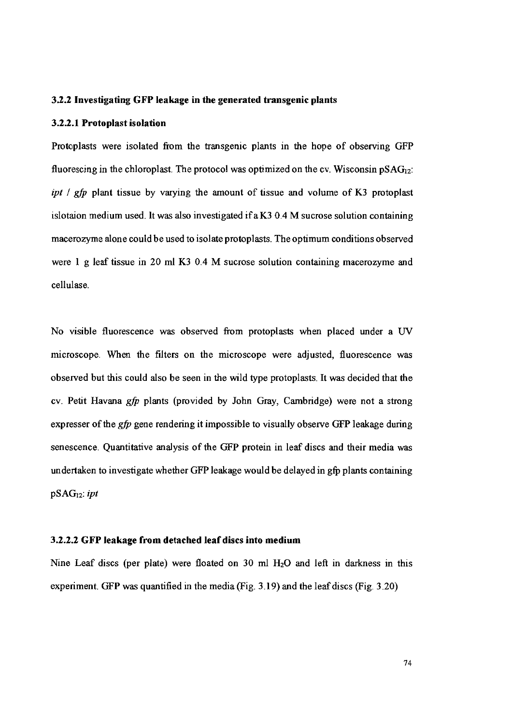#### 3.2.2 Investigating GFP leakage in the generated transgenic plants

#### 3.2.2.1 Protoplast isolation

Protoplasts were isolated from the transgenic plants in the hope of observing GFP fluorescing in the chloroplast. The protocol was optimized on the cy. Wisconsin  $pSAG_{12}$ : ipt / gfp plant tissue by varying the amount of tissue and volume of K3 protoplast islotaion medium used. It was also investigated if a K3 0.4 M sucrose solution containing macerozyme alone could be used to isolate protoplasts. The optimum conditions observed were 1 g leaf tissue in 20 ml K3 0.4 M sucrose solution containing macerozyme and cellulase

No visible fluorescence was observed from protoplasts when placed under a UV microscope. When the filters on the microscope were adjusted. fluorescence was observed but this could also be seen in the wild type protoplasts. It was decided that the cy. Petit Havana gfp plants (provided by John Gray, Cambridge) were not a strong expresser of the *gfp* gene rendering it impossible to visually observe GFP leakage during senescence. Quantitative analysis of the GFP protein in leaf discs and their media was undertaken to investigate whether GFP leakage would be delayed in gfo plants containing  $pSAG_{12}$ : ipt

### 3.2.2.2 GFP leakage from detached leaf discs into medium

Nine Leaf discs (per plate) were floated on 30 ml H<sub>2</sub>O and left in darkness in this experiment. GFP was quantified in the media (Fig.  $3.19$ ) and the leaf discs (Fig.  $3.20$ )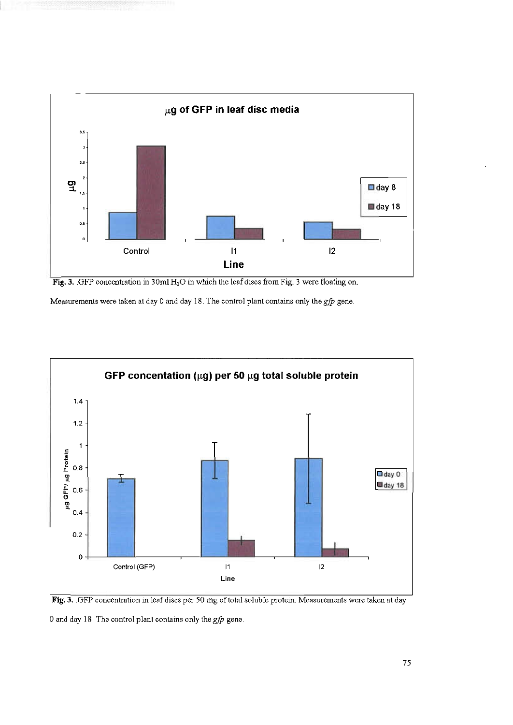

Fig. 3. GFP concentration in  $30 \text{ml H}_2\text{O}$  in which the leaf discs from Fig. 3 were floating on.

Measurements were taken at day 0 and day 18. The control plant contains only the  $gfp$  gene.





0 and day 18. The control plant contains only the  $gfp$  gene.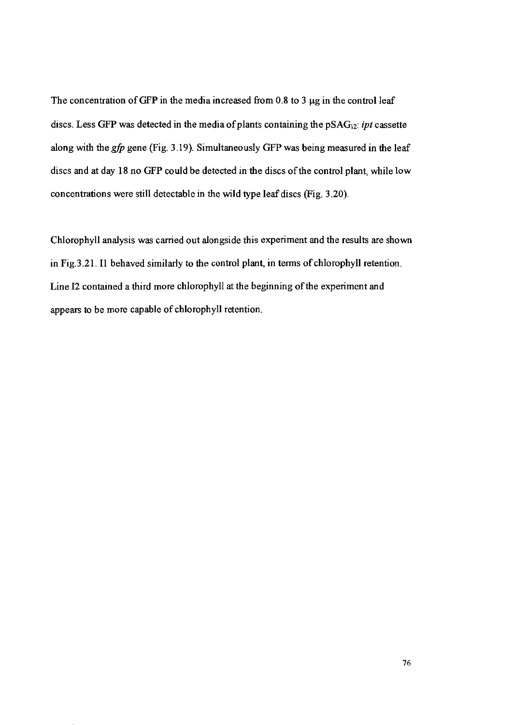The concentration of GFP in the media increased from 0.8 to 3  $\mu$ g in the control leaf discs. Less GFP was detected in the media of plants containing the  $pSAG_{12}$ : ipt cassette along with the *gfp* gene (Fig. 3.19). Simultaneously GFP was being measured in the leaf discs and at day 18 no GFP could be detected in the discs of the control plant, while low concentrations were still detectable in the wild type leaf discs (Fig. 3.20).

Chlorophyll analysis was carried out alongside this experiment and the results are shown in Fig. 3.21. Il behaved similarly to the control plant, in terms of chlorophyll retention. Line I2 contained a third more chlorophyll at the beginning of the experiment and appears to be more capable of chlorophyll retention.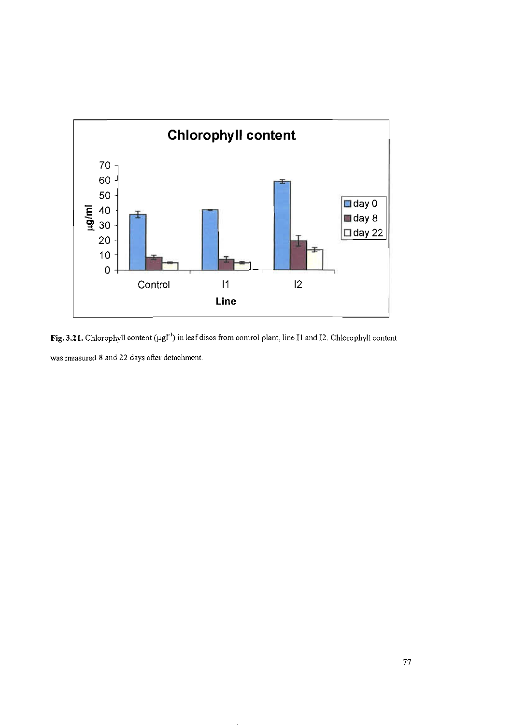

Fig. 3.21. Chlorophyll content (µgl<sup>-1</sup>) in leaf discs from control plant, line I1 and I2. Chlorophyll content was measured 8 and 22 days after detachment.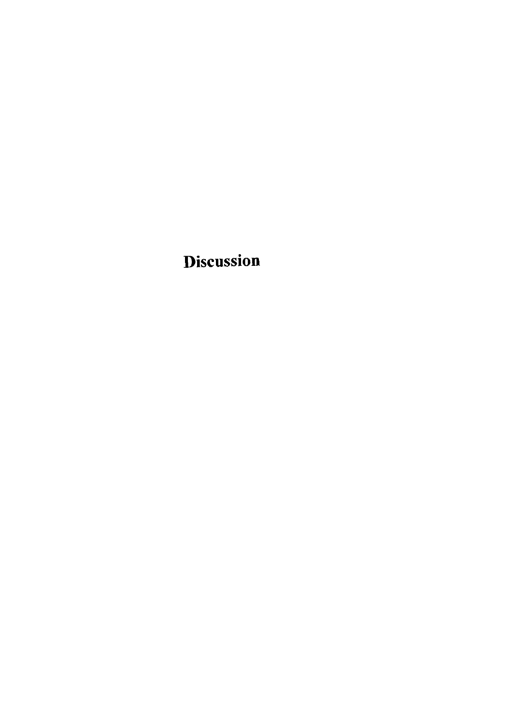**Discussion**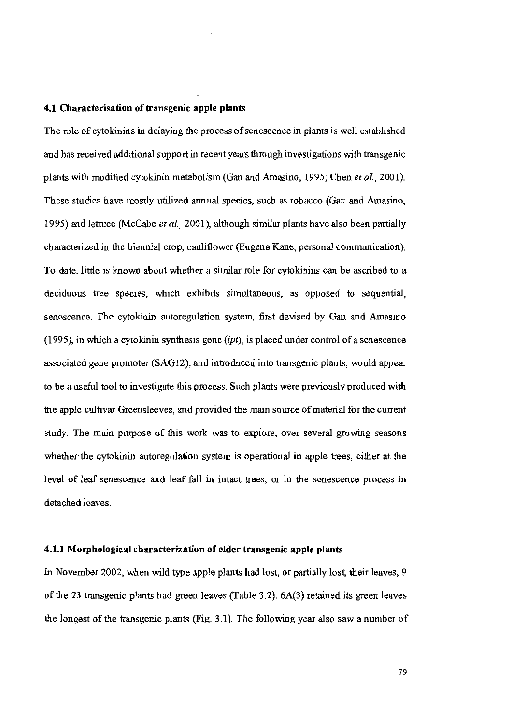#### 4.1 Characterisation of transgenic apple plants

The role of cytokinins in delaying the process of senescence in plants is well established and has received additional support in recent years through investigations with transgenic plants with modified cytokinin metabolism (Gan and Amasino, 1995; Chen et al., 2001). These studies have mostly utilized annual species, such as tobacco (Gan and Amasino, 1995) and lettuce (McCabe et al., 2001), although similar plants have also been partially characterized in the biennial crop, cauliflower (Eugene Kane, personal communication). To date, little is known about whether a similar role for cytokinins can be ascribed to a deciduous tree species, which exhibits simultaneous, as opposed to sequential, senescence. The cytokinin autoregulation system, first devised by Gan and Amasino  $(1995)$ , in which a cytokinin synthesis gene  $(ipt)$ , is placed under control of a senescence associated gene promoter (SAG12), and introduced into transgenic plants, would appear to be a useful tool to investigate this process. Such plants were previously produced with the apple cultivar Greensleeves, and provided the main source of material for the current study. The main purpose of this work was to explore, over several growing seasons whether the cytokinin autoregulation system is operational in apple trees, either at the level of leaf senescence and leaf fall in intact trees, or in the senescence process in detached leaves.

#### 4.1.1 Morphological characterization of older transgenic apple plants

In November 2002, when wild type apple plants had lost, or partially lost, their leaves, 9 of the 23 transgenic plants had green leaves (Table 3.2). 6A(3) retained its green leaves the longest of the transgenic plants (Fig. 3.1). The following year also saw a number of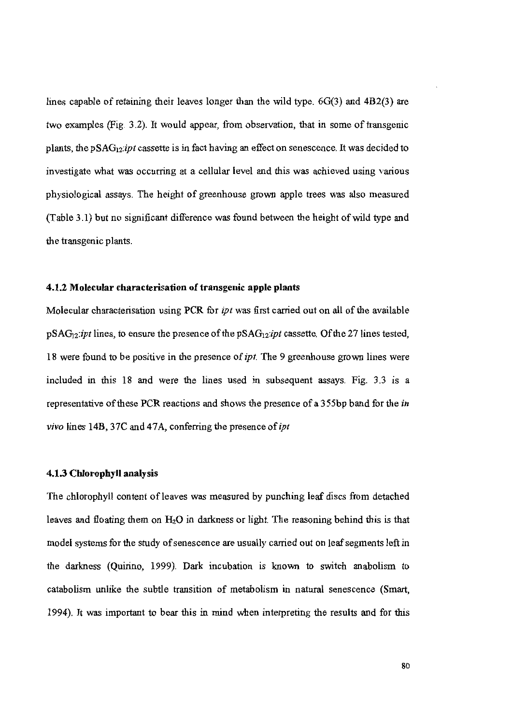lines capable of retaining their leaves longer than the wild type.  $6G(3)$  and  $4B2(3)$  are two examples (Fig. 3.2). It would appear, from observation, that in some of transgenic plants, the pSAG<sub>12</sub>:*ipt* cassette is in fact having an effect on senescence. It was decided to investigate what was occurring at a cellular level and this was achieved using various physiological assays. The height of greenhouse grown apple trees was also measured (Table 3.1) but no significant difference was found between the height of wild type and the transgenic plants.

# 4.1.2 Molecular characterisation of transgenic apple plants

Molecular characterisation using PCR for *ipt* was first carried out on all of the available  $pSAG_{12}:ipt$  lines, to ensure the presence of the  $pSAG_{12}:ipt$  cassette. Of the 27 lines tested, 18 were found to be positive in the presence of ipt. The 9 greenhouse grown lines were included in this 18 and were the lines used in subsequent assays. Fig. 3.3 is a representative of these PCR reactions and shows the presence of a 355bp band for the in vivo lines 14B, 37C and 47A, conferring the presence of *ipt* 

# 4.1.3 Chlorophyll analysis

The chlorophyll content of leaves was measured by punching leaf discs from detached leaves and floating them on  $H_2O$  in darkness or light. The reasoning behind this is that model systems for the study of senescence are usually carried out on leaf segments left in the darkness (Quirino, 1999). Dark incubation is known to switch anabolism to catabolism unlike the subtle transition of metabolism in natural senescence (Smart, 1994). It was important to bear this in mind when interpreting the results and for this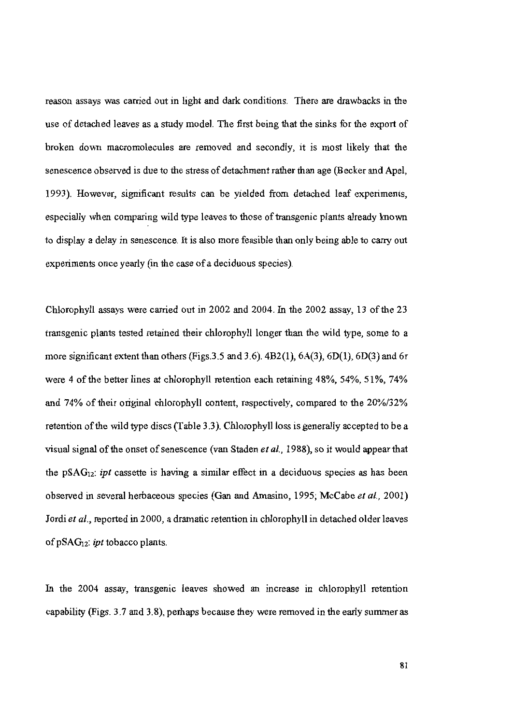reason assays was carried out in light and dark conditions. There are drawbacks in the use of detached leaves as a study model. The first being that the sinks for the export of broken down macromolecules are removed and secondly, it is most likely that the senescence observed is due to the stress of detachment rather than age (Becker and Apel, 1993). However, significant results can be yielded from detached leaf experiments, especially when comparing wild type leaves to those of transgenic plants already known to display a delay in senescence. It is also more feasible than only being able to carry out experiments once yearly (in the case of a deciduous species).

Chlorophyll assays were carried out in 2002 and 2004. In the 2002 assay, 13 of the 23 transgenic plants tested retained their chlorophyll longer than the wild type, some to a more significant extent than others (Figs. 3.5 and 3.6).  $4B2(1)$ ,  $6A(3)$ ,  $6D(1)$ ,  $6D(3)$  and  $6r$ were 4 of the better lines at chlorophyll retention each retaining 48%, 54%, 51%, 74% and 74% of their original chlorophyll content, respectively, compared to the 20%/32% retention of the wild type discs (Table 3.3). Chlorophyll loss is generally accepted to be a visual signal of the onset of senescence (van Staden et al., 1988), so it would appear that the  $pSAG_{12}$ : *ipt* cassette is having a similar effect in a deciduous species as has been observed in several herbaceous species (Gan and Amasino, 1995; McCabe et al., 2001) Jordi et al., reported in 2000, a dramatic retention in chlorophyll in detached older leaves of  $pSAG_{12}$ : *ipt* tobacco plants.

In the 2004 assay, transgenic leaves showed an increase in chlorophyll retention capability (Figs. 3.7 and 3.8), perhaps because they were removed in the early summer as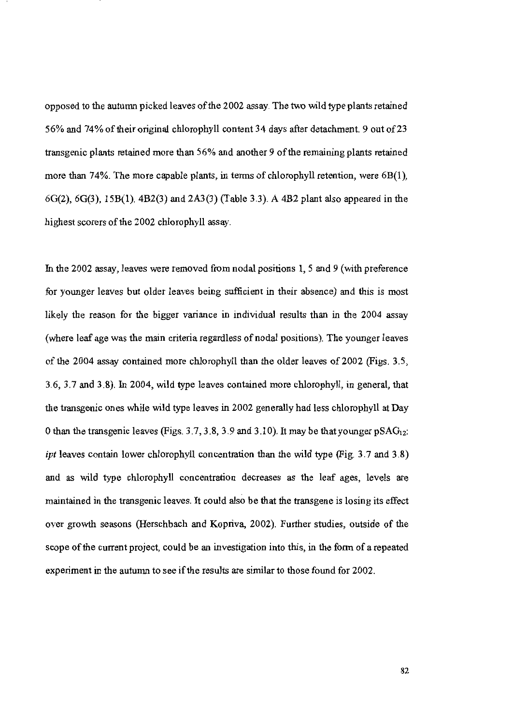opposed to the autumn picked leaves of the 2002 assay. The two wild type plants retained 56% and 74% of their original chlorophyll content 34 days after detachment. 9 out of 23 transgenic plants retained more than 56% and another 9 of the remaining plants retained more than 74%. The more capable plants, in terms of chlorophyll retention, were  $6B(1)$ ,  $6G(2)$ ,  $6G(3)$ ,  $15B(1)$ ,  $4B2(3)$  and  $2A3(3)$  (Table 3.3). A 4B2 plant also appeared in the highest scorers of the 2002 chlorophyll assay.

In the 2002 assay, leaves were removed from nodal positions 1, 5 and 9 (with preference for younger leaves but older leaves being sufficient in their absence) and this is most likely the reason for the bigger variance in individual results than in the 2004 assay (where leaf age was the main criteria regardless of nodal positions). The younger leaves of the 2004 assay contained more chlorophyll than the older leaves of 2002 (Figs. 3.5, 3.6, 3.7 and 3.8). In 2004, wild type leaves contained more chlorophyll, in general, that the transgenic ones while wild type leaves in 2002 generally had less chlorophyll at Day 0 than the transgenic leaves (Figs. 3.7, 3.8, 3.9 and 3.10). It may be that younger  $pSAG_{12}$ : *ipt* leaves contain lower chlorophyll concentration than the wild type (Fig. 3.7 and 3.8) and as wild type chlorophyll concentration decreases as the leaf ages, levels are maintained in the transgenic leaves. It could also be that the transgene is losing its effect over growth seasons (Herschbach and Kopriva, 2002). Further studies, outside of the scope of the current project, could be an investigation into this, in the form of a repeated experiment in the autumn to see if the results are similar to those found for 2002.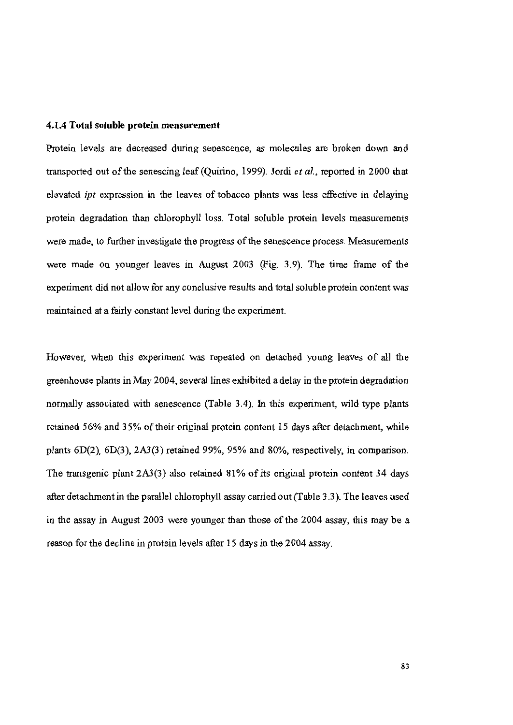## 4.1.4 Total soluble protein measurement

Protein levels are decreased during senescence, as molecules are broken down and transported out of the senescing leaf (Quirino, 1999). Jordi et al., reported in 2000 that elevated *ipt* expression in the leaves of tobacco plants was less effective in delaying protein degradation than chlorophyll loss. Total soluble protein levels measurements were made, to further investigate the progress of the senescence process. Measurements were made on younger leaves in August 2003 (Fig. 3.9). The time frame of the experiment did not allow for any conclusive results and total soluble protein content was maintained at a fairly constant level during the experiment.

However, when this experiment was repeated on detached young leaves of all the greenhouse plants in May 2004, several lines exhibited a delay in the protein degradation normally associated with senescence (Table 3.4). In this experiment, wild type plants retained 56% and 35% of their original protein content 15 days after detachment, while plants  $6D(2)$ ,  $6D(3)$ ,  $2A3(3)$  retained 99%, 95% and 80%, respectively, in comparison. The transgenic plant 2A3(3) also retained 81% of its original protein content 34 days after detachment in the parallel chlorophyll assay carried out (Table 3.3). The leaves used in the assay in August 2003 were younger than those of the 2004 assay, this may be a reason for the decline in protein levels after 15 days in the 2004 assay.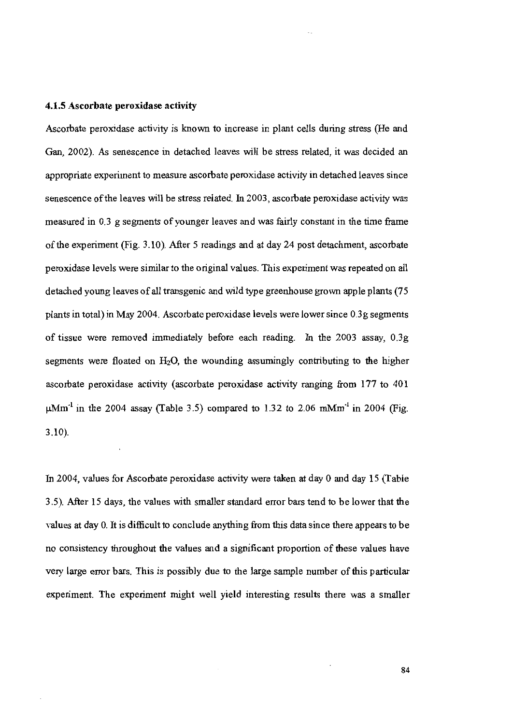#### 4.1.5 Ascorbate peroxidase activity

Ascorbate peroxidase activity is known to increase in plant cells during stress (He and Gan, 2002). As senescence in detached leaves will be stress related, it was decided an appropriate experiment to measure ascorbate peroxidase activity in detached leaves since senescence of the leaves will be stress related. In 2003, ascorbate peroxidase activity was measured in 0.3 g segments of younger leaves and was fairly constant in the time frame of the experiment (Fig. 3.10). After 5 readings and at day 24 post detachment, ascorbate peroxidase levels were similar to the original values. This experiment was repeated on all detached young leaves of all transgenic and wild type greenhouse grown apple plants (75 plants in total) in May 2004. Ascorbate peroxidase levels were lower since 0.3g segments of tissue were removed immediately before each reading. In the 2003 assay, 0.3g segments were floated on  $H_2O$ , the wounding assumingly contributing to the higher ascorbate peroxidase activity (ascorbate peroxidase activity ranging from 177 to 401  $\mu$ Mm<sup>-1</sup> in the 2004 assay (Table 3.5) compared to 1.32 to 2.06 mMm<sup>-1</sup> in 2004 (Fig.  $3.10$ ).

In 2004, values for Ascorbate peroxidase activity were taken at day 0 and day 15 (Table 3.5). After 15 days, the values with smaller standard error bars tend to be lower that the values at day 0. It is difficult to conclude anything from this data since there appears to be no consistency throughout the values and a significant proportion of these values have very large error bars. This is possibly due to the large sample number of this particular experiment. The experiment might well yield interesting results there was a smaller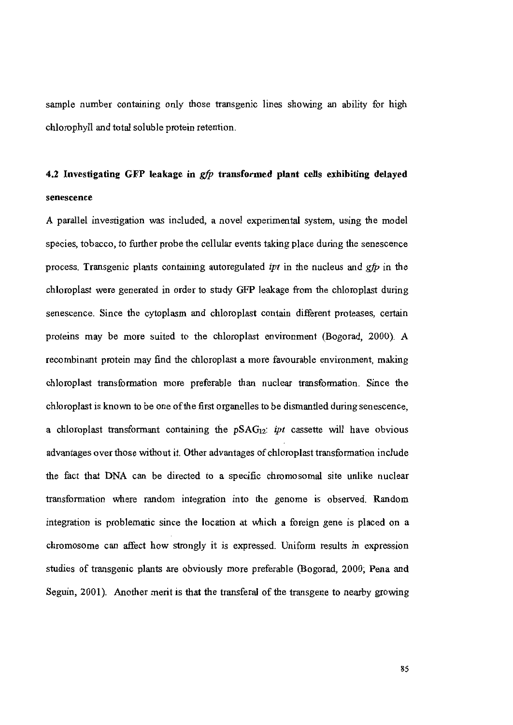sample number containing only those transgenic lines showing an ability for high chlorophyll and total soluble protein retention.

# 4.2 Investigating GFP leakage in gfp transformed plant cells exhibiting delayed senescence

A parallel investigation was included, a novel experimental system, using the model species, tobacco, to further probe the cellular events taking place during the senescence process. Transgenic plants containing autoregulated *ipt* in the nucleus and *gfp* in the chloroplast were generated in order to study GFP leakage from the chloroplast during senescence. Since the cytoplasm and chloroplast contain different proteases, certain proteins may be more suited to the chloroplast environment (Bogorad, 2000). A recombinant protein may find the chloroplast a more favourable environment, making chloroplast transformation more preferable than nuclear transformation. Since the chloroplast is known to be one of the first organelles to be dismantled during senescence, a chloroplast transformant containing the pSAG<sub>12</sub>: *ipt* cassette will have obvious advantages over those without it. Other advantages of chloroplast transformation include the fact that DNA can be directed to a specific chromosomal site unlike nuclear transformation where random integration into the genome is observed. Random integration is problematic since the location at which a foreign gene is placed on a chromosome can affect how strongly it is expressed. Uniform results in expression studies of transgenic plants are obviously more preferable (Bogorad, 2000; Pena and Seguin, 2001). Another merit is that the transferal of the transgene to nearby growing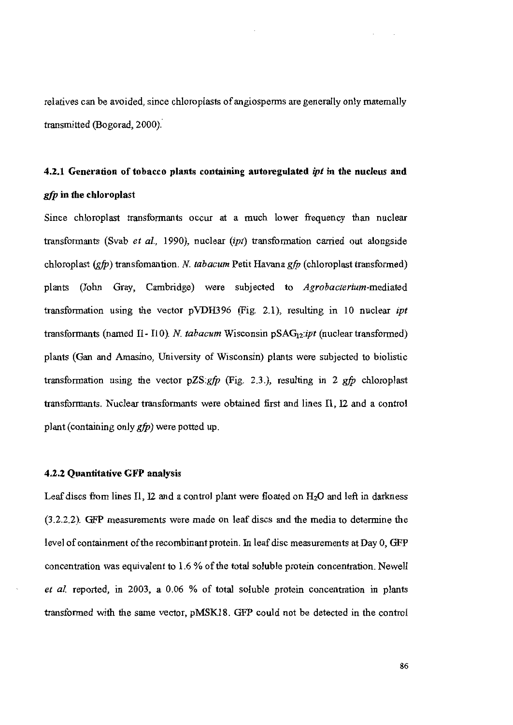relatives can be avoided, since chloroplasts of angiosperms are generally only maternally transmitted (Bogorad, 2000).

# 4.2.1 Generation of tobacco plants containing autoregulated ipt in the nucleus and *gfp* in the chloroplast

Since chloroplast transformants occur at a much lower frequency than nuclear transformants (Svab et al., 1990), nuclear (ipt) transformation carried out alongside chloroplast  $(gfp)$  transfomantion. N. tabacum Petit Havana  $gfp$  (chloroplast transformed) plants (John Gray, Cambridge) were subjected to Agrobacterium-mediated transformation using the vector pVDH396 (Fig. 2.1), resulting in 10 nuclear *ipt* transformants (named I1-I10). N. tabacum Wisconsin  $pSAG_{12}:ipt$  (nuclear transformed) plants (Gan and Amasino, University of Wisconsin) plants were subjected to biolistic transformation using the vector  $pZS:gfp$  (Fig. 2.3.), resulting in 2 gfp chloroplast transformants. Nuclear transformants were obtained first and lines II, I2 and a control plant (containing only  $gfp$ ) were potted up.

### 4.2.2 Quantitative GFP analysis

Leaf discs from lines I1, I2 and a control plant were floated on  $H_2O$  and left in darkness (3.2.2.2). GFP measurements were made on leaf discs and the media to determine the level of containment of the recombinant protein. In leaf disc measurements at Day 0, GFP concentration was equivalent to 1.6 % of the total soluble protein concentration. Newell et al. reported, in 2003, a 0.06 % of total soluble protein concentration in plants transformed with the same vector, pMSK18. GFP could not be detected in the control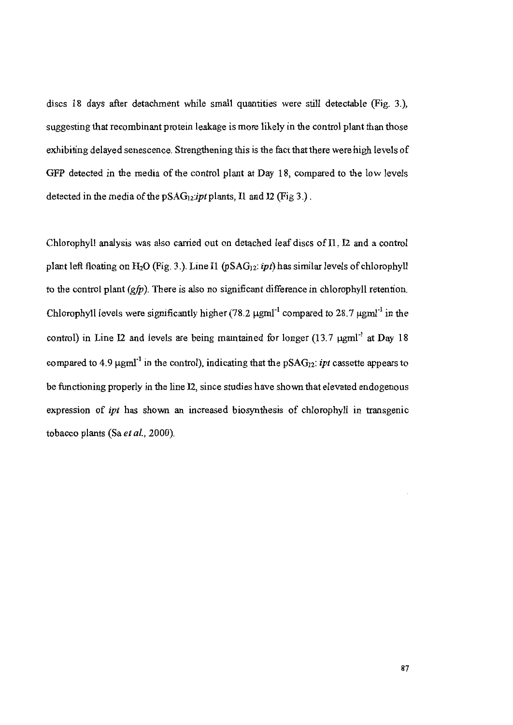discs 18 days after detachment while small quantities were still detectable (Fig. 3.), suggesting that recombinant protein leakage is more likely in the control plant than those exhibiting delayed senescence. Strengthening this is the fact that there were high levels of GFP detected in the media of the control plant at Day 18, compared to the low levels detected in the media of the  $pSAG_{12}$ *ipt* plants, Il and I2 (Fig 3.).

Chlorophyll analysis was also carried out on detached leaf discs of I1, I2 and a control plant left floating on  $H_2O$  (Fig. 3.). Line I1 (pSAG<sub>12</sub>: *ipt*) has similar levels of chlorophyll to the control plant  $(gfp)$ . There is also no significant difference in chlorophyll retention. Chlorophyll levels were significantly higher (78.2  $\mu$ gml<sup>-1</sup> compared to 28.7  $\mu$ gml<sup>-1</sup> in the control) in Line I2 and levels are being maintained for longer  $(13.7 \text{ µgm}l^{\text{-}1}$  at Day 18 compared to 4.9  $\mu$ gml<sup>-1</sup> in the control), indicating that the pSAG<sub>12</sub>: *ipt* cassette appears to be functioning properly in the line I2, since studies have shown that elevated endogenous expression of *ipt* has shown an increased biosynthesis of chlorophyll in transgenic tobacco plants (Sa et al., 2000).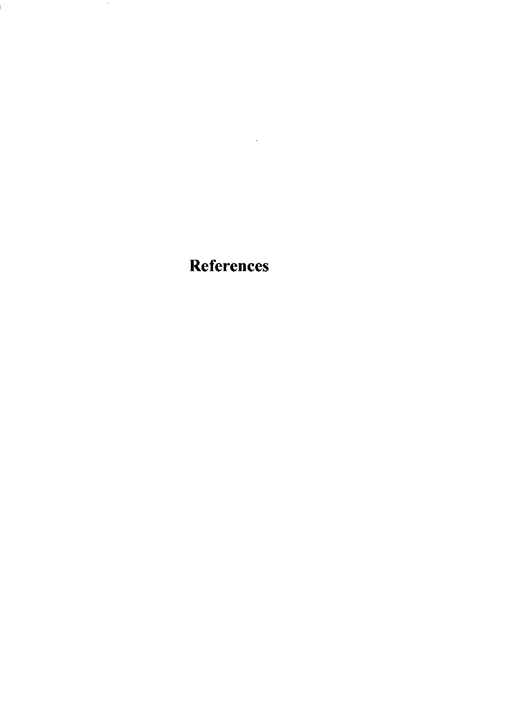**References** 

 $\mathcal{L}^{\mathcal{L}}(\mathcal{L}^{\mathcal{L}})$  and  $\mathcal{L}^{\mathcal{L}}(\mathcal{L}^{\mathcal{L}})$  and  $\mathcal{L}^{\mathcal{L}}(\mathcal{L}^{\mathcal{L}})$ 

 $\sim$   $\sim$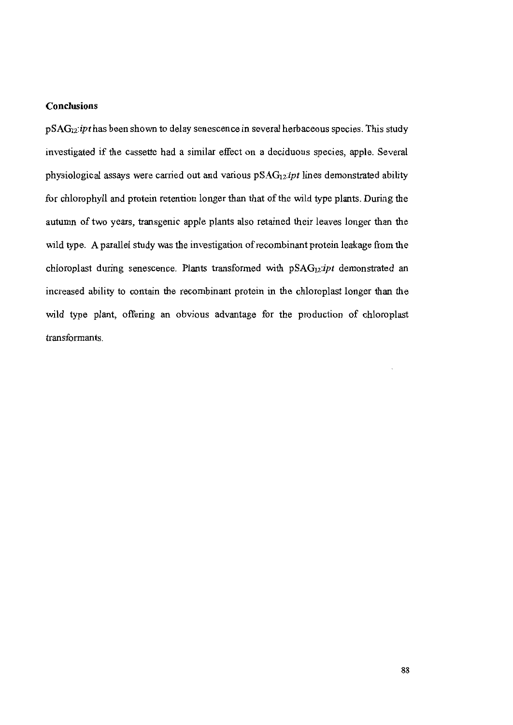## **Conclusions**

pSAG<sub>12</sub>: ipt has been shown to delay senescence in several herbaceous species. This study investigated if the cassette had a similar effect on a deciduous species, apple. Several physiological assays were carried out and various pSAG<sub>12</sub>:ipt lines demonstrated ability for chlorophyll and protein retention longer than that of the wild type plants. During the autumn of two years, transgenic apple plants also retained their leaves longer than the wild type. A parallel study was the investigation of recombinant protein leakage from the chloroplast during senescence. Plants transformed with pSAG<sub>12</sub>:ipt demonstrated an increased ability to contain the recombinant protein in the chloroplast longer than the wild type plant, offering an obvious advantage for the production of chloroplast transformants.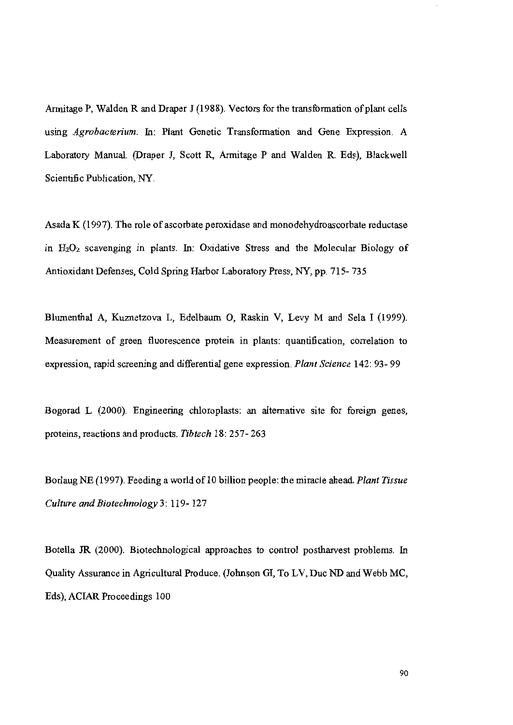Armitage P, Walden R and Draper J (1988). Vectors for the transformation of plant cells using Agrobacterium. In: Plant Genetic Transformation and Gene Expression. A Laboratory Manual. (Draper J, Scott R, Armitage P and Walden R. Eds), Blackwell Scientific Publication, NY

Asada K (1997). The role of ascorbate peroxidase and monodehydroascorbate reductase in  $H_2O_2$  scavenging in plants. In: Oxidative Stress and the Molecular Biology of Antioxidant Defenses, Cold Spring Harbor Laboratory Press, NY, pp. 715-735

Blumenthal A, Kuznetzova L, Edelbaum O, Raskin V, Levy M and Sela I (1999). Measurement of green fluorescence protein in plants: quantification, correlation to expression, rapid screening and differential gene expression. Plant Science 142: 93-99

Bogorad L (2000). Engineering chloroplasts: an alternative site for foreign genes, proteins, reactions and products. Tibtech 18: 257-263

Borlaug NE (1997). Feeding a world of 10 billion people: the miracle ahead. Plant Tissue Culture and Biotechnology 3: 119-127

Botella JR (2000). Biotechnological approaches to control postharvest problems. In Quality Assurance in Agricultural Produce. (Johnson GI, To LV, Duc ND and Webb MC, Eds), ACIAR Proceedings 100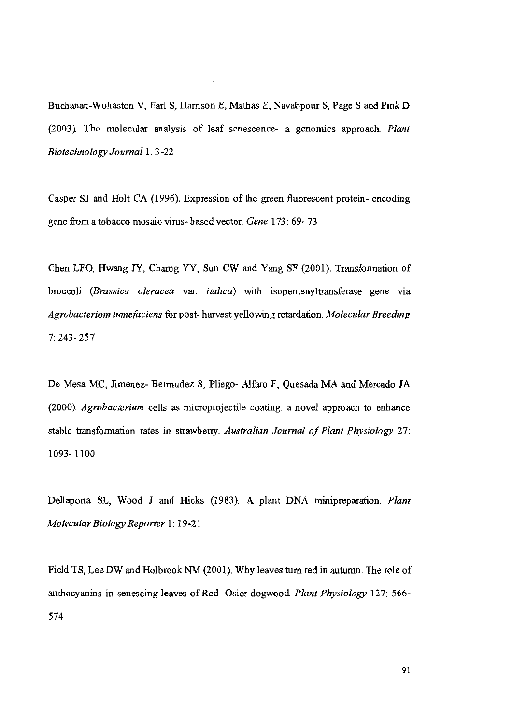Buchanan-Wollaston V, Earl S, Harrison E, Mathas E, Navabpour S, Page S and Pink D (2003). The molecular analysis of leaf senescence- a genomics approach. Plant Biotechnology Journal 1: 3-22

Casper SJ and Holt CA (1996). Expression of the green fluorescent protein-encoding gene from a tobacco mosaic virus-based vector. Gene 173: 69-73

Chen LFO, Hwang JY, Charng YY, Sun CW and Yang SF (2001). Transformation of broccoli (Brassica oleracea var. *italica*) with isopentenyltransferase gene via Agrobacteriom tumefaciens for post-harvest yellowing retardation. Molecular Breeding  $7:243 - 257$ 

De Mesa MC, Jimenez- Bermudez S, Pliego- Alfaro F, Quesada MA and Mercado JA (2000). Agrobacterium cells as microprojectile coating: a novel approach to enhance stable transformation rates in strawberry. Australian Journal of Plant Physiology 27. 1093-1100

Dellaporta SL, Wood J and Hicks (1983). A plant DNA minipreparation. Plant Molecular Biology Reporter 1: 19-21

Field TS, Lee DW and Holbrook NM (2001). Why leaves turn red in autumn. The role of anthocyanins in senescing leaves of Red- Osier dogwood. Plant Physiology 127: 566-574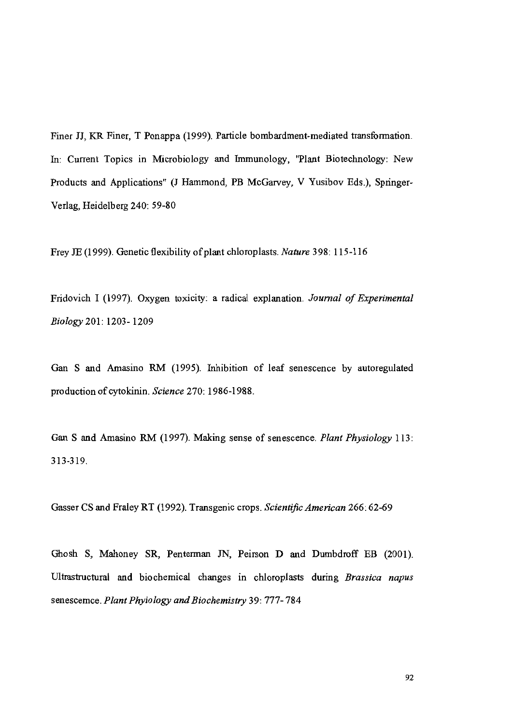Finer JJ, KR Finer, T Ponappa (1999). Particle bombardment-mediated transformation. In: Current Topics in Microbiology and Immunology, "Plant Biotechnology: New Products and Applications" (J Hammond, PB McGarvey, V Yusibov Eds.), Springer-Verlag, Heidelberg 240: 59-80

Frey JE (1999). Genetic flexibility of plant chloroplasts. Nature 398: 115-116

Fridovich I (1997). Oxygen toxicity: a radical explanation. Journal of Experimental Biology 201: 1203-1209

Gan S and Amasino RM (1995). Inhibition of leaf senescence by autoregulated production of cytokinin. Science 270: 1986-1988.

Gan S and Amasino RM (1997). Making sense of senescence. Plant Physiology 113: 313-319.

Gasser CS and Fraley RT (1992). Transgenic crops. Scientific American 266: 62-69

Ghosh S, Mahoney SR, Penterman JN, Peirson D and Dumbdroff EB (2001). Ultrastructural and biochemical changes in chloroplasts during Brassica napus senescemce. Plant Phyiology and Biochemistry 39: 777-784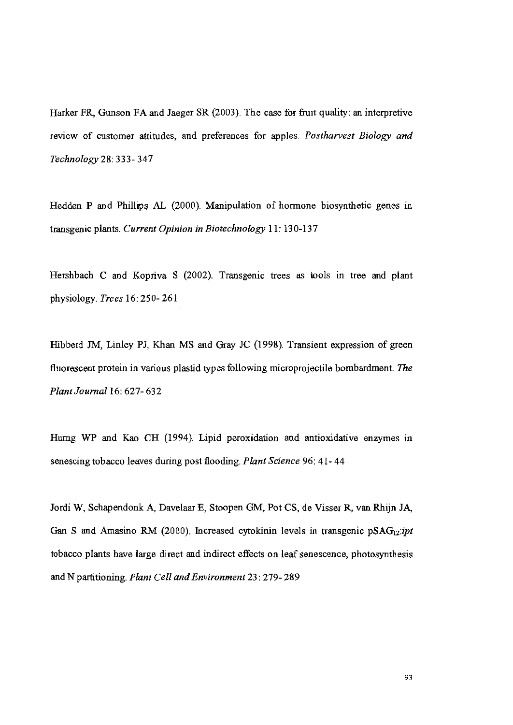Harker FR, Gunson FA and Jaeger SR (2003). The case for fruit quality: an interpretive review of customer attitudes, and preferences for apples. Postharvest Biology and Technology 28: 333-347

Hedden P and Phillips AL (2000). Manipulation of hormone biosynthetic genes in transgenic plants. Current Opinion in Biotechnology 11: 130-137

Hershbach C and Kopriva S (2002). Transgenic trees as tools in tree and plant physiology. Trees 16: 250-261

Hibberd JM, Linley PJ, Khan MS and Gray JC (1998). Transient expression of green fluorescent protein in various plastid types following microprojectile bombardment. The Plant Journal 16: 627- 632

Hurng WP and Kao CH (1994). Lipid peroxidation and antioxidative enzymes in senescing tobacco leaves during post flooding. Plant Science 96: 41-44

Jordi W, Schapendonk A, Davelaar E, Stoopen GM, Pot CS, de Visser R, van Rhijn JA, Gan S and Amasino RM (2000). Increased cytokinin levels in transgenic  $pSAG_{12}ipt$ tobacco plants have large direct and indirect effects on leaf senescence, photosynthesis and N partitioning. Plant Cell and Environment 23: 279-289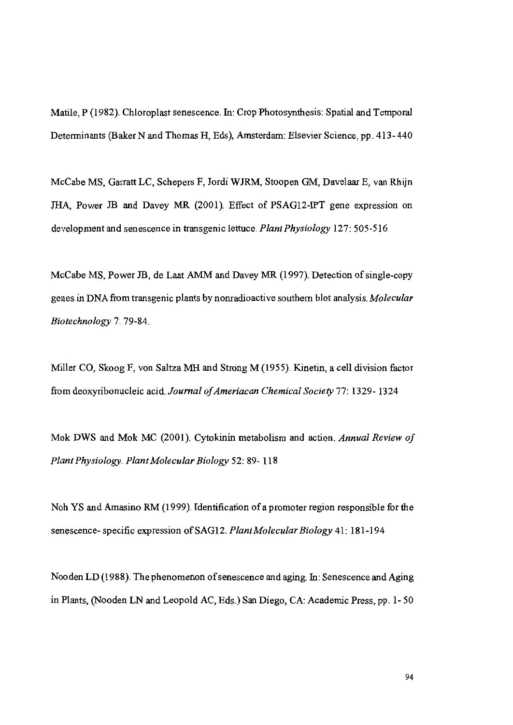Matile, P (1982). Chloroplast senescence. In: Crop Photosynthesis: Spatial and Temporal Determinants (Baker N and Thomas H, Eds), Amsterdam: Elsevier Science, pp. 413-440

McCabe MS, Garratt LC, Schepers F, Jordi WJRM, Stoopen GM, Davelaar E, van Rhijn JHA, Power JB and Davey MR (2001). Effect of PSAG12-IPT gene expression on development and senescence in transgenic lettuce. Plant Physiology 127: 505-516

McCabe MS, Power JB, de Laat AMM and Davey MR (1997). Detection of single-copy genes in DNA from transgenic plants by nonradioactive southern blot analysis. Molecular Biotechnology 7: 79-84.

Miller CO, Skoog F, von Saltza MH and Strong M (1955). Kinetin, a cell division factor from deoxyribonucleic acid. Journal of Ameriacan Chemical Society 77: 1329-1324

Mok DWS and Mok MC (2001). Cytokinin metabolism and action. Annual Review of Plant Physiology. Plant Molecular Biology 52: 89-118

Noh YS and Amasino RM (1999). Identification of a promoter region responsible for the senescence-specific expression of SAG12. Plant Molecular Biology 41: 181-194

Nooden LD (1988). The phenomenon of senescence and aging. In: Senescence and Aging in Plants, (Nooden LN and Leopold AC, Eds.) San Diego, CA: Academic Press, pp. 1-50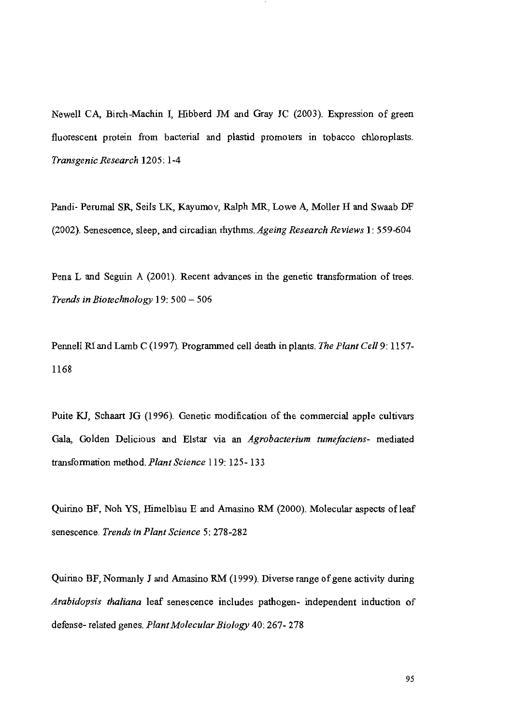Newell CA, Birch-Machin I, Hibberd JM and Gray JC (2003). Expression of green fluorescent protein from bacterial and plastid promoters in tobacco chloroplasts. Transgenic Research 1205: 1-4

Pandi- Perumal SR, Seils LK, Kayumov, Ralph MR, Lowe A, Moller H and Swaab DF (2002). Senescence, sleep, and circadian rhythms. Ageing Research Reviews 1: 559-604

Pena L and Seguin A (2001). Recent advances in the genetic transformation of trees. Trends in Biotechnology 19: 500 - 506

Pennell RI and Lamb C (1997). Programmed cell death in plants. The Plant Cell 9: 1157-1168

Puite KJ, Schaart JG (1996). Genetic modification of the commercial apple cultivars Gala, Golden Delicious and Elstar via an Agrobacterium tumefaciens- mediated transformation method. Plant Science 119: 125-133

Quirino BF, Noh YS, Himelblau E and Amasino RM (2000). Molecular aspects of leaf senescence. Trends in Plant Science 5: 278-282

Quirino BF, Normanly J and Amasino RM (1999). Diverse range of gene activity during Arabidopsis thaliana leaf senescence includes pathogen- independent induction of defense- related genes. Plant Molecular Biology 40: 267-278